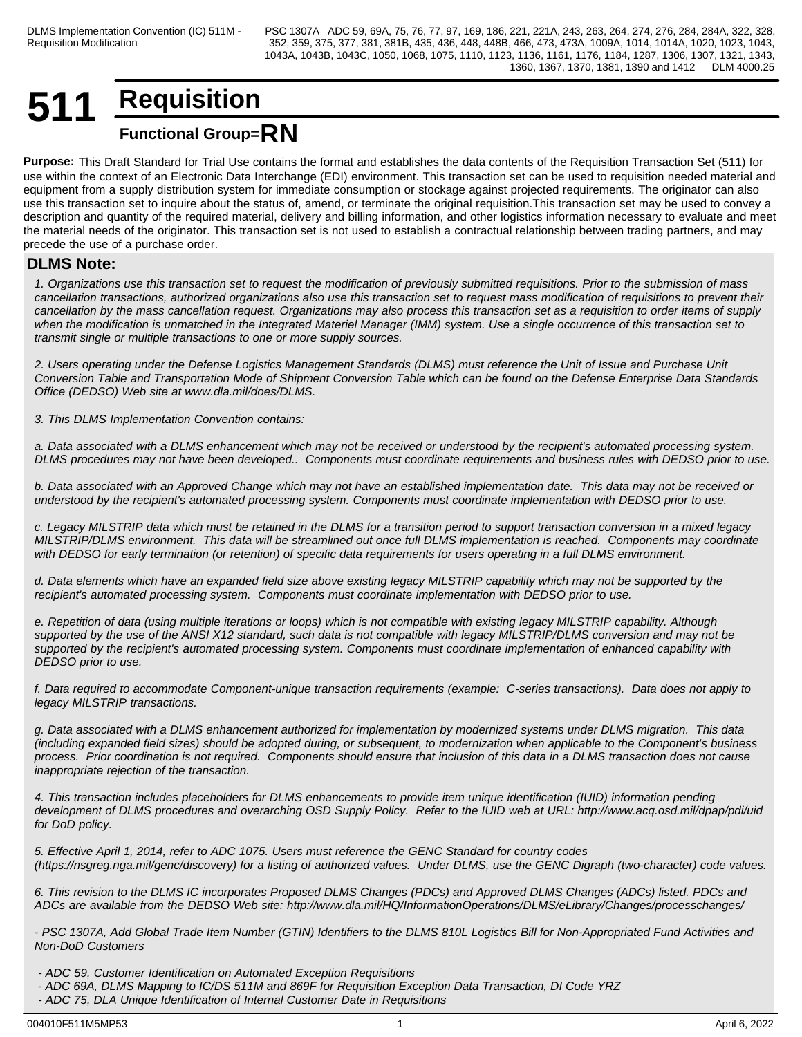## **511 Requisition Functional Group=RN**

**Purpose:** This Draft Standard for Trial Use contains the format and establishes the data contents of the Requisition Transaction Set (511) for use within the context of an Electronic Data Interchange (EDI) environment. This transaction set can be used to requisition needed material and equipment from a supply distribution system for immediate consumption or stockage against projected requirements. The originator can also use this transaction set to inquire about the status of, amend, or terminate the original requisition.This transaction set may be used to convey a description and quantity of the required material, delivery and billing information, and other logistics information necessary to evaluate and meet the material needs of the originator. This transaction set is not used to establish a contractual relationship between trading partners, and may precede the use of a purchase order.

## **DLMS Note:**

*1. Organizations use this transaction set to request the modification of previously submitted requisitions. Prior to the submission of mass cancellation transactions, authorized organizations also use this transaction set to request mass modification of requisitions to prevent their cancellation by the mass cancellation request. Organizations may also process this transaction set as a requisition to order items of supply when the modification is unmatched in the Integrated Materiel Manager (IMM) system. Use a single occurrence of this transaction set to transmit single or multiple transactions to one or more supply sources.*

*2. Users operating under the Defense Logistics Management Standards (DLMS) must reference the Unit of Issue and Purchase Unit Conversion Table and Transportation Mode of Shipment Conversion Table which can be found on the Defense Enterprise Data Standards Office (DEDSO) Web site at www.dla.mil/does/DLMS.*

*3. This DLMS Implementation Convention contains:*

*a. Data associated with a DLMS enhancement which may not be received or understood by the recipient's automated processing system. DLMS procedures may not have been developed.. Components must coordinate requirements and business rules with DEDSO prior to use.*

*b. Data associated with an Approved Change which may not have an established implementation date. This data may not be received or understood by the recipient's automated processing system. Components must coordinate implementation with DEDSO prior to use.*

*c. Legacy MILSTRIP data which must be retained in the DLMS for a transition period to support transaction conversion in a mixed legacy MILSTRIP/DLMS environment. This data will be streamlined out once full DLMS implementation is reached. Components may coordinate with DEDSO for early termination (or retention) of specific data requirements for users operating in a full DLMS environment.*

*d. Data elements which have an expanded field size above existing legacy MILSTRIP capability which may not be supported by the recipient's automated processing system. Components must coordinate implementation with DEDSO prior to use.* 

*e. Repetition of data (using multiple iterations or loops) which is not compatible with existing legacy MILSTRIP capability. Although supported by the use of the ANSI X12 standard, such data is not compatible with legacy MILSTRIP/DLMS conversion and may not be supported by the recipient's automated processing system. Components must coordinate implementation of enhanced capability with DEDSO prior to use.*

*f. Data required to accommodate Component-unique transaction requirements (example: C-series transactions). Data does not apply to legacy MILSTRIP transactions.*

*g. Data associated with a DLMS enhancement authorized for implementation by modernized systems under DLMS migration. This data (including expanded field sizes) should be adopted during, or subsequent, to modernization when applicable to the Component's business process. Prior coordination is not required. Components should ensure that inclusion of this data in a DLMS transaction does not cause inappropriate rejection of the transaction.*

*4. This transaction includes placeholders for DLMS enhancements to provide item unique identification (IUID) information pending development of DLMS procedures and overarching OSD Supply Policy. Refer to the IUID web at URL: http://www.acq.osd.mil/dpap/pdi/uid for DoD policy.*

*5. Effective April 1, 2014, refer to ADC 1075. Users must reference the GENC Standard for country codes (https://nsgreg.nga.mil/genc/discovery) for a listing of authorized values. Under DLMS, use the GENC Digraph (two-character) code values.* 

*6. This revision to the DLMS IC incorporates Proposed DLMS Changes (PDCs) and Approved DLMS Changes (ADCs) listed. PDCs and ADCs are available from the DEDSO Web site: http://www.dla.mil/HQ/InformationOperations/DLMS/eLibrary/Changes/processchanges/*

*- PSC 1307A, Add Global Trade Item Number (GTIN) Identifiers to the DLMS 810L Logistics Bill for Non-Appropriated Fund Activities and Non-DoD Customers*

 *- ADC 59, Customer Identification on Automated Exception Requisitions*

- *ADC 69A, DLMS Mapping to IC/DS 511M and 869F for Requisition Exception Data Transaction, DI Code YRZ*
- *ADC 75, DLA Unique Identification of Internal Customer Date in Requisitions*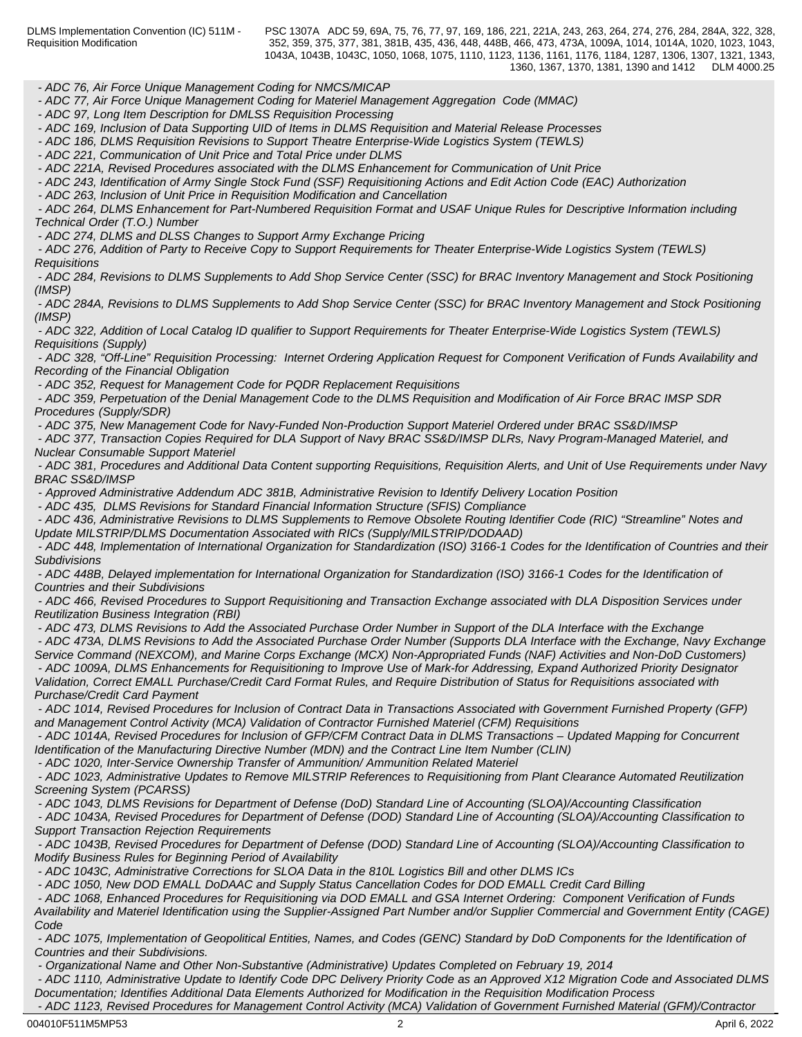*- ADC 76, Air Force Unique Management Coding for NMCS/MICAP*

 *- ADC 77, Air Force Unique Management Coding for Materiel Management Aggregation Code (MMAC)* 

 *- ADC 97, Long Item Description for DMLSS Requisition Processing*

 *- ADC 169, Inclusion of Data Supporting UID of Items in DLMS Requisition and Material Release Processes*

 *- ADC 186, DLMS Requisition Revisions to Support Theatre Enterprise-Wide Logistics System (TEWLS)*

 *- ADC 221, Communication of Unit Price and Total Price under DLMS*

 *- ADC 221A, Revised Procedures associated with the DLMS Enhancement for Communication of Unit Price*

 *- ADC 243, Identification of Army Single Stock Fund (SSF) Requisitioning Actions and Edit Action Code (EAC) Authorization*

 *- ADC 263, Inclusion of Unit Price in Requisition Modification and Cancellation*

 *- ADC 264, DLMS Enhancement for Part-Numbered Requisition Format and USAF Unique Rules for Descriptive Information including Technical Order (T.O.) Number*

 *- ADC 274, DLMS and DLSS Changes to Support Army Exchange Pricing*

 *- ADC 276, Addition of Party to Receive Copy to Support Requirements for Theater Enterprise-Wide Logistics System (TEWLS) Requisitions*

 *- ADC 284, Revisions to DLMS Supplements to Add Shop Service Center (SSC) for BRAC Inventory Management and Stock Positioning (IMSP)*

 *- ADC 284A, Revisions to DLMS Supplements to Add Shop Service Center (SSC) for BRAC Inventory Management and Stock Positioning (IMSP)*

 *- ADC 322, Addition of Local Catalog ID qualifier to Support Requirements for Theater Enterprise-Wide Logistics System (TEWLS) Requisitions (Supply)*

 *- ADC 328, "Off-Line" Requisition Processing: Internet Ordering Application Request for Component Verification of Funds Availability and Recording of the Financial Obligation*

 *- ADC 352, Request for Management Code for PQDR Replacement Requisitions*

 *- ADC 359, Perpetuation of the Denial Management Code to the DLMS Requisition and Modification of Air Force BRAC IMSP SDR Procedures (Supply/SDR)*

 *- ADC 375, New Management Code for Navy-Funded Non-Production Support Materiel Ordered under BRAC SS&D/IMSP*

 *- ADC 377, Transaction Copies Required for DLA Support of Navy BRAC SS&D/IMSP DLRs, Navy Program-Managed Materiel, and Nuclear Consumable Support Materiel*

 *- ADC 381, Procedures and Additional Data Content supporting Requisitions, Requisition Alerts, and Unit of Use Requirements under Navy BRAC SS&D/IMSP*

 *- Approved Administrative Addendum ADC 381B, Administrative Revision to Identify Delivery Location Position*

 *- ADC 435, DLMS Revisions for Standard Financial Information Structure (SFIS) Compliance* 

 *- ADC 436, Administrative Revisions to DLMS Supplements to Remove Obsolete Routing Identifier Code (RIC) "Streamline" Notes and Update MILSTRIP/DLMS Documentation Associated with RICs (Supply/MILSTRIP/DODAAD)*

 *- ADC 448, Implementation of International Organization for Standardization (ISO) 3166-1 Codes for the Identification of Countries and their Subdivisions*

 *- ADC 448B, Delayed implementation for International Organization for Standardization (ISO) 3166-1 Codes for the Identification of Countries and their Subdivisions*

 *- ADC 466, Revised Procedures to Support Requisitioning and Transaction Exchange associated with DLA Disposition Services under Reutilization Business Integration (RBI)*

 *- ADC 473, DLMS Revisions to Add the Associated Purchase Order Number in Support of the DLA Interface with the Exchange*

 *- ADC 473A, DLMS Revisions to Add the Associated Purchase Order Number (Supports DLA Interface with the Exchange, Navy Exchange Service Command (NEXCOM), and Marine Corps Exchange (MCX) Non-Appropriated Funds (NAF) Activities and Non-DoD Customers) - ADC 1009A, DLMS Enhancements for Requisitioning to Improve Use of Mark-for Addressing, Expand Authorized Priority Designator Validation, Correct EMALL Purchase/Credit Card Format Rules, and Require Distribution of Status for Requisitions associated with Purchase/Credit Card Payment*

 *- ADC 1014, Revised Procedures for Inclusion of Contract Data in Transactions Associated with Government Furnished Property (GFP) and Management Control Activity (MCA) Validation of Contractor Furnished Materiel (CFM) Requisitions*

 *- ADC 1014A, Revised Procedures for Inclusion of GFP/CFM Contract Data in DLMS Transactions – Updated Mapping for Concurrent Identification of the Manufacturing Directive Number (MDN) and the Contract Line Item Number (CLIN)*

 *- ADC 1020, Inter-Service Ownership Transfer of Ammunition/ Ammunition Related Materiel*

 *- ADC 1023, Administrative Updates to Remove MILSTRIP References to Requisitioning from Plant Clearance Automated Reutilization Screening System (PCARSS)*

 *- ADC 1043, DLMS Revisions for Department of Defense (DoD) Standard Line of Accounting (SLOA)/Accounting Classification*

 *- ADC 1043A, Revised Procedures for Department of Defense (DOD) Standard Line of Accounting (SLOA)/Accounting Classification to Support Transaction Rejection Requirements*

 *- ADC 1043B, Revised Procedures for Department of Defense (DOD) Standard Line of Accounting (SLOA)/Accounting Classification to Modify Business Rules for Beginning Period of Availability*

 *- ADC 1043C, Administrative Corrections for SLOA Data in the 810L Logistics Bill and other DLMS ICs*

 *- ADC 1050, New DOD EMALL DoDAAC and Supply Status Cancellation Codes for DOD EMALL Credit Card Billing*

 *- ADC 1068, Enhanced Procedures for Requisitioning via DOD EMALL and GSA Internet Ordering: Component Verification of Funds Availability and Materiel Identification using the Supplier-Assigned Part Number and/or Supplier Commercial and Government Entity (CAGE) Code* **Code Code Code Code Code Code Code Code Code Code Code** 

 *- ADC 1075, Implementation of Geopolitical Entities, Names, and Codes (GENC) Standard by DoD Components for the Identification of Countries and their Subdivisions.*

 *- Organizational Name and Other Non-Substantive (Administrative) Updates Completed on February 19, 2014*

 *- ADC 1110, Administrative Update to Identify Code DPC Delivery Priority Code as an Approved X12 Migration Code and Associated DLMS Documentation; Identifies Additional Data Elements Authorized for Modification in the Requisition Modification Process*

 *- ADC 1123, Revised Procedures for Management Control Activity (MCA) Validation of Government Furnished Material (GFM)/Contractor*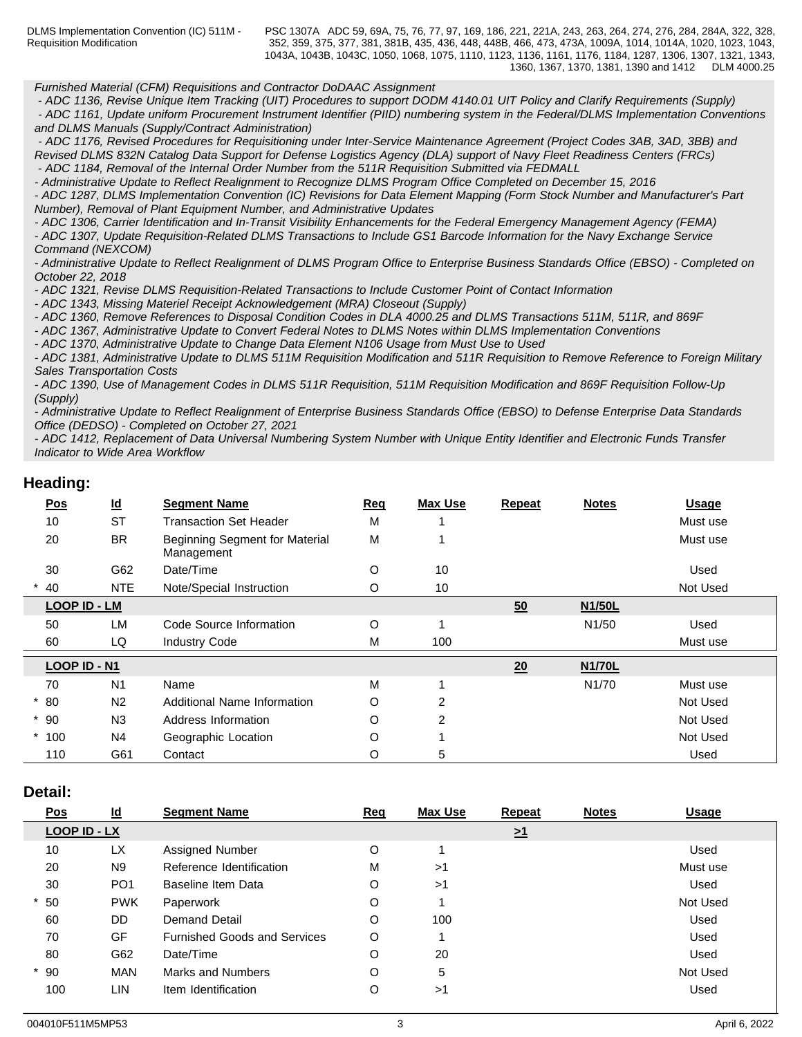*Furnished Material (CFM) Requisitions and Contractor DoDAAC Assignment*

 *- ADC 1136, Revise Unique Item Tracking (UIT) Procedures to support DODM 4140.01 UIT Policy and Clarify Requirements (Supply) - ADC 1161, Update uniform Procurement Instrument Identifier (PIID) numbering system in the Federal/DLMS Implementation Conventions*

*and DLMS Manuals (Supply/Contract Administration)*

 *- ADC 1176, Revised Procedures for Requisitioning under Inter-Service Maintenance Agreement (Project Codes 3AB, 3AD, 3BB) and Revised DLMS 832N Catalog Data Support for Defense Logistics Agency (DLA) support of Navy Fleet Readiness Centers (FRCs) - ADC 1184, Removal of the Internal Order Number from the 511R Requisition Submitted via FEDMALL*

*- Administrative Update to Reflect Realignment to Recognize DLMS Program Office Completed on December 15, 2016*

*- ADC 1287, DLMS Implementation Convention (IC) Revisions for Data Element Mapping (Form Stock Number and Manufacturer's Part Number), Removal of Plant Equipment Number, and Administrative Updates*

*- ADC 1306, Carrier Identification and In-Transit Visibility Enhancements for the Federal Emergency Management Agency (FEMA) - ADC 1307, Update Requisition-Related DLMS Transactions to Include GS1 Barcode Information for the Navy Exchange Service Command (NEXCOM)*

*- Administrative Update to Reflect Realignment of DLMS Program Office to Enterprise Business Standards Office (EBSO) - Completed on October 22, 2018*

*- ADC 1321, Revise DLMS Requisition-Related Transactions to Include Customer Point of Contact Information*

*- ADC 1343, Missing Materiel Receipt Acknowledgement (MRA) Closeout (Supply)*

*- ADC 1360, Remove References to Disposal Condition Codes in DLA 4000.25 and DLMS Transactions 511M, 511R, and 869F*

*- ADC 1367, Administrative Update to Convert Federal Notes to DLMS Notes within DLMS Implementation Conventions* 

*- ADC 1370, Administrative Update to Change Data Element N106 Usage from Must Use to Used*

*- ADC 1381, Administrative Update to DLMS 511M Requisition Modification and 511R Requisition to Remove Reference to Foreign Military Sales Transportation Costs*

*- ADC 1390, Use of Management Codes in DLMS 511R Requisition, 511M Requisition Modification and 869F Requisition Follow-Up (Supply)*

*- Administrative Update to Reflect Realignment of Enterprise Business Standards Office (EBSO) to Defense Enterprise Data Standards Office (DEDSO) - Completed on October 27, 2021*

*- ADC 1412, Replacement of Data Universal Numbering System Number with Unique Entity Identifier and Electronic Funds Transfer Indicator to Wide Area Workflow*

## **Heading:**

| <u>Pos</u>          | $\underline{\mathsf{Id}}$ | <b>Segment Name</b>                                 | <b>Req</b> | <b>Max Use</b> | <b>Repeat</b> | <b>Notes</b>        | <b>Usage</b> |
|---------------------|---------------------------|-----------------------------------------------------|------------|----------------|---------------|---------------------|--------------|
| 10                  | <b>ST</b>                 | <b>Transaction Set Header</b>                       | M          |                |               |                     | Must use     |
| 20                  | <b>BR</b>                 | <b>Beginning Segment for Material</b><br>Management | M          |                |               |                     | Must use     |
| 30                  | G62                       | Date/Time                                           | O          | 10             |               |                     | Used         |
| 40                  | <b>NTE</b>                | Note/Special Instruction                            | O          | 10             |               |                     | Not Used     |
| <b>LOOP ID - LM</b> |                           |                                                     |            |                | 50            | N <sub>1/50</sub> L |              |
| 50                  | <b>LM</b>                 | Code Source Information                             | O          |                |               | N1/50               | Used         |
| 60                  | LQ                        | <b>Industry Code</b>                                | M          | 100            |               |                     | Must use     |
| LOOP ID - N1        |                           |                                                     |            |                | 20            | <b>N1/70L</b>       |              |
| 70                  | N <sub>1</sub>            | Name                                                | M          |                |               | N <sub>1</sub> /70  | Must use     |
| $*80$               | N <sub>2</sub>            | Additional Name Information                         | O          | 2              |               |                     | Not Used     |
| $*90$               | N3                        | Address Information                                 | O          | $\mathfrak{p}$ |               |                     | Not Used     |
| $*100$              | N <sub>4</sub>            | Geographic Location                                 | O          |                |               |                     | Not Used     |
| 110                 | G61                       | Contact                                             | O          | 5              |               |                     | Used         |

## **Detail:**

| $\underline{\mathsf{Pos}}$ | $\underline{\mathsf{Id}}$ | <b>Segment Name</b>                 | <b>Req</b> | Max Use | <b>Repeat</b>       | <b>Notes</b> | <b>Usage</b> |
|----------------------------|---------------------------|-------------------------------------|------------|---------|---------------------|--------------|--------------|
| LOOP ID - LX               |                           |                                     |            |         | $\geq$ <sup>1</sup> |              |              |
| 10                         | <b>LX</b>                 | Assigned Number                     | O          |         |                     |              | Used         |
| 20                         | N <sub>9</sub>            | Reference Identification            | М          | >1      |                     |              | Must use     |
| 30                         | PO <sub>1</sub>           | Baseline Item Data                  | O          | >1      |                     |              | Used         |
| $*50$                      | <b>PWK</b>                | Paperwork                           | O          |         |                     |              | Not Used     |
| 60                         | <b>DD</b>                 | <b>Demand Detail</b>                | O          | 100     |                     |              | Used         |
| 70                         | GF                        | <b>Furnished Goods and Services</b> | O          |         |                     |              | Used         |
| 80                         | G62                       | Date/Time                           | O          | 20      |                     |              | Used         |
| $*90$                      | <b>MAN</b>                | Marks and Numbers                   | O          | 5       |                     |              | Not Used     |
| 100                        | LIN                       | Item Identification                 | O          | >1      |                     |              | Used         |
|                            |                           |                                     |            |         |                     |              |              |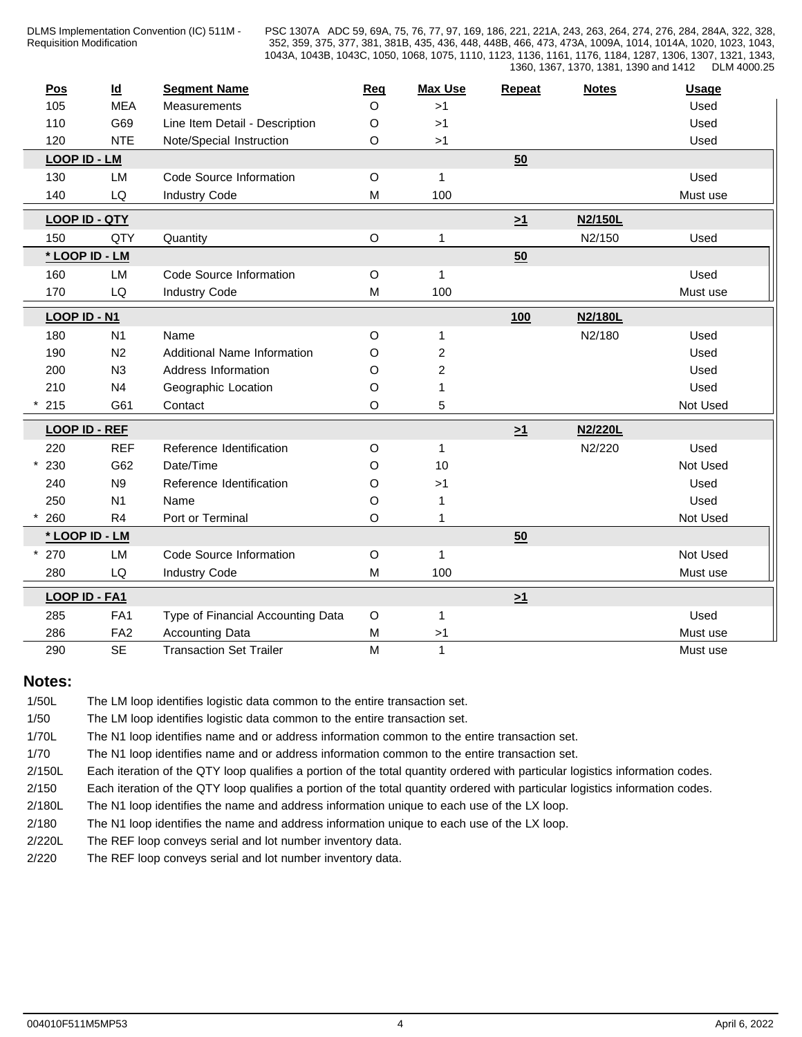| <u>Pos</u>          | $\underline{\mathsf{Id}}$ | <b>Segment Name</b>               | Req         | <b>Max Use</b>          | Repeat   | <b>Notes</b> | <b>Usage</b> |
|---------------------|---------------------------|-----------------------------------|-------------|-------------------------|----------|--------------|--------------|
| 105                 | <b>MEA</b>                | Measurements                      | $\Omega$    | >1                      |          |              | Used         |
| 110                 | G69                       | Line Item Detail - Description    | O           | >1                      |          |              | Used         |
| 120                 | <b>NTE</b>                | Note/Special Instruction          | O           | >1                      |          |              | Used         |
| <b>LOOP ID - LM</b> |                           |                                   |             |                         | 50       |              |              |
| 130                 | LM                        | Code Source Information           | $\circ$     | $\mathbf{1}$            |          |              | Used         |
| 140                 | ${\sf LQ}$                | <b>Industry Code</b>              | M           | 100                     |          |              | Must use     |
|                     | <b>LOOP ID - QTY</b>      |                                   |             |                         | $\geq 1$ | N2/150L      |              |
| 150                 | QTY                       | Quantity                          | $\mathsf O$ | 1                       |          | N2/150       | Used         |
|                     | * LOOP ID - LM            |                                   |             |                         | 50       |              |              |
| 160                 | LM                        | Code Source Information           | O           | 1                       |          |              | Used         |
| 170                 | ${\sf LQ}$                | <b>Industry Code</b>              | M           | 100                     |          |              | Must use     |
| LOOP ID - N1        |                           |                                   |             |                         | 100      | N2/180L      |              |
| 180                 | N <sub>1</sub>            | Name                              | O           | 1                       |          | N2/180       | Used         |
| 190                 | N <sub>2</sub>            | Additional Name Information       | O           | $\overline{\mathbf{c}}$ |          |              | Used         |
| 200                 | N3                        | Address Information               | O           | $\overline{c}$          |          |              | Used         |
| 210                 | N <sub>4</sub>            | Geographic Location               | O           | 1                       |          |              | Used         |
| 215                 | G61                       | Contact                           | O           | 5                       |          |              | Not Used     |
|                     | <b>LOOP ID - REF</b>      |                                   |             |                         |          | N2/220L      |              |
| 220                 | <b>REF</b>                | Reference Identification          |             | $\mathbf{1}$            | $\geq 1$ | N2/220       | Used         |
| 230                 | G62                       | Date/Time                         | O           | 10                      |          |              | Not Used     |
| 240                 | N <sub>9</sub>            | Reference Identification          | O<br>O      | >1                      |          |              | Used         |
| 250                 | N <sub>1</sub>            | Name                              | O           | 1                       |          |              | Used         |
| 260                 | R4                        | Port or Terminal                  | O           | 1                       |          |              | Not Used     |
|                     | * LOOP ID - LM            |                                   |             |                         | 50       |              |              |
| 270                 | LM                        | Code Source Information           | O           | $\mathbf 1$             |          |              | Not Used     |
| 280                 | ${\sf LQ}$                | <b>Industry Code</b>              | M           | 100                     |          |              | Must use     |
|                     |                           |                                   |             |                         |          |              |              |
|                     | LOOP ID - FA1             |                                   |             |                         | $\geq 1$ |              |              |
| 285                 | FA1                       | Type of Financial Accounting Data | O           | 1                       |          |              | Used         |
| 286                 | FA <sub>2</sub>           | <b>Accounting Data</b>            | M           | >1                      |          |              | Must use     |
| 290                 | <b>SE</b>                 | <b>Transaction Set Trailer</b>    | M           | $\mathbf{1}$            |          |              | Must use     |

## **Notes:**

| 1/50L  | The LM loop identifies logistic data common to the entire transaction set.                                                    |
|--------|-------------------------------------------------------------------------------------------------------------------------------|
| 1/50   | The LM loop identifies logistic data common to the entire transaction set.                                                    |
| 1/70L  | The N1 loop identifies name and or address information common to the entire transaction set.                                  |
| 1/70   | The N1 loop identifies name and or address information common to the entire transaction set.                                  |
| 2/150L | Each iteration of the QTY loop qualifies a portion of the total quantity ordered with particular logistics information codes. |
| 2/150  | Each iteration of the QTY loop qualifies a portion of the total quantity ordered with particular logistics information codes. |
| 2/180L | The N1 loop identifies the name and address information unique to each use of the LX loop.                                    |
| 2/180  | The N1 loop identifies the name and address information unique to each use of the LX loop.                                    |
| 2/220L | The REF loop conveys serial and lot number inventory data.                                                                    |
| 2/220  | The REF loop conveys serial and lot number inventory data.                                                                    |
|        |                                                                                                                               |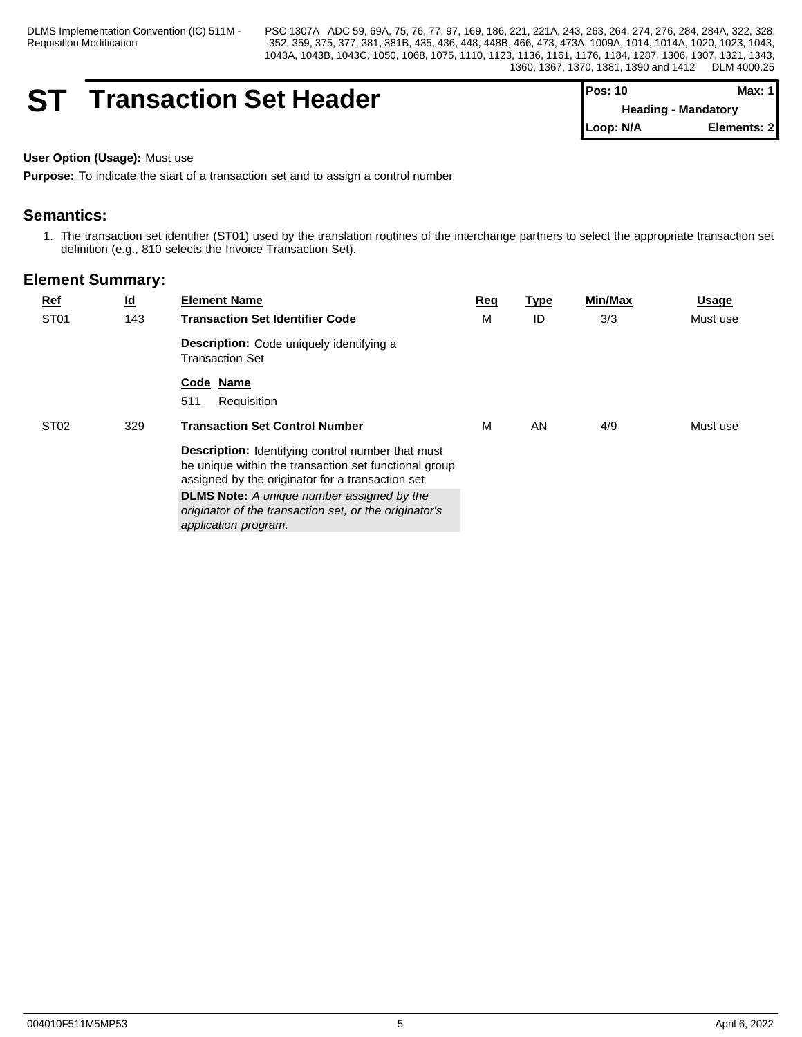DLMS Implementation Convention (IC) 511M - Requisition Modification

PSC 1307A ADC 59, 69A, 75, 76, 77, 97, 169, 186, 221, 221A, 243, 263, 264, 274, 276, 284, 284A, 322, 328, 352, 359, 375, 377, 381, 381B, 435, 436, 448, 448B, 466, 473, 473A, 1009A, 1014, 1014A, 1020, 1023, 1043, 1043A, 1043B, 1043C, 1050, 1068, 1075, 1110, 1123, 1136, 1161, 1176, 1184, 1287, 1306, 1307, 1321, 1343, 1360, 1367, 1370, 1381, 1390 and 1412 DLM 4000.25

## **ST Transaction Set Header**

| IPos: 10                   | Max: 11      |
|----------------------------|--------------|
| <b>Heading - Mandatory</b> |              |
| $\blacksquare$ Loop: N/A   | Elements: 21 |

#### **User Option (Usage):** Must use

**Purpose:** To indicate the start of a transaction set and to assign a control number

## **Semantics:**

1. The transaction set identifier (ST01) used by the translation routines of the interchange partners to select the appropriate transaction set definition (e.g., 810 selects the Invoice Transaction Set).

| $Ref$            | $\underline{\mathsf{Id}}$ | <b>Element Name</b>                                                                                                                                                   | Req | <b>Type</b> | <b>Min/Max</b> | <b>Usage</b> |
|------------------|---------------------------|-----------------------------------------------------------------------------------------------------------------------------------------------------------------------|-----|-------------|----------------|--------------|
| ST <sub>01</sub> | 143                       | <b>Transaction Set Identifier Code</b>                                                                                                                                | м   | ID          | 3/3            | Must use     |
|                  |                           | <b>Description:</b> Code uniquely identifying a<br><b>Transaction Set</b>                                                                                             |     |             |                |              |
|                  |                           | Code Name<br>Requisition<br>511                                                                                                                                       |     |             |                |              |
| ST <sub>02</sub> | 329                       | <b>Transaction Set Control Number</b>                                                                                                                                 | м   | AN          | 4/9            | Must use     |
|                  |                           | <b>Description:</b> Identifying control number that must<br>be unique within the transaction set functional group<br>assigned by the originator for a transaction set |     |             |                |              |
|                  |                           | <b>DLMS Note:</b> A unique number assigned by the<br>originator of the transaction set, or the originator's<br>application program.                                   |     |             |                |              |
|                  |                           |                                                                                                                                                                       |     |             |                |              |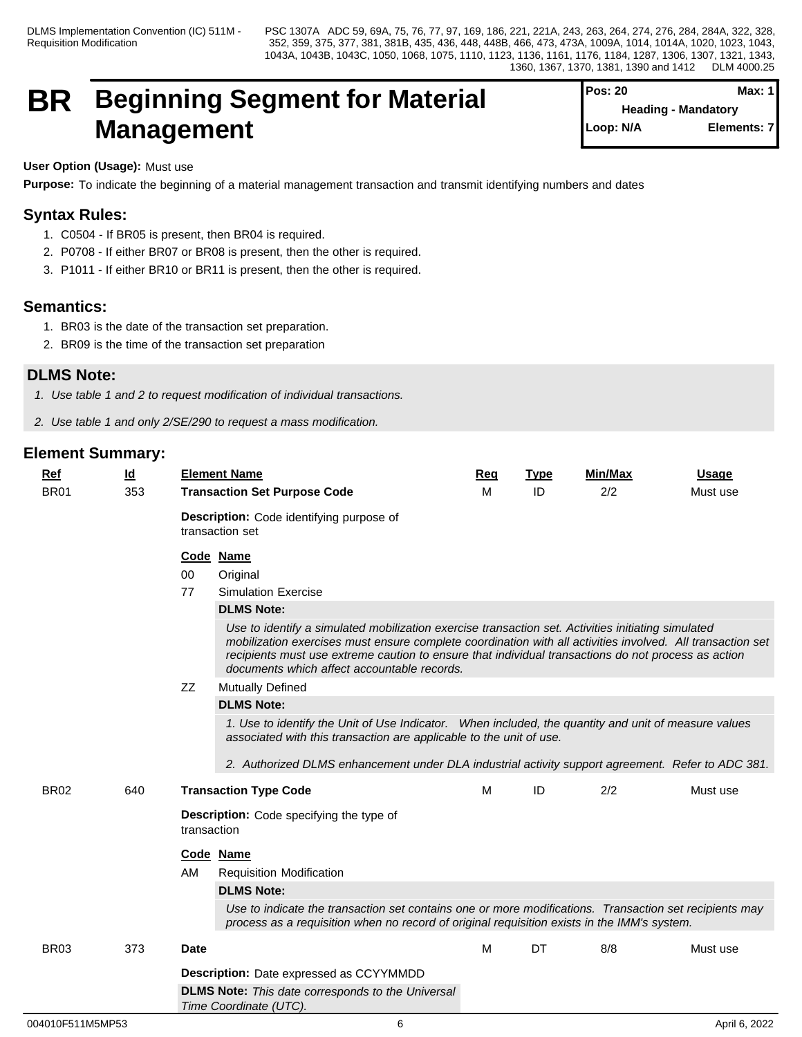## **BR Beginning Segment for Material Management**

| <b>Pos: 20</b> |                            | Max: 1      |
|----------------|----------------------------|-------------|
|                | <b>Heading - Mandatory</b> |             |
| Loop: N/A      |                            | Elements: 7 |

## **User Option (Usage):** Must use

**Purpose:** To indicate the beginning of a material management transaction and transmit identifying numbers and dates

## **Syntax Rules:**

- 1. C0504 If BR05 is present, then BR04 is required.
- 2. P0708 If either BR07 or BR08 is present, then the other is required.
- 3. P1011 If either BR10 or BR11 is present, then the other is required.

## **Semantics:**

- 1. BR03 is the date of the transaction set preparation.
- 2. BR09 is the time of the transaction set preparation

## **DLMS Note:**

- *1. Use table 1 and 2 to request modification of individual transactions.*
- *2. Use table 1 and only 2/SE/290 to request a mass modification.*

| $Ref$<br><b>BR01</b> | <u>ld</u><br>353 | <b>Element Name</b><br><b>Transaction Set Purpose Code</b>                                                                                                                                                                                                                                                                                                                                                                                                     | Req<br>м | <b>Type</b><br>ID | Min/Max<br>2/2 | <b>Usage</b><br>Must use |
|----------------------|------------------|----------------------------------------------------------------------------------------------------------------------------------------------------------------------------------------------------------------------------------------------------------------------------------------------------------------------------------------------------------------------------------------------------------------------------------------------------------------|----------|-------------------|----------------|--------------------------|
|                      |                  | Description: Code identifying purpose of<br>transaction set                                                                                                                                                                                                                                                                                                                                                                                                    |          |                   |                |                          |
|                      |                  | Code Name<br>00<br>Original<br>77<br><b>Simulation Exercise</b><br><b>DLMS Note:</b><br>Use to identify a simulated mobilization exercise transaction set. Activities initiating simulated<br>mobilization exercises must ensure complete coordination with all activities involved. All transaction set<br>recipients must use extreme caution to ensure that individual transactions do not process as action<br>documents which affect accountable records. |          |                   |                |                          |
|                      |                  | ZZ<br><b>Mutually Defined</b><br><b>DLMS Note:</b><br>1. Use to identify the Unit of Use Indicator. When included, the quantity and unit of measure values<br>associated with this transaction are applicable to the unit of use.<br>2. Authorized DLMS enhancement under DLA industrial activity support agreement. Refer to ADC 381.                                                                                                                         |          |                   |                |                          |
| <b>BR02</b>          | 640              | <b>Transaction Type Code</b><br><b>Description:</b> Code specifying the type of<br>transaction<br>Code Name<br>AM<br><b>Requisition Modification</b><br><b>DLMS Note:</b><br>Use to indicate the transaction set contains one or more modifications. Transaction set recipients may<br>process as a requisition when no record of original requisition exists in the IMM's system.                                                                             | M        | ID                | 2/2            | Must use                 |
| <b>BR03</b>          | 373              | <b>Date</b><br><b>Description:</b> Date expressed as CCYYMMDD<br><b>DLMS Note:</b> This date corresponds to the Universal<br>Time Coordinate (UTC).                                                                                                                                                                                                                                                                                                            | м        | DT                | 8/8            | Must use                 |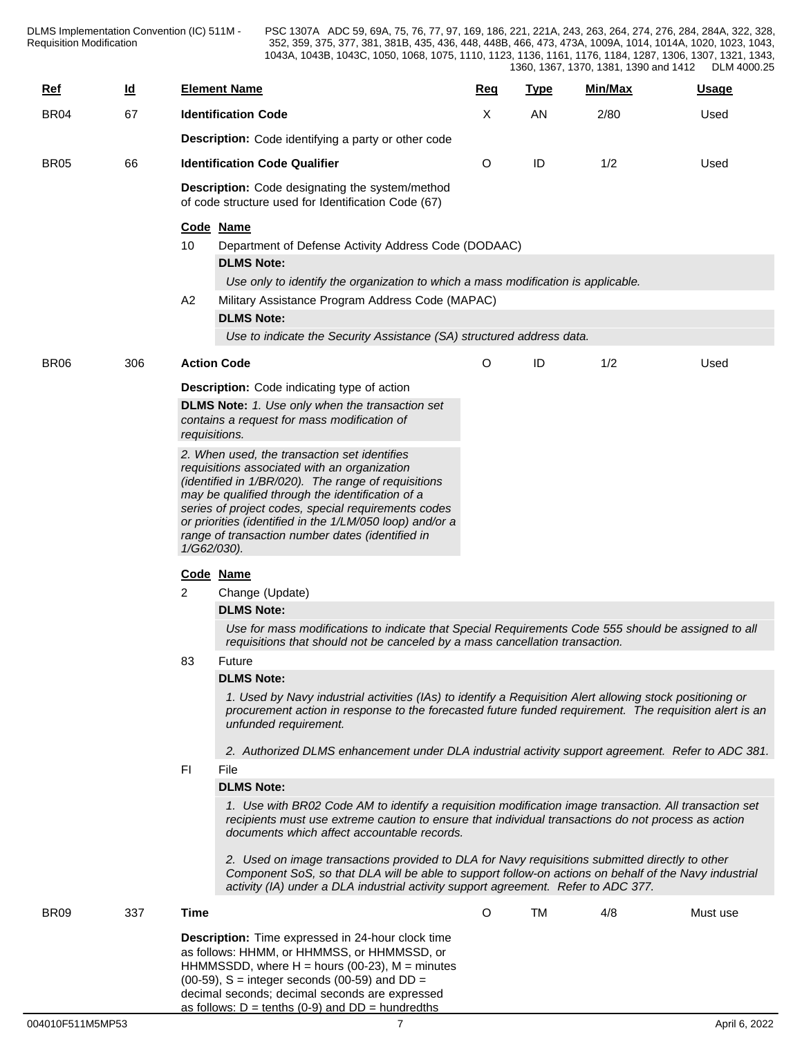| $Ref$       | <u>ld</u> |                                                                                                               | <b>Element Name</b>                                                                                                                                                                                                                                                                                                                                                                                                                                                      | Req     | <b>Type</b> | Min/Max | <b>Usage</b> |  |  |
|-------------|-----------|---------------------------------------------------------------------------------------------------------------|--------------------------------------------------------------------------------------------------------------------------------------------------------------------------------------------------------------------------------------------------------------------------------------------------------------------------------------------------------------------------------------------------------------------------------------------------------------------------|---------|-------------|---------|--------------|--|--|
| <b>BR04</b> | 67        |                                                                                                               | <b>Identification Code</b>                                                                                                                                                                                                                                                                                                                                                                                                                                               | X       | AN          | 2/80    | Used         |  |  |
|             |           |                                                                                                               | <b>Description:</b> Code identifying a party or other code                                                                                                                                                                                                                                                                                                                                                                                                               |         |             |         |              |  |  |
| <b>BR05</b> | 66        |                                                                                                               | <b>Identification Code Qualifier</b>                                                                                                                                                                                                                                                                                                                                                                                                                                     | O       | ID          | 1/2     | Used         |  |  |
|             |           | <b>Description:</b> Code designating the system/method<br>of code structure used for Identification Code (67) |                                                                                                                                                                                                                                                                                                                                                                                                                                                                          |         |             |         |              |  |  |
|             |           | 10                                                                                                            | Code Name<br>Department of Defense Activity Address Code (DODAAC)<br><b>DLMS Note:</b><br>Use only to identify the organization to which a mass modification is applicable.                                                                                                                                                                                                                                                                                              |         |             |         |              |  |  |
|             |           | A <sub>2</sub>                                                                                                | Military Assistance Program Address Code (MAPAC)<br><b>DLMS Note:</b><br>Use to indicate the Security Assistance (SA) structured address data.                                                                                                                                                                                                                                                                                                                           |         |             |         |              |  |  |
|             |           |                                                                                                               |                                                                                                                                                                                                                                                                                                                                                                                                                                                                          |         |             |         |              |  |  |
| <b>BR06</b> | 306       |                                                                                                               | <b>Action Code</b>                                                                                                                                                                                                                                                                                                                                                                                                                                                       | O       | ID          | 1/2     | Used         |  |  |
|             |           |                                                                                                               | <b>Description:</b> Code indicating type of action<br><b>DLMS Note:</b> 1. Use only when the transaction set<br>contains a request for mass modification of<br>requisitions.                                                                                                                                                                                                                                                                                             |         |             |         |              |  |  |
|             |           |                                                                                                               | 2. When used, the transaction set identifies<br>requisitions associated with an organization<br>(identified in 1/BR/020). The range of requisitions<br>may be qualified through the identification of a<br>series of project codes, special requirements codes<br>or priorities (identified in the 1/LM/050 loop) and/or a<br>range of transaction number dates (identified in<br>1/G62/030).                                                                            |         |             |         |              |  |  |
|             |           |                                                                                                               | Code Name                                                                                                                                                                                                                                                                                                                                                                                                                                                                |         |             |         |              |  |  |
|             |           | $\overline{2}$                                                                                                | Change (Update)<br><b>DLMS Note:</b><br>Use for mass modifications to indicate that Special Requirements Code 555 should be assigned to all                                                                                                                                                                                                                                                                                                                              |         |             |         |              |  |  |
|             |           |                                                                                                               | requisitions that should not be canceled by a mass cancellation transaction.<br><b>Future</b>                                                                                                                                                                                                                                                                                                                                                                            |         |             |         |              |  |  |
|             |           | 83                                                                                                            | <b>DLMS Note:</b><br>1. Used by Navy industrial activities (IAs) to identify a Requisition Alert allowing stock positioning or<br>procurement action in response to the forecasted future funded requirement. The requisition alert is an<br>unfunded requirement.                                                                                                                                                                                                       |         |             |         |              |  |  |
|             |           | FI                                                                                                            | 2. Authorized DLMS enhancement under DLA industrial activity support agreement. Refer to ADC 381.<br>File<br><b>DLMS Note:</b>                                                                                                                                                                                                                                                                                                                                           |         |             |         |              |  |  |
|             |           |                                                                                                               | 1. Use with BR02 Code AM to identify a requisition modification image transaction. All transaction set<br>recipients must use extreme caution to ensure that individual transactions do not process as action<br>documents which affect accountable records.<br>2. Used on image transactions provided to DLA for Navy requisitions submitted directly to other<br>Component SoS, so that DLA will be able to support follow-on actions on behalf of the Navy industrial |         |             |         |              |  |  |
|             |           |                                                                                                               | activity (IA) under a DLA industrial activity support agreement. Refer to ADC 377.                                                                                                                                                                                                                                                                                                                                                                                       |         |             |         |              |  |  |
| <b>BR09</b> | 337       | Time                                                                                                          |                                                                                                                                                                                                                                                                                                                                                                                                                                                                          | $\circ$ | <b>TM</b>   | 4/8     | Must use     |  |  |
|             |           |                                                                                                               | Description: Time expressed in 24-hour clock time<br>as follows: HHMM, or HHMMSS, or HHMMSSD, or<br>HHMMSSDD, where $H =$ hours (00-23), $M =$ minutes<br>$(00-59)$ , S = integer seconds $(00-59)$ and DD =<br>decimal seconds; decimal seconds are expressed                                                                                                                                                                                                           |         |             |         |              |  |  |

as follows:  $D = \text{tenths}$  (0-9) and  $DD = \text{hundredths}$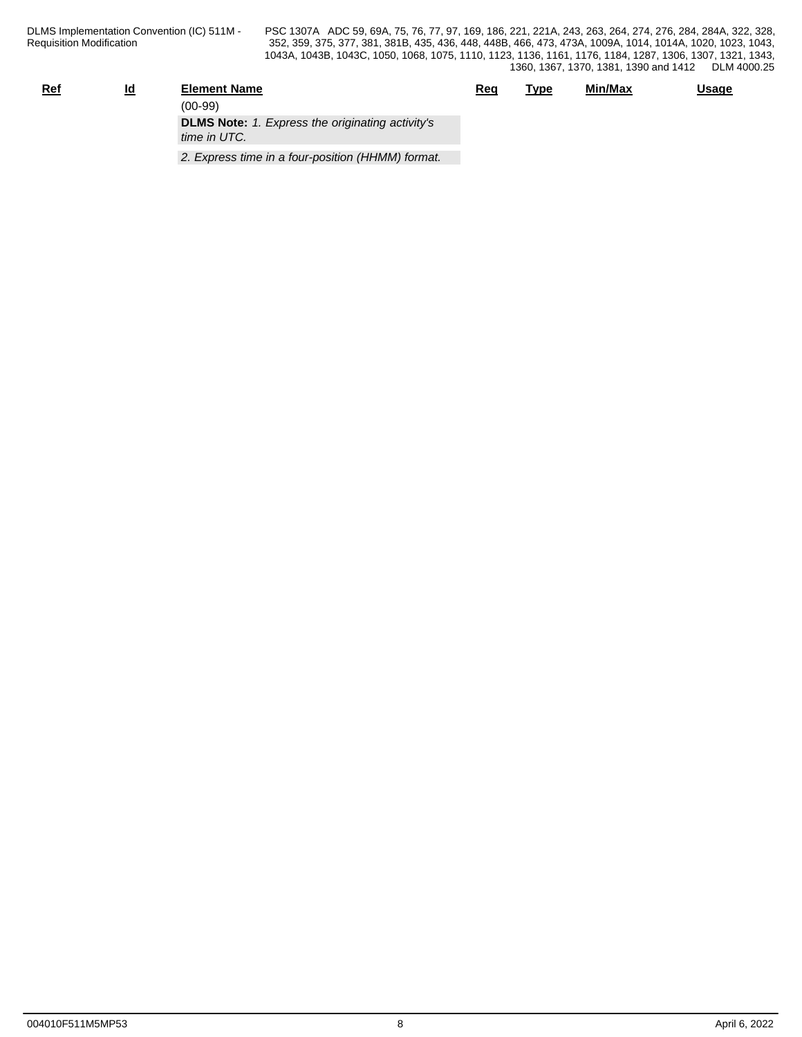| <u>Ref</u> | Id<br>-- | <b>Element Name</b>                                                     | <u>Req</u> | Type | Min/Max | <u>Usage</u> |
|------------|----------|-------------------------------------------------------------------------|------------|------|---------|--------------|
|            |          | $(00-99)$                                                               |            |      |         |              |
|            |          | <b>DLMS Note:</b> 1. Express the originating activity's<br>time in UTC. |            |      |         |              |
|            |          | 2. Express time in a four-position (HHMM) format.                       |            |      |         |              |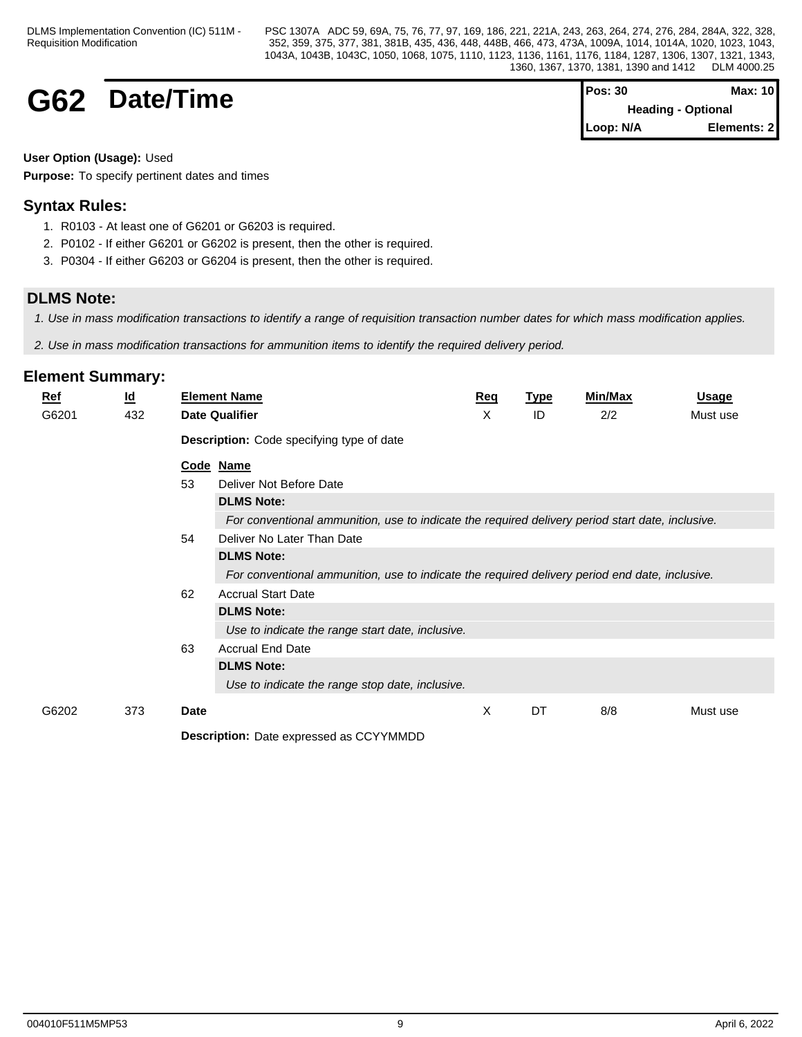## **G62** Date/Time

| <b>Pos: 30</b> | <b>Max: 10</b>            |  |
|----------------|---------------------------|--|
|                | <b>Heading - Optional</b> |  |
| Loop: N/A      | Elements: 2               |  |

### **User Option (Usage):** Used

**Purpose:** To specify pertinent dates and times

## **Syntax Rules:**

- 1. R0103 At least one of G6201 or G6203 is required.
- 2. P0102 If either G6201 or G6202 is present, then the other is required.
- 3. P0304 If either G6203 or G6204 is present, then the other is required.

## **DLMS Note:**

*1. Use in mass modification transactions to identify a range of requisition transaction number dates for which mass modification applies.*

*2. Use in mass modification transactions for ammunition items to identify the required delivery period.*

| <u>Ref</u> | $\underline{\mathsf{Id}}$ |      | <b>Element Name</b>                                                                              | Req | <b>Type</b> | <b>Min/Max</b> | <u>Usage</u> |
|------------|---------------------------|------|--------------------------------------------------------------------------------------------------|-----|-------------|----------------|--------------|
| G6201      | 432                       |      | <b>Date Qualifier</b>                                                                            | X   | ID          | 2/2            | Must use     |
|            |                           |      | <b>Description:</b> Code specifying type of date                                                 |     |             |                |              |
|            |                           |      | Code Name                                                                                        |     |             |                |              |
|            |                           | 53   | Deliver Not Before Date                                                                          |     |             |                |              |
|            |                           |      | <b>DLMS Note:</b>                                                                                |     |             |                |              |
|            |                           |      | For conventional ammunition, use to indicate the required delivery period start date, inclusive. |     |             |                |              |
|            |                           | 54   | Deliver No Later Than Date                                                                       |     |             |                |              |
|            |                           |      | <b>DLMS Note:</b>                                                                                |     |             |                |              |
|            |                           |      | For conventional ammunition, use to indicate the required delivery period end date, inclusive.   |     |             |                |              |
|            |                           | 62   | <b>Accrual Start Date</b>                                                                        |     |             |                |              |
|            |                           |      | <b>DLMS Note:</b>                                                                                |     |             |                |              |
|            |                           |      | Use to indicate the range start date, inclusive.                                                 |     |             |                |              |
|            |                           | 63   | <b>Accrual End Date</b>                                                                          |     |             |                |              |
|            |                           |      | <b>DLMS Note:</b>                                                                                |     |             |                |              |
|            |                           |      | Use to indicate the range stop date, inclusive.                                                  |     |             |                |              |
| G6202      | 373                       | Date |                                                                                                  | X   | DT          | 8/8            | Must use     |
|            |                           |      | <b>Description:</b> Date expressed as CCYYMMDD                                                   |     |             |                |              |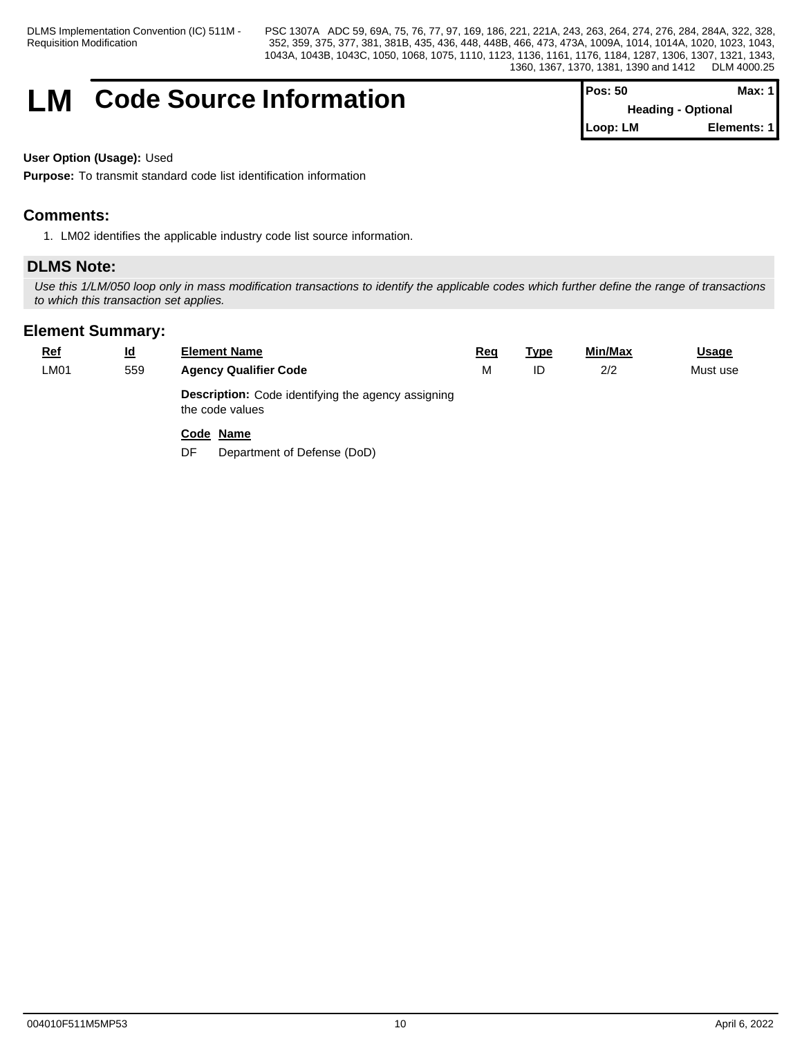DLMS Implementation Convention (IC) 511M - Requisition Modification

PSC 1307A ADC 59, 69A, 75, 76, 77, 97, 169, 186, 221, 221A, 243, 263, 264, 274, 276, 284, 284A, 322, 328, 352, 359, 375, 377, 381, 381B, 435, 436, 448, 448B, 466, 473, 473A, 1009A, 1014, 1014A, 1020, 1023, 1043, 1043A, 1043B, 1043C, 1050, 1068, 1075, 1110, 1123, 1136, 1161, 1176, 1184, 1287, 1306, 1307, 1321, 1343, 1360, 1367, 1370, 1381, 1390 and 1412 DLM 4000.25

## **LM** Code Source Information

| $Pos: 50$                 | Max: $1$    |  |
|---------------------------|-------------|--|
| <b>Heading - Optional</b> |             |  |
| Loop: LM                  | Elements: 1 |  |

#### **User Option (Usage):** Used

**Purpose:** To transmit standard code list identification information

## **Comments:**

1. LM02 identifies the applicable industry code list source information.

## **DLMS Note:**

*Use this 1/LM/050 loop only in mass modification transactions to identify the applicable codes which further define the range of transactions to which this transaction set applies.*

| <u>Ref</u> | $\underline{\mathsf{Id}}$ | <b>Element Name</b>                                                          | Req | <b>Type</b> | Min/Max | <b>Usage</b> |
|------------|---------------------------|------------------------------------------------------------------------------|-----|-------------|---------|--------------|
| LM01       | 559                       | <b>Agency Qualifier Code</b>                                                 | M   | ID          | 2/2     | Must use     |
|            |                           | <b>Description:</b> Code identifying the agency assigning<br>the code values |     |             |         |              |
|            |                           | Code Name                                                                    |     |             |         |              |
|            |                           | Department of Defense (DoD)<br>DF                                            |     |             |         |              |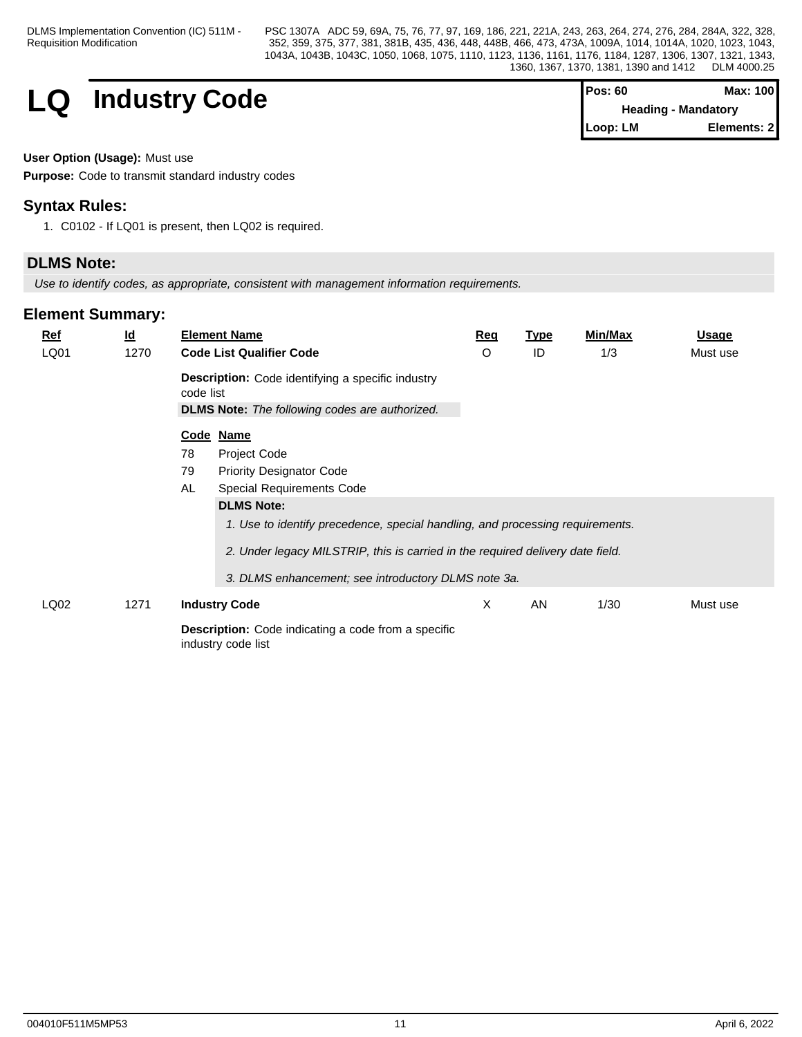DLMS Implementation Convention (IC) 511M - Requisition Modification

PSC 1307A ADC 59, 69A, 75, 76, 77, 97, 169, 186, 221, 221A, 243, 263, 264, 274, 276, 284, 284A, 322, 328, 352, 359, 375, 377, 381, 381B, 435, 436, 448, 448B, 466, 473, 473A, 1009A, 1014, 1014A, 1020, 1023, 1043, 1043A, 1043B, 1043C, 1050, 1068, 1075, 1110, 1123, 1136, 1161, 1176, 1184, 1287, 1306, 1307, 1321, 1343, 1360, 1367, 1370, 1381, 1390 and 1412 DLM 4000.25

## $LQ$  **Industry Code**

| <b>Pos: 60</b> | Max: 100                   |
|----------------|----------------------------|
|                | <b>Heading - Mandatory</b> |
| Loop: LM       | Elements: 2                |

#### **User Option (Usage):** Must use

**Purpose:** Code to transmit standard industry codes

## **Syntax Rules:**

1. C0102 - If LQ01 is present, then LQ02 is required.

## **DLMS Note:**

*Use to identify codes, as appropriate, consistent with management information requirements.*

| <u>Ref</u> | $\underline{\mathsf{Id}}$ |           | <b>Element Name</b>                                                                                               | Req | <b>Type</b> | Min/Max | <b>Usage</b> |
|------------|---------------------------|-----------|-------------------------------------------------------------------------------------------------------------------|-----|-------------|---------|--------------|
| LQ01       | 1270                      |           | <b>Code List Qualifier Code</b>                                                                                   | O   | ID          | 1/3     | Must use     |
|            |                           | code list | <b>Description:</b> Code identifying a specific industry<br><b>DLMS Note:</b> The following codes are authorized. |     |             |         |              |
|            |                           |           | Code Name                                                                                                         |     |             |         |              |
|            |                           | 78        | Project Code                                                                                                      |     |             |         |              |
|            |                           | 79        | <b>Priority Designator Code</b>                                                                                   |     |             |         |              |
|            |                           | AL        | Special Requirements Code                                                                                         |     |             |         |              |
|            |                           |           | <b>DLMS Note:</b>                                                                                                 |     |             |         |              |
|            |                           |           | 1. Use to identify precedence, special handling, and processing requirements.                                     |     |             |         |              |
|            |                           |           | 2. Under legacy MILSTRIP, this is carried in the required delivery date field.                                    |     |             |         |              |
|            |                           |           | 3. DLMS enhancement; see introductory DLMS note 3a.                                                               |     |             |         |              |
| LQ02       | 1271                      |           | <b>Industry Code</b>                                                                                              | X   | AN          | 1/30    | Must use     |
|            |                           |           | <b>Description:</b> Code indicating a code from a specific<br>industry code list                                  |     |             |         |              |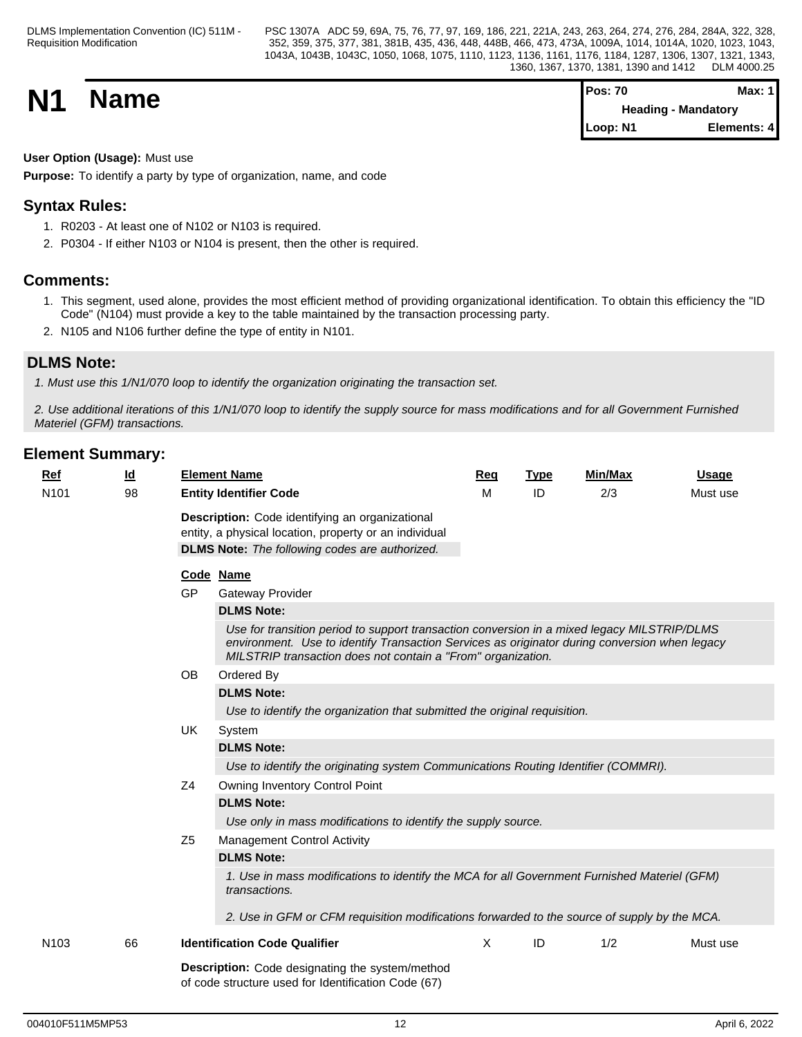**N1 Name Pos: 70 Max: 1 Max: 1 Max: 1 Max: 1 Max: 1 Max: 1 Max: 1 Max: 1 Max: 1 Heading - Mandatory Loop: N1 Elements: 4**

## **User Option (Usage):** Must use

**Purpose:** To identify a party by type of organization, name, and code

## **Syntax Rules:**

- 1. R0203 At least one of N102 or N103 is required.
- 2. P0304 If either N103 or N104 is present, then the other is required.

## **Comments:**

- 1. This segment, used alone, provides the most efficient method of providing organizational identification. To obtain this efficiency the "ID Code" (N104) must provide a key to the table maintained by the transaction processing party.
- 2. N105 and N106 further define the type of entity in N101.

## **DLMS Note:**

*1. Must use this 1/N1/070 loop to identify the organization originating the transaction set.*

*2. Use additional iterations of this 1/N1/070 loop to identify the supply source for mass modifications and for all Government Furnished Materiel (GFM) transactions.*

| Ref<br>N <sub>101</sub> | <u>ld</u><br>98 | <b>Element Name</b><br><b>Entity Identifier Code</b>                                                                                                                                                                                                         | Req<br>M | <b>Type</b><br>ID | <b>Min/Max</b><br>2/3 | <b>Usage</b><br>Must use |  |  |  |  |  |  |
|-------------------------|-----------------|--------------------------------------------------------------------------------------------------------------------------------------------------------------------------------------------------------------------------------------------------------------|----------|-------------------|-----------------------|--------------------------|--|--|--|--|--|--|
|                         |                 | Description: Code identifying an organizational<br>entity, a physical location, property or an individual<br><b>DLMS Note:</b> The following codes are authorized.                                                                                           |          |                   |                       |                          |  |  |  |  |  |  |
|                         |                 | Code Name                                                                                                                                                                                                                                                    |          |                   |                       |                          |  |  |  |  |  |  |
|                         |                 | <b>GP</b><br><b>Gateway Provider</b>                                                                                                                                                                                                                         |          |                   |                       |                          |  |  |  |  |  |  |
|                         |                 | <b>DLMS Note:</b>                                                                                                                                                                                                                                            |          |                   |                       |                          |  |  |  |  |  |  |
|                         |                 | Use for transition period to support transaction conversion in a mixed legacy MILSTRIP/DLMS<br>environment. Use to identify Transaction Services as originator during conversion when legacy<br>MILSTRIP transaction does not contain a "From" organization. |          |                   |                       |                          |  |  |  |  |  |  |
|                         |                 | <b>OB</b><br>Ordered By                                                                                                                                                                                                                                      |          |                   |                       |                          |  |  |  |  |  |  |
|                         |                 | <b>DLMS Note:</b>                                                                                                                                                                                                                                            |          |                   |                       |                          |  |  |  |  |  |  |
|                         |                 | Use to identify the organization that submitted the original requisition.                                                                                                                                                                                    |          |                   |                       |                          |  |  |  |  |  |  |
|                         |                 | UK<br>System                                                                                                                                                                                                                                                 |          |                   |                       |                          |  |  |  |  |  |  |
|                         |                 | <b>DLMS Note:</b>                                                                                                                                                                                                                                            |          |                   |                       |                          |  |  |  |  |  |  |
|                         |                 | Use to identify the originating system Communications Routing Identifier (COMMRI).                                                                                                                                                                           |          |                   |                       |                          |  |  |  |  |  |  |
|                         |                 | Z <sub>4</sub><br>Owning Inventory Control Point                                                                                                                                                                                                             |          |                   |                       |                          |  |  |  |  |  |  |
|                         |                 | <b>DLMS Note:</b>                                                                                                                                                                                                                                            |          |                   |                       |                          |  |  |  |  |  |  |
|                         |                 | Use only in mass modifications to identify the supply source.                                                                                                                                                                                                |          |                   |                       |                          |  |  |  |  |  |  |
|                         |                 | Z <sub>5</sub><br><b>Management Control Activity</b>                                                                                                                                                                                                         |          |                   |                       |                          |  |  |  |  |  |  |
|                         |                 | <b>DLMS Note:</b>                                                                                                                                                                                                                                            |          |                   |                       |                          |  |  |  |  |  |  |
|                         |                 | 1. Use in mass modifications to identify the MCA for all Government Furnished Materiel (GFM)<br>transactions.                                                                                                                                                |          |                   |                       |                          |  |  |  |  |  |  |
|                         |                 | 2. Use in GFM or CFM requisition modifications forwarded to the source of supply by the MCA.                                                                                                                                                                 |          |                   |                       |                          |  |  |  |  |  |  |
| N <sub>103</sub>        | 66              | <b>Identification Code Qualifier</b>                                                                                                                                                                                                                         | X        | ID                | 1/2                   | Must use                 |  |  |  |  |  |  |
|                         |                 | <b>Description:</b> Code designating the system/method<br>of code structure used for Identification Code (67)                                                                                                                                                |          |                   |                       |                          |  |  |  |  |  |  |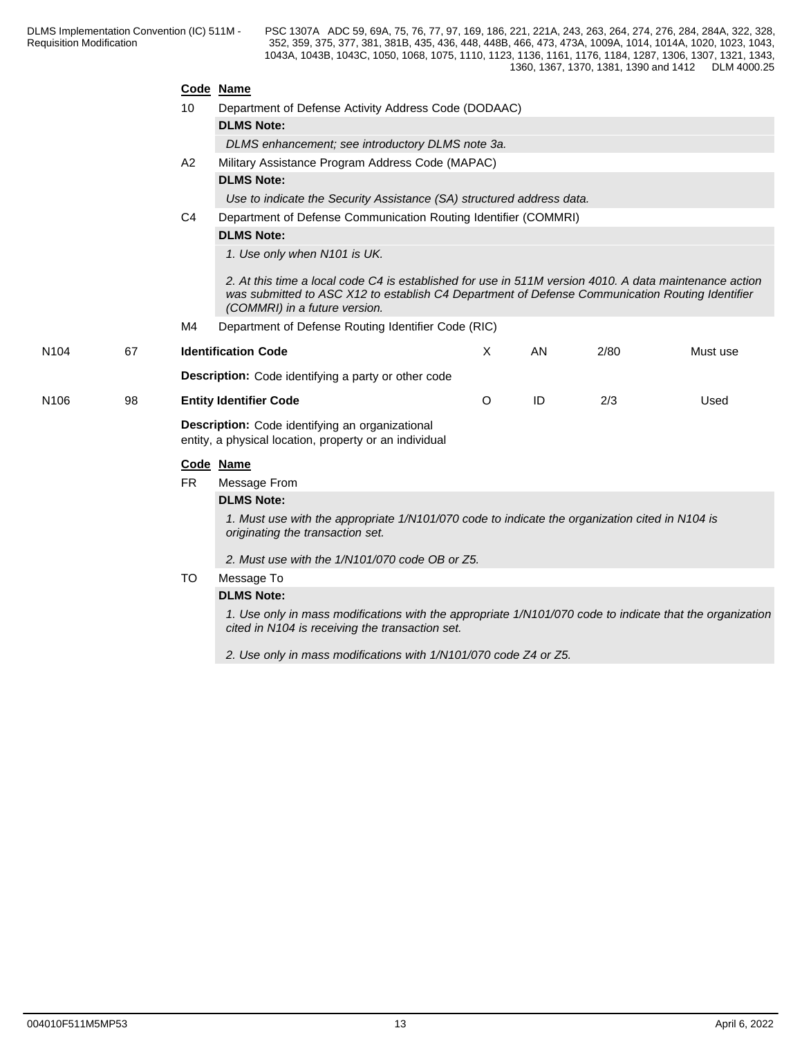|                  |    |                                                                                                           | Code Name                                                                                                                                                                                                                                  |         |    |      |          |  |  |  |  |  |
|------------------|----|-----------------------------------------------------------------------------------------------------------|--------------------------------------------------------------------------------------------------------------------------------------------------------------------------------------------------------------------------------------------|---------|----|------|----------|--|--|--|--|--|
|                  |    | 10                                                                                                        | Department of Defense Activity Address Code (DODAAC)                                                                                                                                                                                       |         |    |      |          |  |  |  |  |  |
|                  |    |                                                                                                           | <b>DLMS Note:</b>                                                                                                                                                                                                                          |         |    |      |          |  |  |  |  |  |
|                  |    |                                                                                                           | DLMS enhancement; see introductory DLMS note 3a.                                                                                                                                                                                           |         |    |      |          |  |  |  |  |  |
|                  |    | A2                                                                                                        | Military Assistance Program Address Code (MAPAC)                                                                                                                                                                                           |         |    |      |          |  |  |  |  |  |
|                  |    |                                                                                                           | <b>DLMS Note:</b>                                                                                                                                                                                                                          |         |    |      |          |  |  |  |  |  |
|                  |    |                                                                                                           | Use to indicate the Security Assistance (SA) structured address data.                                                                                                                                                                      |         |    |      |          |  |  |  |  |  |
|                  |    | C <sub>4</sub>                                                                                            | Department of Defense Communication Routing Identifier (COMMRI)                                                                                                                                                                            |         |    |      |          |  |  |  |  |  |
|                  |    |                                                                                                           | <b>DLMS Note:</b>                                                                                                                                                                                                                          |         |    |      |          |  |  |  |  |  |
|                  |    |                                                                                                           | 1. Use only when N101 is UK.                                                                                                                                                                                                               |         |    |      |          |  |  |  |  |  |
|                  |    |                                                                                                           | 2. At this time a local code C4 is established for use in 511M version 4010. A data maintenance action<br>was submitted to ASC X12 to establish C4 Department of Defense Communication Routing Identifier<br>(COMMRI) in a future version. |         |    |      |          |  |  |  |  |  |
|                  |    | M4                                                                                                        | Department of Defense Routing Identifier Code (RIC)                                                                                                                                                                                        |         |    |      |          |  |  |  |  |  |
| N <sub>104</sub> | 67 |                                                                                                           | <b>Identification Code</b>                                                                                                                                                                                                                 | X       | AN | 2/80 | Must use |  |  |  |  |  |
|                  |    |                                                                                                           | Description: Code identifying a party or other code                                                                                                                                                                                        |         |    |      |          |  |  |  |  |  |
| N <sub>106</sub> | 98 |                                                                                                           | <b>Entity Identifier Code</b>                                                                                                                                                                                                              | $\circ$ | ID | 2/3  | Used     |  |  |  |  |  |
|                  |    | Description: Code identifying an organizational<br>entity, a physical location, property or an individual |                                                                                                                                                                                                                                            |         |    |      |          |  |  |  |  |  |
|                  |    | Code Name                                                                                                 |                                                                                                                                                                                                                                            |         |    |      |          |  |  |  |  |  |
|                  |    | <b>FR</b>                                                                                                 | Message From                                                                                                                                                                                                                               |         |    |      |          |  |  |  |  |  |
|                  |    |                                                                                                           | <b>DLMS Note:</b>                                                                                                                                                                                                                          |         |    |      |          |  |  |  |  |  |
|                  |    |                                                                                                           | 1. Must use with the appropriate 1/N101/070 code to indicate the organization cited in N104 is<br>originating the transaction set.                                                                                                         |         |    |      |          |  |  |  |  |  |
|                  |    |                                                                                                           | 2. Must use with the 1/N101/070 code OB or Z5.                                                                                                                                                                                             |         |    |      |          |  |  |  |  |  |
|                  |    | TO                                                                                                        | Message To                                                                                                                                                                                                                                 |         |    |      |          |  |  |  |  |  |
|                  |    |                                                                                                           | <b>DLMS Note:</b>                                                                                                                                                                                                                          |         |    |      |          |  |  |  |  |  |
|                  |    |                                                                                                           | 1. Use only in mass modifications with the appropriate 1/N101/070 code to indicate that the organization<br>cited in N104 is receiving the transaction set.                                                                                |         |    |      |          |  |  |  |  |  |

*2. Use only in mass modifications with 1/N101/070 code Z4 or Z5.*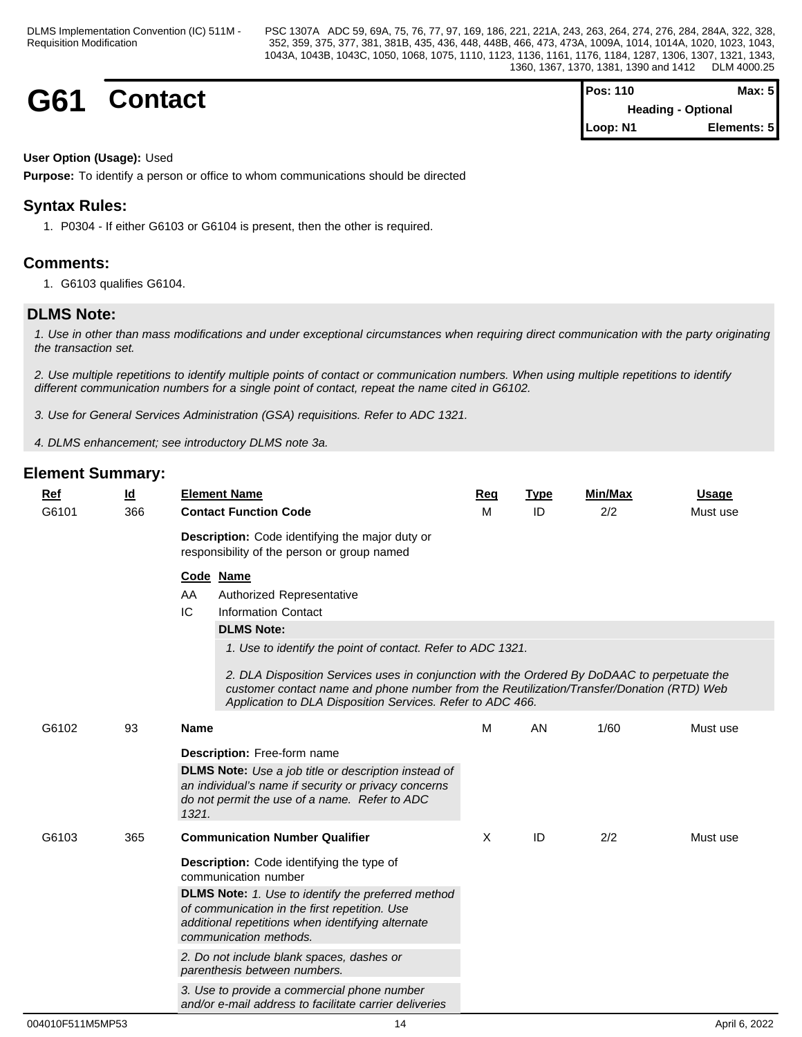**G61 Contact Pos:** 110 **Max:** 5 **Heading - Optional Loop: N1 Elements: 5**

### **User Option (Usage):** Used

**Purpose:** To identify a person or office to whom communications should be directed

## **Syntax Rules:**

1. P0304 - If either G6103 or G6104 is present, then the other is required.

## **Comments:**

1. G6103 qualifies G6104.

## **DLMS Note:**

*1. Use in other than mass modifications and under exceptional circumstances when requiring direct communication with the party originating the transaction set.*

*2. Use multiple repetitions to identify multiple points of contact or communication numbers. When using multiple repetitions to identify different communication numbers for a single point of contact, repeat the name cited in G6102.*

*3. Use for General Services Administration (GSA) requisitions. Refer to ADC 1321.*

*4. DLMS enhancement; see introductory DLMS note 3a.*

| Ref   | $\underline{\mathsf{Id}}$ | <b>Element Name</b>                                                                                                                                                                                                                                                                                                                                                                                                             | Req | <b>Type</b> | <b>Min/Max</b> | <b>Usage</b> |
|-------|---------------------------|---------------------------------------------------------------------------------------------------------------------------------------------------------------------------------------------------------------------------------------------------------------------------------------------------------------------------------------------------------------------------------------------------------------------------------|-----|-------------|----------------|--------------|
| G6101 | 366                       | <b>Contact Function Code</b>                                                                                                                                                                                                                                                                                                                                                                                                    | M   | ID          | 2/2            | Must use     |
|       |                           | Description: Code identifying the major duty or<br>responsibility of the person or group named                                                                                                                                                                                                                                                                                                                                  |     |             |                |              |
|       |                           | Code Name<br>AA<br>Authorized Representative<br>IC<br><b>Information Contact</b><br><b>DLMS Note:</b><br>1. Use to identify the point of contact. Refer to ADC 1321.<br>2. DLA Disposition Services uses in conjunction with the Ordered By DoDAAC to perpetuate the<br>customer contact name and phone number from the Reutilization/Transfer/Donation (RTD) Web<br>Application to DLA Disposition Services. Refer to ADC 466. |     |             |                |              |
| G6102 | 93                        | <b>Name</b><br>Description: Free-form name                                                                                                                                                                                                                                                                                                                                                                                      | M   | AN          | 1/60           | Must use     |
|       |                           | <b>DLMS Note:</b> Use a job title or description instead of<br>an individual's name if security or privacy concerns<br>do not permit the use of a name. Refer to ADC<br>1321.                                                                                                                                                                                                                                                   |     |             |                |              |
| G6103 | 365                       | <b>Communication Number Qualifier</b>                                                                                                                                                                                                                                                                                                                                                                                           | X   | ID          | 2/2            | Must use     |
|       |                           | Description: Code identifying the type of<br>communication number                                                                                                                                                                                                                                                                                                                                                               |     |             |                |              |
|       |                           | <b>DLMS Note:</b> 1. Use to identify the preferred method<br>of communication in the first repetition. Use<br>additional repetitions when identifying alternate<br>communication methods.                                                                                                                                                                                                                                       |     |             |                |              |
|       |                           | 2. Do not include blank spaces, dashes or<br>parenthesis between numbers.                                                                                                                                                                                                                                                                                                                                                       |     |             |                |              |
|       |                           | 3. Use to provide a commercial phone number<br>and/or e-mail address to facilitate carrier deliveries                                                                                                                                                                                                                                                                                                                           |     |             |                |              |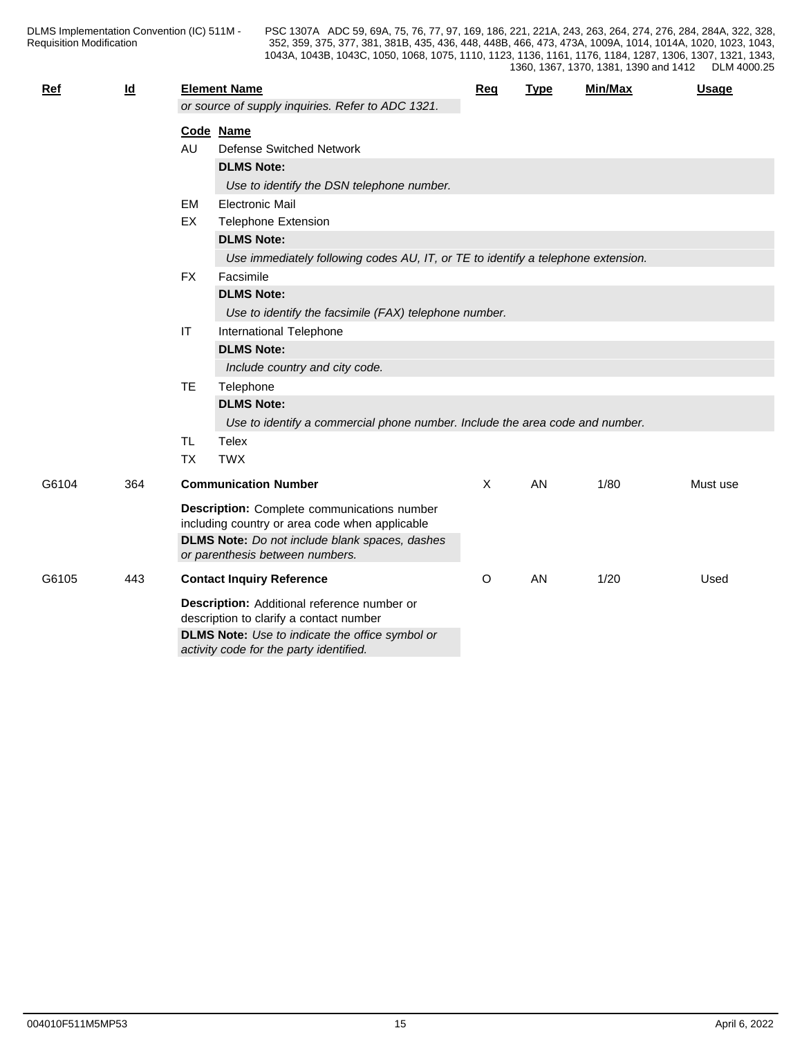| <b>Ref</b> | $\underline{\mathsf{Id}}$ |           | <b>Element Name</b>                                                                               | <b>Req</b> | <b>Type</b> | Min/Max | <b>Usage</b> |  |  |  |
|------------|---------------------------|-----------|---------------------------------------------------------------------------------------------------|------------|-------------|---------|--------------|--|--|--|
|            |                           |           | or source of supply inquiries. Refer to ADC 1321.                                                 |            |             |         |              |  |  |  |
|            |                           |           | Code Name                                                                                         |            |             |         |              |  |  |  |
|            |                           | AU        | <b>Defense Switched Network</b>                                                                   |            |             |         |              |  |  |  |
|            |                           |           | <b>DLMS Note:</b>                                                                                 |            |             |         |              |  |  |  |
|            |                           |           | Use to identify the DSN telephone number.                                                         |            |             |         |              |  |  |  |
|            |                           | <b>EM</b> | <b>Electronic Mail</b>                                                                            |            |             |         |              |  |  |  |
|            |                           | EX        | <b>Telephone Extension</b>                                                                        |            |             |         |              |  |  |  |
|            |                           |           | <b>DLMS Note:</b>                                                                                 |            |             |         |              |  |  |  |
|            |                           |           | Use immediately following codes AU, IT, or TE to identify a telephone extension.                  |            |             |         |              |  |  |  |
|            |                           | <b>FX</b> | Facsimile                                                                                         |            |             |         |              |  |  |  |
|            |                           |           | <b>DLMS Note:</b>                                                                                 |            |             |         |              |  |  |  |
|            |                           |           | Use to identify the facsimile (FAX) telephone number.                                             |            |             |         |              |  |  |  |
|            |                           | $\sf IT$  | International Telephone                                                                           |            |             |         |              |  |  |  |
|            |                           |           | <b>DLMS Note:</b>                                                                                 |            |             |         |              |  |  |  |
|            |                           |           | Include country and city code.                                                                    |            |             |         |              |  |  |  |
|            |                           | <b>TE</b> | Telephone                                                                                         |            |             |         |              |  |  |  |
|            |                           |           | <b>DLMS Note:</b>                                                                                 |            |             |         |              |  |  |  |
|            |                           |           | Use to identify a commercial phone number. Include the area code and number.                      |            |             |         |              |  |  |  |
|            |                           | <b>TL</b> | Telex                                                                                             |            |             |         |              |  |  |  |
|            |                           | <b>TX</b> | <b>TWX</b>                                                                                        |            |             |         |              |  |  |  |
| G6104      | 364                       |           | <b>Communication Number</b>                                                                       | $\times$   | AN          | 1/80    | Must use     |  |  |  |
|            |                           |           | <b>Description:</b> Complete communications number                                                |            |             |         |              |  |  |  |
|            |                           |           | including country or area code when applicable                                                    |            |             |         |              |  |  |  |
|            |                           |           | DLMS Note: Do not include blank spaces, dashes                                                    |            |             |         |              |  |  |  |
|            |                           |           | or parenthesis between numbers.                                                                   |            |             |         |              |  |  |  |
| G6105      | 443                       |           | <b>Contact Inquiry Reference</b>                                                                  | O          | AN          | 1/20    | Used         |  |  |  |
|            |                           |           | Description: Additional reference number or<br>description to clarify a contact number            |            |             |         |              |  |  |  |
|            |                           |           | <b>DLMS Note:</b> Use to indicate the office symbol or<br>activity code for the party identified. |            |             |         |              |  |  |  |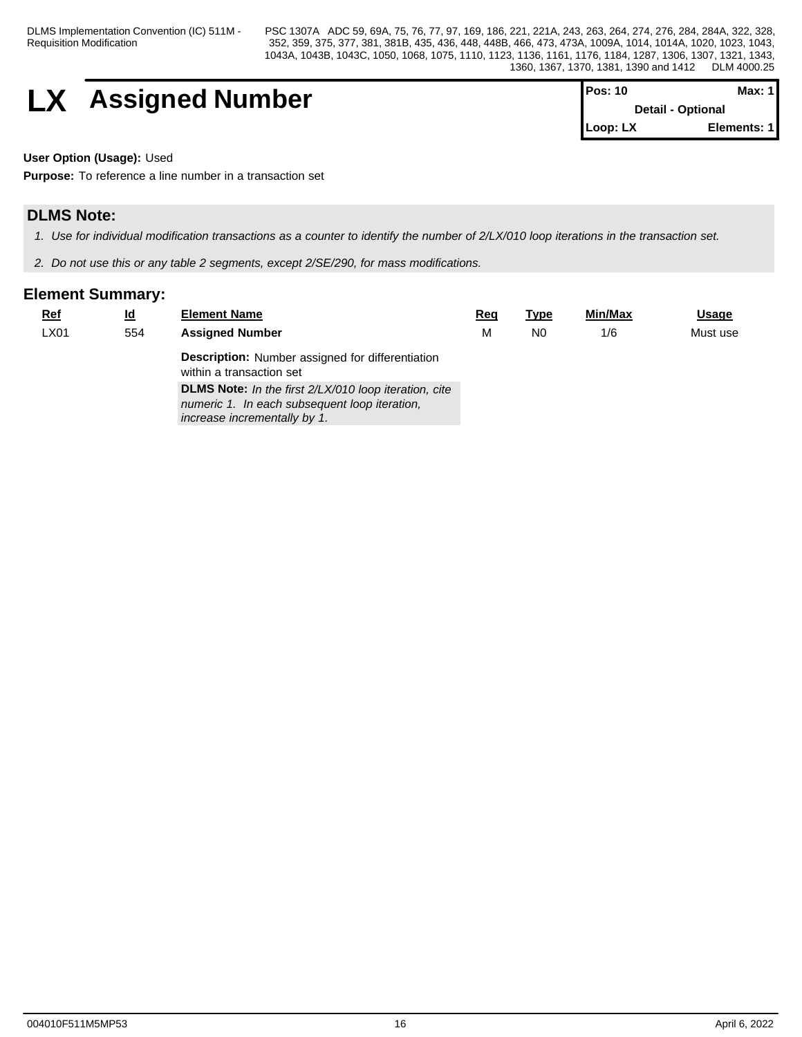DLMS Implementation Convention (IC) 511M - Requisition Modification

PSC 1307A ADC 59, 69A, 75, 76, 77, 97, 169, 186, 221, 221A, 243, 263, 264, 274, 276, 284, 284A, 322, 328, 352, 359, 375, 377, 381, 381B, 435, 436, 448, 448B, 466, 473, 473A, 1009A, 1014, 1014A, 1020, 1023, 1043, 1043A, 1043B, 1043C, 1050, 1068, 1075, 1110, 1123, 1136, 1161, 1176, 1184, 1287, 1306, 1307, 1321, 1343, 1360, 1367, 1370, 1381, 1390 and 1412 DLM 4000.25

$$
\begin{array}{|c|c|c|c|}\n \hline\n & \text{Assigned Number} & \text{Pos: 10} & \text{Data: 1} \\
\hline\n & \text{Details: Optional} & \text{Dertain-Optional} & \text{Max: 1} \\
\hline\n\end{array}
$$

| lPos: 10                 | Max: 1      |  |
|--------------------------|-------------|--|
| <b>Detail - Optional</b> |             |  |
| <b>ILoop: LX</b>         | Elements: 1 |  |

**User Option (Usage):** Used

**Purpose:** To reference a line number in a transaction set

## **DLMS Note:**

*1. Use for individual modification transactions as a counter to identify the number of 2/LX/010 loop iterations in the transaction set.*

*2. Do not use this or any table 2 segments, except 2/SE/290, for mass modifications.*

| <u>Ref</u> | <u>ld</u> | <b>Element Name</b>                                                                 | <u>Req</u> | Type | <b>Min/Max</b> | <u>Usage</u> |
|------------|-----------|-------------------------------------------------------------------------------------|------------|------|----------------|--------------|
| LX01       | 554       | <b>Assigned Number</b>                                                              | М          | N0   | 1/6            | Must use     |
|            |           | <b>Description:</b> Number assigned for differentiation<br>within a transaction set |            |      |                |              |
|            |           | <b>DLMS Note:</b> In the first 2/LX/010 loop iteration, cite                        |            |      |                |              |
|            |           | numeric 1. In each subsequent loop iteration,<br>increase incrementally by 1.       |            |      |                |              |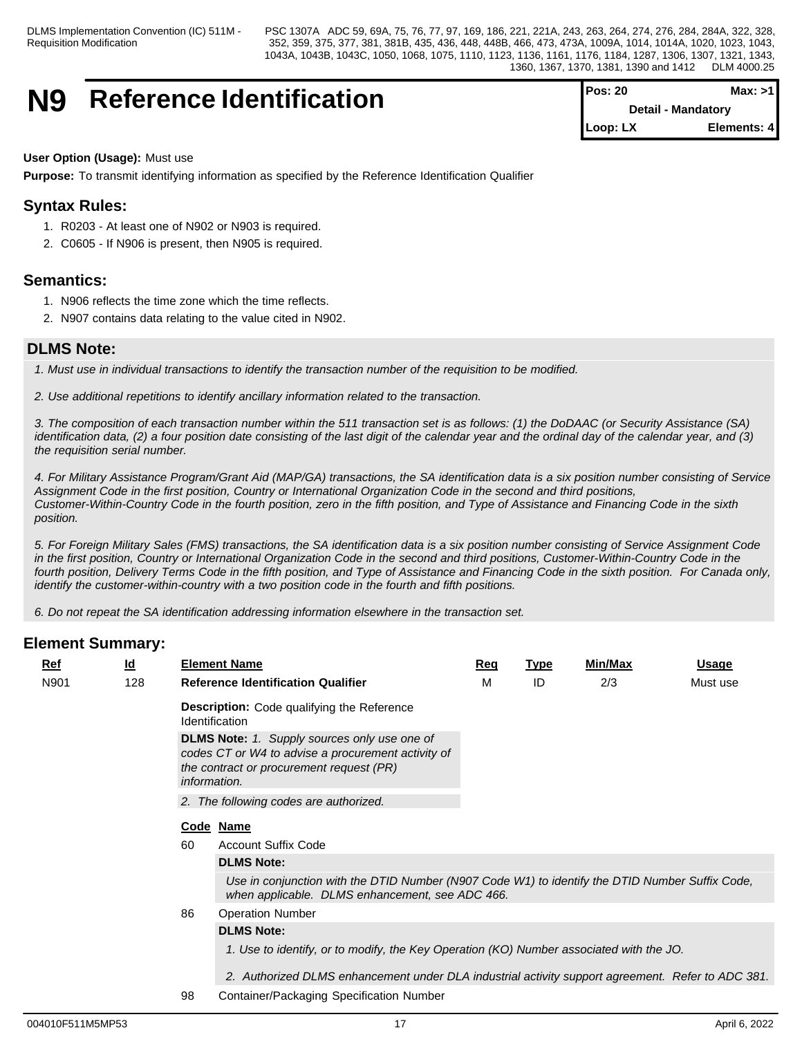## **N9** Reference Identification

| <b>Pos: 20</b> | Max: >1                   |
|----------------|---------------------------|
|                | <b>Detail - Mandatory</b> |
| Loop: LX       | Elements: 4               |

### **User Option (Usage):** Must use

**Purpose:** To transmit identifying information as specified by the Reference Identification Qualifier

## **Syntax Rules:**

- 1. R0203 At least one of N902 or N903 is required.
- 2. C0605 If N906 is present, then N905 is required.

## **Semantics:**

- 1. N906 reflects the time zone which the time reflects.
- 2. N907 contains data relating to the value cited in N902.

## **DLMS Note:**

*1. Must use in individual transactions to identify the transaction number of the requisition to be modified.* 

*2. Use additional repetitions to identify ancillary information related to the transaction.*

*3. The composition of each transaction number within the 511 transaction set is as follows: (1) the DoDAAC (or Security Assistance (SA) identification data, (2) a four position date consisting of the last digit of the calendar year and the ordinal day of the calendar year, and (3) the requisition serial number.*

*4. For Military Assistance Program/Grant Aid (MAP/GA) transactions, the SA identification data is a six position number consisting of Service Assignment Code in the first position, Country or International Organization Code in the second and third positions, Customer-Within-Country Code in the fourth position, zero in the fifth position, and Type of Assistance and Financing Code in the sixth position.* 

*5. For Foreign Military Sales (FMS) transactions, the SA identification data is a six position number consisting of Service Assignment Code in the first position, Country or International Organization Code in the second and third positions, Customer-Within-Country Code in the fourth position, Delivery Terms Code in the fifth position, and Type of Assistance and Financing Code in the sixth position. For Canada only, identify the customer-within-country with a two position code in the fourth and fifth positions.*

*6. Do not repeat the SA identification addressing information elsewhere in the transaction set.*

| <u>Ref</u> | <u>ld</u> |    | <b>Element Name</b>                                                                                                                                                          | <u>Req</u> | <u>Type</u> | <b>Min/Max</b> | <u>Usage</u> |
|------------|-----------|----|------------------------------------------------------------------------------------------------------------------------------------------------------------------------------|------------|-------------|----------------|--------------|
| N901       | 128       |    | <b>Reference Identification Qualifier</b>                                                                                                                                    | м          | ID          | 2/3            | Must use     |
|            |           |    | <b>Description:</b> Code qualifying the Reference<br><b>Identification</b>                                                                                                   |            |             |                |              |
|            |           |    | <b>DLMS Note:</b> 1. Supply sources only use one of<br>codes CT or W4 to advise a procurement activity of<br>the contract or procurement request (PR)<br><i>information.</i> |            |             |                |              |
|            |           |    | 2. The following codes are authorized.                                                                                                                                       |            |             |                |              |
|            |           |    | Code Name                                                                                                                                                                    |            |             |                |              |
|            |           | 60 | <b>Account Suffix Code</b>                                                                                                                                                   |            |             |                |              |
|            |           |    | <b>DLMS Note:</b>                                                                                                                                                            |            |             |                |              |
|            |           |    | Use in conjunction with the DTID Number (N907 Code W1) to identify the DTID Number Suffix Code,<br>when applicable. DLMS enhancement, see ADC 466.                           |            |             |                |              |
|            |           | 86 | <b>Operation Number</b>                                                                                                                                                      |            |             |                |              |
|            |           |    | <b>DLMS Note:</b>                                                                                                                                                            |            |             |                |              |
|            |           |    | 1. Use to identify, or to modify, the Key Operation (KO) Number associated with the JO.                                                                                      |            |             |                |              |
|            |           |    | 2. Authorized DLMS enhancement under DLA industrial activity support agreement. Refer to ADC 381.                                                                            |            |             |                |              |
|            |           | 98 | Container/Packaging Specification Number                                                                                                                                     |            |             |                |              |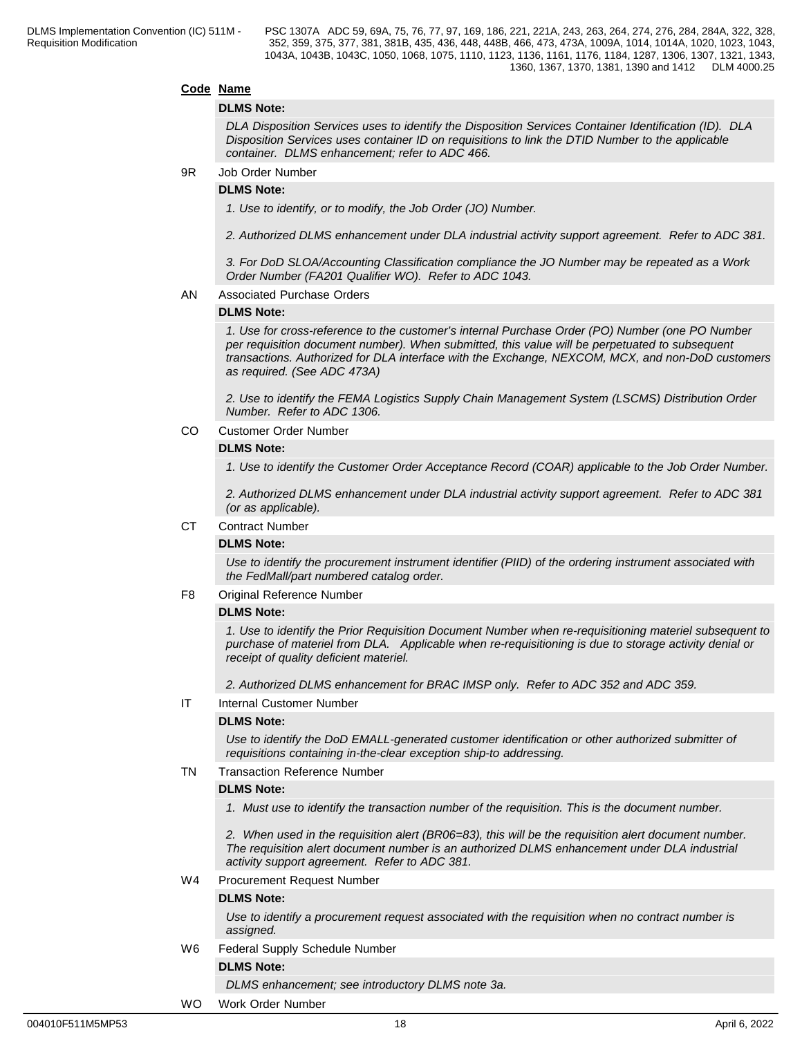#### **Code Name**

#### **DLMS Note:**

*DLA Disposition Services uses to identify the Disposition Services Container Identification (ID). DLA Disposition Services uses container ID on requisitions to link the DTID Number to the applicable container. DLMS enhancement; refer to ADC 466.*

#### 9R Job Order Number

#### **DLMS Note:**

*1. Use to identify, or to modify, the Job Order (JO) Number.*

*2. Authorized DLMS enhancement under DLA industrial activity support agreement. Refer to ADC 381.*

*3. For DoD SLOA/Accounting Classification compliance the JO Number may be repeated as a Work Order Number (FA201 Qualifier WO). Refer to ADC 1043.*

#### AN Associated Purchase Orders

#### **DLMS Note:**

*1. Use for cross-reference to the customer's internal Purchase Order (PO) Number (one PO Number per requisition document number). When submitted, this value will be perpetuated to subsequent transactions. Authorized for DLA interface with the Exchange, NEXCOM, MCX, and non-DoD customers as required. (See ADC 473A)*

*2. Use to identify the FEMA Logistics Supply Chain Management System (LSCMS) Distribution Order Number. Refer to ADC 1306.*

#### CO Customer Order Number

#### **DLMS Note:**

*1. Use to identify the Customer Order Acceptance Record (COAR) applicable to the Job Order Number.*

*2. Authorized DLMS enhancement under DLA industrial activity support agreement. Refer to ADC 381 (or as applicable).*

#### CT Contract Number

#### **DLMS Note:**

*Use to identify the procurement instrument identifier (PIID) of the ordering instrument associated with the FedMall/part numbered catalog order.*

#### F8 Original Reference Number

#### **DLMS Note:**

*1. Use to identify the Prior Requisition Document Number when re-requisitioning materiel subsequent to purchase of materiel from DLA. Applicable when re-requisitioning is due to storage activity denial or receipt of quality deficient materiel.*

*2. Authorized DLMS enhancement for BRAC IMSP only. Refer to ADC 352 and ADC 359.*

#### IT Internal Customer Number

#### **DLMS Note:**

*Use to identify the DoD EMALL-generated customer identification or other authorized submitter of requisitions containing in-the-clear exception ship-to addressing.*

#### TN Transaction Reference Number

#### **DLMS Note:**

*1. Must use to identify the transaction number of the requisition. This is the document number.*

*2. When used in the requisition alert (BR06=83), this will be the requisition alert document number. The requisition alert document number is an authorized DLMS enhancement under DLA industrial activity support agreement. Refer to ADC 381.*

#### W4 Procurement Request Number

#### **DLMS Note:**

*Use to identify a procurement request associated with the requisition when no contract number is assigned.*

W6 Federal Supply Schedule Number

#### **DLMS Note:**

*DLMS enhancement; see introductory DLMS note 3a.*

#### WO Work Order Number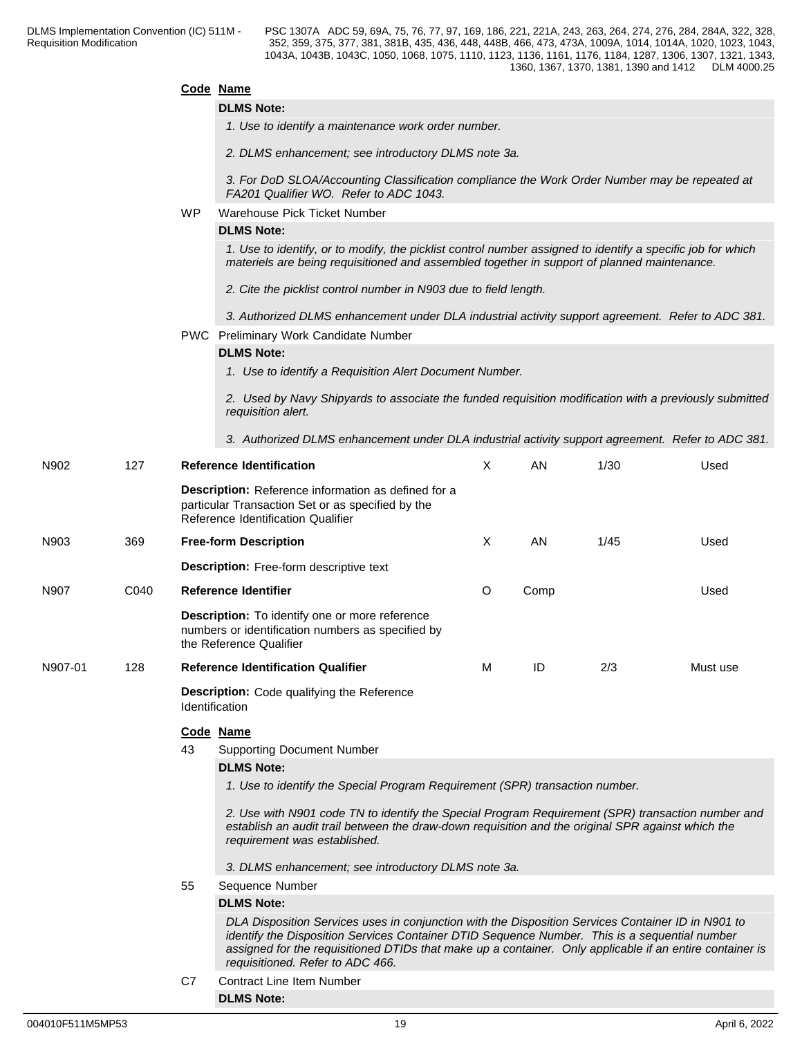|         |      |                                                                                                                                                                                                                                                                                                                                                     | Code Name                                                                                                                                                                                                                              |    |      |      |          |  |  |  |  |  |
|---------|------|-----------------------------------------------------------------------------------------------------------------------------------------------------------------------------------------------------------------------------------------------------------------------------------------------------------------------------------------------------|----------------------------------------------------------------------------------------------------------------------------------------------------------------------------------------------------------------------------------------|----|------|------|----------|--|--|--|--|--|
|         |      |                                                                                                                                                                                                                                                                                                                                                     | <b>DLMS Note:</b>                                                                                                                                                                                                                      |    |      |      |          |  |  |  |  |  |
|         |      |                                                                                                                                                                                                                                                                                                                                                     | 1. Use to identify a maintenance work order number.                                                                                                                                                                                    |    |      |      |          |  |  |  |  |  |
|         |      |                                                                                                                                                                                                                                                                                                                                                     | 2. DLMS enhancement; see introductory DLMS note 3a.                                                                                                                                                                                    |    |      |      |          |  |  |  |  |  |
|         |      |                                                                                                                                                                                                                                                                                                                                                     | 3. For DoD SLOA/Accounting Classification compliance the Work Order Number may be repeated at<br>FA201 Qualifier WO. Refer to ADC 1043.                                                                                                |    |      |      |          |  |  |  |  |  |
|         |      | <b>WP</b>                                                                                                                                                                                                                                                                                                                                           | Warehouse Pick Ticket Number                                                                                                                                                                                                           |    |      |      |          |  |  |  |  |  |
|         |      |                                                                                                                                                                                                                                                                                                                                                     | <b>DLMS Note:</b>                                                                                                                                                                                                                      |    |      |      |          |  |  |  |  |  |
|         |      |                                                                                                                                                                                                                                                                                                                                                     | 1. Use to identify, or to modify, the picklist control number assigned to identify a specific job for which<br>materiels are being requisitioned and assembled together in support of planned maintenance.                             |    |      |      |          |  |  |  |  |  |
|         |      |                                                                                                                                                                                                                                                                                                                                                     | 2. Cite the picklist control number in N903 due to field length.                                                                                                                                                                       |    |      |      |          |  |  |  |  |  |
|         |      |                                                                                                                                                                                                                                                                                                                                                     | 3. Authorized DLMS enhancement under DLA industrial activity support agreement. Refer to ADC 381.                                                                                                                                      |    |      |      |          |  |  |  |  |  |
|         |      | PWC Preliminary Work Candidate Number                                                                                                                                                                                                                                                                                                               |                                                                                                                                                                                                                                        |    |      |      |          |  |  |  |  |  |
|         |      |                                                                                                                                                                                                                                                                                                                                                     | <b>DLMS Note:</b>                                                                                                                                                                                                                      |    |      |      |          |  |  |  |  |  |
|         |      |                                                                                                                                                                                                                                                                                                                                                     | 1. Use to identify a Requisition Alert Document Number.                                                                                                                                                                                |    |      |      |          |  |  |  |  |  |
|         |      |                                                                                                                                                                                                                                                                                                                                                     | 2. Used by Navy Shipyards to associate the funded requisition modification with a previously submitted<br>requisition alert.                                                                                                           |    |      |      |          |  |  |  |  |  |
|         |      |                                                                                                                                                                                                                                                                                                                                                     | 3. Authorized DLMS enhancement under DLA industrial activity support agreement. Refer to ADC 381.                                                                                                                                      |    |      |      |          |  |  |  |  |  |
| N902    | 127  |                                                                                                                                                                                                                                                                                                                                                     | <b>Reference Identification</b>                                                                                                                                                                                                        | X  | AN.  | 1/30 | Used     |  |  |  |  |  |
|         |      |                                                                                                                                                                                                                                                                                                                                                     | Description: Reference information as defined for a<br>particular Transaction Set or as specified by the<br>Reference Identification Qualifier                                                                                         |    |      |      |          |  |  |  |  |  |
| N903    | 369  |                                                                                                                                                                                                                                                                                                                                                     | <b>Free-form Description</b>                                                                                                                                                                                                           | X. | AN.  | 1/45 | Used     |  |  |  |  |  |
|         |      |                                                                                                                                                                                                                                                                                                                                                     | <b>Description:</b> Free-form descriptive text                                                                                                                                                                                         |    |      |      |          |  |  |  |  |  |
| N907    | C040 |                                                                                                                                                                                                                                                                                                                                                     | <b>Reference Identifier</b>                                                                                                                                                                                                            |    | Comp |      | Used     |  |  |  |  |  |
|         |      |                                                                                                                                                                                                                                                                                                                                                     | <b>Description:</b> To identify one or more reference<br>numbers or identification numbers as specified by<br>the Reference Qualifier                                                                                                  |    |      |      |          |  |  |  |  |  |
| N907-01 | 128  |                                                                                                                                                                                                                                                                                                                                                     | <b>Reference Identification Qualifier</b>                                                                                                                                                                                              | M  | ID.  | 2/3  | Must use |  |  |  |  |  |
|         |      |                                                                                                                                                                                                                                                                                                                                                     | <b>Description:</b> Code qualifying the Reference<br>Identification                                                                                                                                                                    |    |      |      |          |  |  |  |  |  |
|         |      |                                                                                                                                                                                                                                                                                                                                                     | Code Name                                                                                                                                                                                                                              |    |      |      |          |  |  |  |  |  |
|         |      | 43                                                                                                                                                                                                                                                                                                                                                  | <b>Supporting Document Number</b>                                                                                                                                                                                                      |    |      |      |          |  |  |  |  |  |
|         |      |                                                                                                                                                                                                                                                                                                                                                     | <b>DLMS Note:</b>                                                                                                                                                                                                                      |    |      |      |          |  |  |  |  |  |
|         |      |                                                                                                                                                                                                                                                                                                                                                     | 1. Use to identify the Special Program Requirement (SPR) transaction number.                                                                                                                                                           |    |      |      |          |  |  |  |  |  |
|         |      |                                                                                                                                                                                                                                                                                                                                                     | 2. Use with N901 code TN to identify the Special Program Requirement (SPR) transaction number and<br>establish an audit trail between the draw-down requisition and the original SPR against which the<br>requirement was established. |    |      |      |          |  |  |  |  |  |
|         |      |                                                                                                                                                                                                                                                                                                                                                     | 3. DLMS enhancement; see introductory DLMS note 3a.                                                                                                                                                                                    |    |      |      |          |  |  |  |  |  |
|         |      | 55                                                                                                                                                                                                                                                                                                                                                  | Sequence Number                                                                                                                                                                                                                        |    |      |      |          |  |  |  |  |  |
|         |      |                                                                                                                                                                                                                                                                                                                                                     | <b>DLMS Note:</b>                                                                                                                                                                                                                      |    |      |      |          |  |  |  |  |  |
|         |      | DLA Disposition Services uses in conjunction with the Disposition Services Container ID in N901 to<br>identify the Disposition Services Container DTID Sequence Number. This is a sequential number<br>assigned for the requisitioned DTIDs that make up a container. Only applicable if an entire container is<br>requisitioned. Refer to ADC 466. |                                                                                                                                                                                                                                        |    |      |      |          |  |  |  |  |  |
|         |      | C7                                                                                                                                                                                                                                                                                                                                                  | <b>Contract Line Item Number</b>                                                                                                                                                                                                       |    |      |      |          |  |  |  |  |  |
|         |      |                                                                                                                                                                                                                                                                                                                                                     | <b>DLMS Note:</b>                                                                                                                                                                                                                      |    |      |      |          |  |  |  |  |  |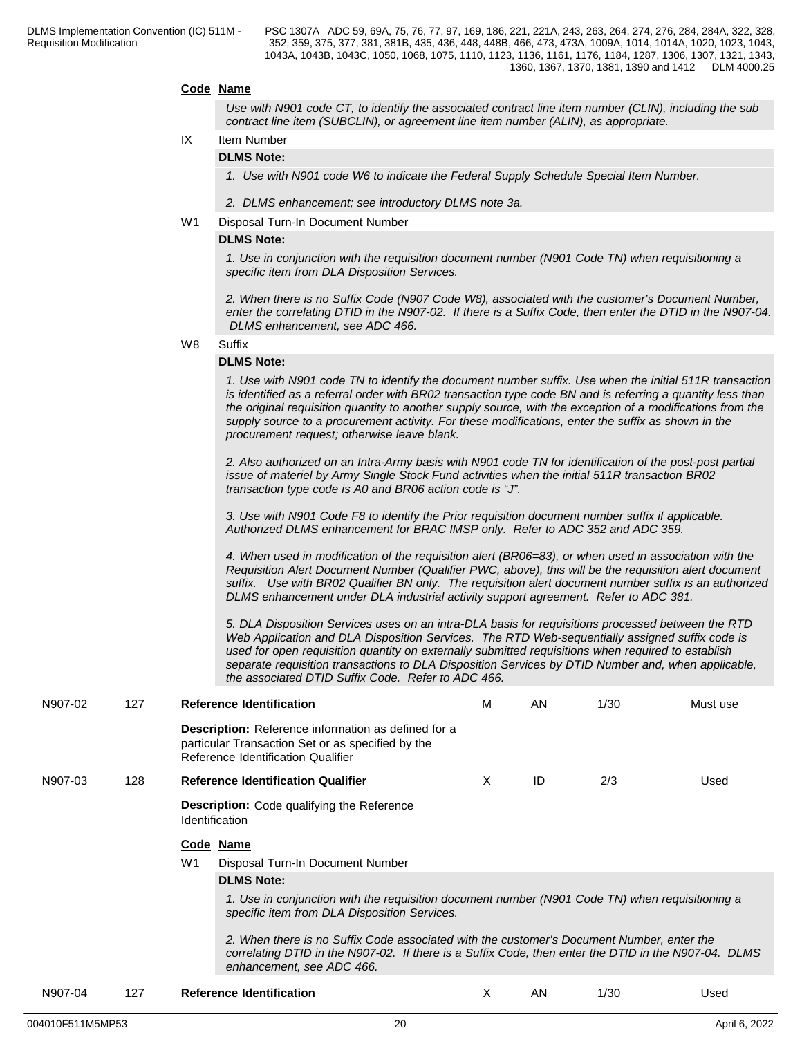#### **Code Name**

*Use with N901 code CT, to identify the associated contract line item number (CLIN), including the sub contract line item (SUBCLIN), or agreement line item number (ALIN), as appropriate.*

### IX Item Number

### **DLMS Note:**

*1. Use with N901 code W6 to indicate the Federal Supply Schedule Special Item Number.*

*2. DLMS enhancement; see introductory DLMS note 3a.*

#### W1 Disposal Turn-In Document Number

#### **DLMS Note:**

*1. Use in conjunction with the requisition document number (N901 Code TN) when requisitioning a specific item from DLA Disposition Services.*

*2. When there is no Suffix Code (N907 Code W8), associated with the customer's Document Number, enter the correlating DTID in the N907-02. If there is a Suffix Code, then enter the DTID in the N907-04. DLMS enhancement, see ADC 466.*

W8 Suffix **Suffix Suffix Suffix Suffix Suffix Suffix SUFFIX SUFFIX SUFFIX** 

#### **DLMS Note:**

*1. Use with N901 code TN to identify the document number suffix. Use when the initial 511R transaction is identified as a referral order with BR02 transaction type code BN and is referring a quantity less than the original requisition quantity to another supply source, with the exception of a modifications from the supply source to a procurement activity. For these modifications, enter the suffix as shown in the procurement request; otherwise leave blank.*

*2. Also authorized on an Intra-Army basis with N901 code TN for identification of the post-post partial issue of materiel by Army Single Stock Fund activities when the initial 511R transaction BR02 transaction type code is A0 and BR06 action code is "J".*

*3. Use with N901 Code F8 to identify the Prior requisition document number suffix if applicable. Authorized DLMS enhancement for BRAC IMSP only. Refer to ADC 352 and ADC 359.*

*4. When used in modification of the requisition alert (BR06=83), or when used in association with the Requisition Alert Document Number (Qualifier PWC, above), this will be the requisition alert document suffix. Use with BR02 Qualifier BN only. The requisition alert document number suffix is an authorized DLMS enhancement under DLA industrial activity support agreement. Refer to ADC 381.*

*5. DLA Disposition Services uses on an intra-DLA basis for requisitions processed between the RTD Web Application and DLA Disposition Services. The RTD Web-sequentially assigned suffix code is used for open requisition quantity on externally submitted requisitions when required to establish separate requisition transactions to DLA Disposition Services by DTID Number and, when applicable, the associated DTID Suffix Code. Refer to ADC 466.*

| N907-02 | 127 |                                                                                                                                                                                                                                | <b>Reference Identification</b>                                                                                                                       | M  | AN | 1/30 | Must use |  |  |  |  |  |
|---------|-----|--------------------------------------------------------------------------------------------------------------------------------------------------------------------------------------------------------------------------------|-------------------------------------------------------------------------------------------------------------------------------------------------------|----|----|------|----------|--|--|--|--|--|
|         |     |                                                                                                                                                                                                                                | <b>Description:</b> Reference information as defined for a<br>particular Transaction Set or as specified by the<br>Reference Identification Qualifier |    |    |      |          |  |  |  |  |  |
| N907-03 | 128 |                                                                                                                                                                                                                                | <b>Reference Identification Qualifier</b>                                                                                                             | X  | ID | 2/3  | Used     |  |  |  |  |  |
|         |     |                                                                                                                                                                                                                                | <b>Description:</b> Code qualifying the Reference<br><b>Identification</b>                                                                            |    |    |      |          |  |  |  |  |  |
|         |     |                                                                                                                                                                                                                                | Code Name                                                                                                                                             |    |    |      |          |  |  |  |  |  |
|         |     | W1                                                                                                                                                                                                                             | Disposal Turn-In Document Number                                                                                                                      |    |    |      |          |  |  |  |  |  |
|         |     |                                                                                                                                                                                                                                | <b>DLMS Note:</b>                                                                                                                                     |    |    |      |          |  |  |  |  |  |
|         |     |                                                                                                                                                                                                                                | 1. Use in conjunction with the requisition document number (N901 Code TN) when requisitioning a<br>specific item from DLA Disposition Services.       |    |    |      |          |  |  |  |  |  |
|         |     | 2. When there is no Suffix Code associated with the customer's Document Number, enter the<br>correlating DTID in the N907-02. If there is a Suffix Code, then enter the DTID in the N907-04. DLMS<br>enhancement, see ADC 466. |                                                                                                                                                       |    |    |      |          |  |  |  |  |  |
| N907-04 | 127 |                                                                                                                                                                                                                                | <b>Reference Identification</b>                                                                                                                       | X. | AN | 1/30 | Used     |  |  |  |  |  |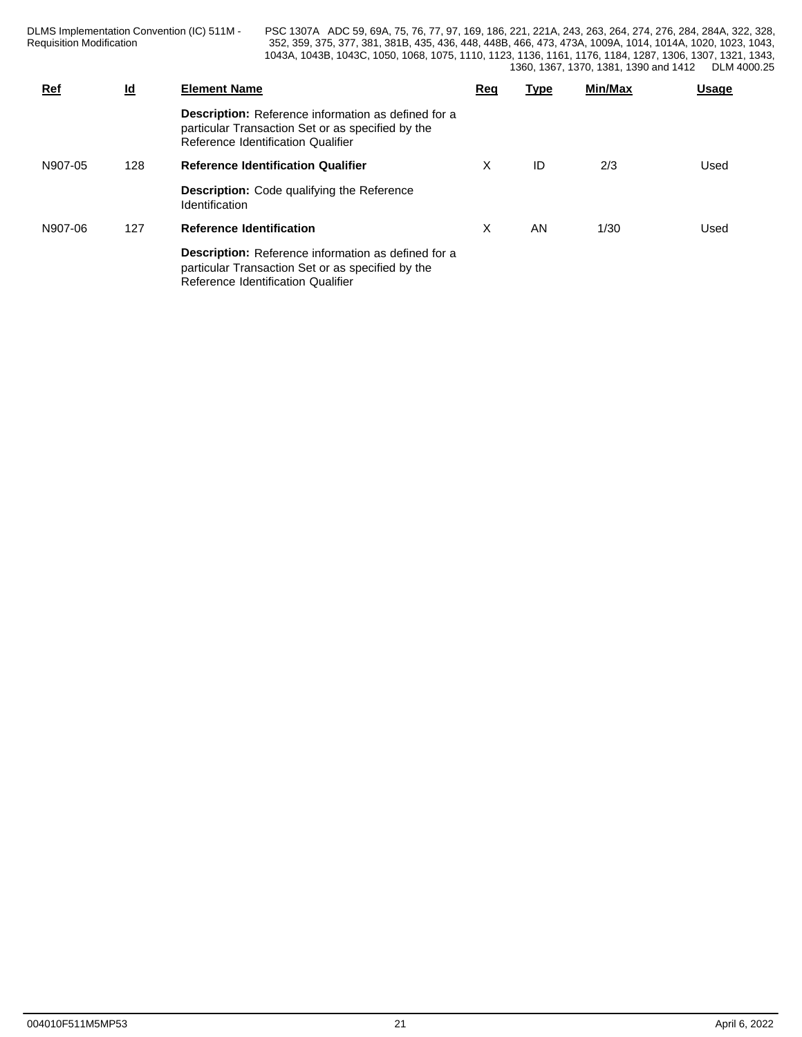DLMS Implementation Convention (IC) 511M - Requisition Modification **Network** 252, 359, 375,

| <b>Ref</b> | <u>ld</u> | <b>Element Name</b>                                                                                                                                   | Rec | <u>Type</u> | Min/Max | Usage |
|------------|-----------|-------------------------------------------------------------------------------------------------------------------------------------------------------|-----|-------------|---------|-------|
|            |           | <b>Description:</b> Reference information as defined for a<br>particular Transaction Set or as specified by the<br>Reference Identification Qualifier |     |             |         |       |
| N907-05    | 128       | <b>Reference Identification Qualifier</b>                                                                                                             | X   | ID          | 2/3     | Used  |
|            |           | <b>Description:</b> Code qualifying the Reference<br><b>Identification</b>                                                                            |     |             |         |       |
| N907-06    | 127       | <b>Reference Identification</b>                                                                                                                       | X   | AN          | 1/30    | Used  |
|            |           | <b>Description:</b> Reference information as defined for a<br>particular Transaction Set or as specified by the<br>Reference Identification Qualifier |     |             |         |       |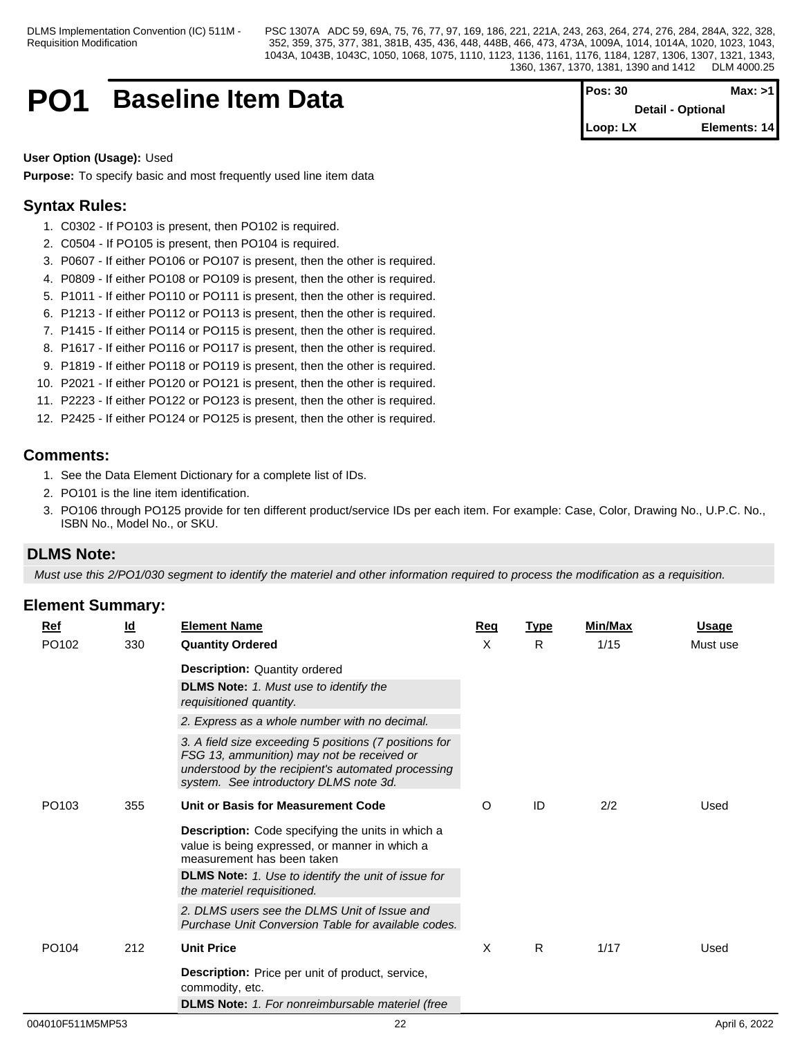## **PO1** Baseline Item Data

| $Pos: 30$  | Max: >1                  |
|------------|--------------------------|
|            | <b>Detail - Optional</b> |
| $Loop: LX$ | Elements: 14             |

#### **User Option (Usage):** Used

**Purpose:** To specify basic and most frequently used line item data

## **Syntax Rules:**

- 1. C0302 If PO103 is present, then PO102 is required.
- 2. C0504 If PO105 is present, then PO104 is required.
- 3. P0607 If either PO106 or PO107 is present, then the other is required.
- 4. P0809 If either PO108 or PO109 is present, then the other is required.
- 5. P1011 If either PO110 or PO111 is present, then the other is required.
- 6. P1213 If either PO112 or PO113 is present, then the other is required.
- 7. P1415 If either PO114 or PO115 is present, then the other is required.
- 8. P1617 If either PO116 or PO117 is present, then the other is required.
- 9. P1819 If either PO118 or PO119 is present, then the other is required.
- 10. P2021 If either PO120 or PO121 is present, then the other is required.
- 11. P2223 If either PO122 or PO123 is present, then the other is required.
- 12. P2425 If either PO124 or PO125 is present, then the other is required.

### **Comments:**

- 1. See the Data Element Dictionary for a complete list of IDs.
- 2. PO101 is the line item identification.
- 3. PO106 through PO125 provide for ten different product/service IDs per each item. For example: Case, Color, Drawing No., U.P.C. No., ISBN No., Model No., or SKU.

## **DLMS Note:**

*Must use this 2/PO1/030 segment to identify the materiel and other information required to process the modification as a requisition.*

| <b>Ref</b>        | <u>ld</u> | <b>Element Name</b>                                                                                                                                                                                  | Req | <b>Type</b> | Min/Max | <b>Usage</b> |
|-------------------|-----------|------------------------------------------------------------------------------------------------------------------------------------------------------------------------------------------------------|-----|-------------|---------|--------------|
| PO102             | 330       | <b>Quantity Ordered</b>                                                                                                                                                                              | X   | R           | 1/15    | Must use     |
|                   |           | <b>Description: Quantity ordered</b>                                                                                                                                                                 |     |             |         |              |
|                   |           | <b>DLMS Note:</b> 1. Must use to identify the<br>requisitioned quantity.                                                                                                                             |     |             |         |              |
|                   |           | 2. Express as a whole number with no decimal.                                                                                                                                                        |     |             |         |              |
|                   |           | 3. A field size exceeding 5 positions (7 positions for<br>FSG 13, ammunition) may not be received or<br>understood by the recipient's automated processing<br>system. See introductory DLMS note 3d. |     |             |         |              |
| PO <sub>103</sub> | 355       | Unit or Basis for Measurement Code                                                                                                                                                                   | O   | ID          | 2/2     | Used         |
|                   |           | Description: Code specifying the units in which a<br>value is being expressed, or manner in which a<br>measurement has been taken                                                                    |     |             |         |              |
|                   |           | <b>DLMS Note:</b> 1. Use to identify the unit of issue for<br>the materiel requisitioned.                                                                                                            |     |             |         |              |
|                   |           | 2. DLMS users see the DLMS Unit of Issue and<br>Purchase Unit Conversion Table for available codes.                                                                                                  |     |             |         |              |
| PO <sub>104</sub> | 212       | <b>Unit Price</b>                                                                                                                                                                                    | X   | R.          | 1/17    | Used         |
|                   |           | <b>Description:</b> Price per unit of product, service,<br>commodity, etc.                                                                                                                           |     |             |         |              |
|                   |           | <b>DLMS Note:</b> 1. For nonreimbursable materiel (free                                                                                                                                              |     |             |         |              |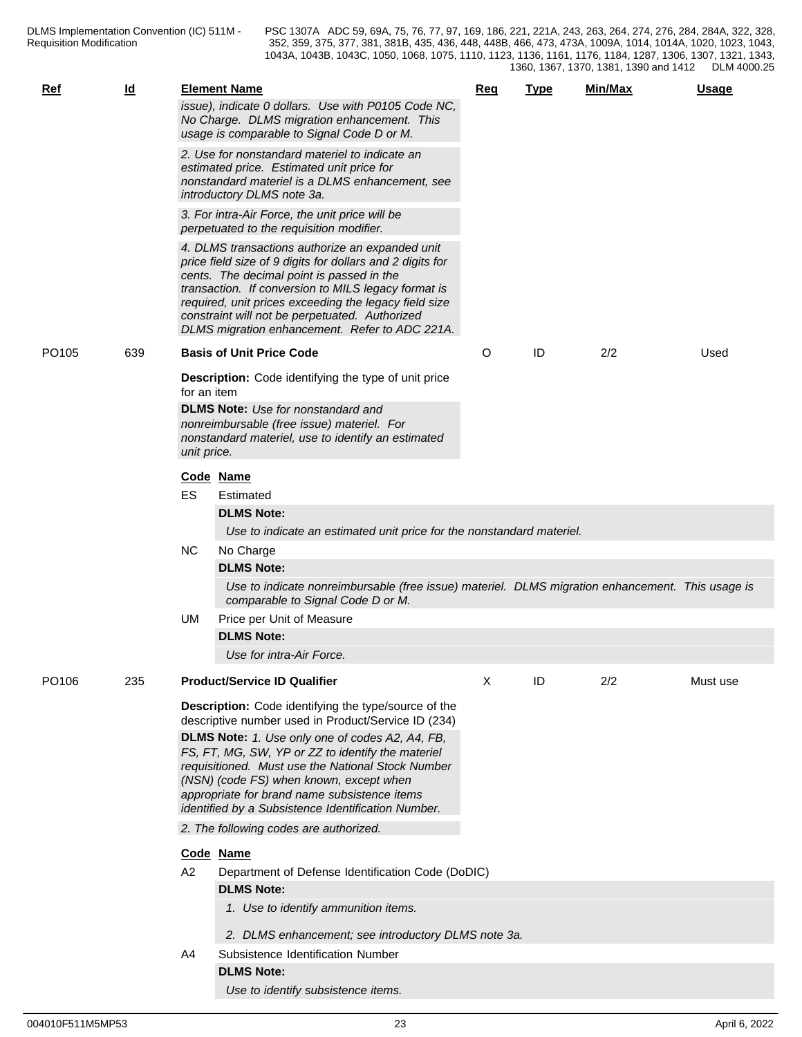| Ref               | Id  |             | <b>Element Name</b><br>issue), indicate 0 dollars. Use with P0105 Code NC,<br>No Charge. DLMS migration enhancement. This<br>usage is comparable to Signal Code D or M.                                                                                                                                                                                                                                                                                             | <u>Req</u> | <b>Type</b> | Min/Max | <b>Usage</b> |
|-------------------|-----|-------------|---------------------------------------------------------------------------------------------------------------------------------------------------------------------------------------------------------------------------------------------------------------------------------------------------------------------------------------------------------------------------------------------------------------------------------------------------------------------|------------|-------------|---------|--------------|
|                   |     |             | 2. Use for nonstandard materiel to indicate an<br>estimated price. Estimated unit price for<br>nonstandard materiel is a DLMS enhancement, see<br>introductory DLMS note 3a.                                                                                                                                                                                                                                                                                        |            |             |         |              |
|                   |     |             | 3. For intra-Air Force, the unit price will be<br>perpetuated to the requisition modifier.                                                                                                                                                                                                                                                                                                                                                                          |            |             |         |              |
|                   |     |             | 4. DLMS transactions authorize an expanded unit<br>price field size of 9 digits for dollars and 2 digits for<br>cents. The decimal point is passed in the<br>transaction. If conversion to MILS legacy format is<br>required, unit prices exceeding the legacy field size<br>constraint will not be perpetuated. Authorized<br>DLMS migration enhancement. Refer to ADC 221A.                                                                                       |            |             |         |              |
| PO <sub>105</sub> | 639 |             | <b>Basis of Unit Price Code</b>                                                                                                                                                                                                                                                                                                                                                                                                                                     | O          | ID          | 2/2     | Used         |
|                   |     | for an item | <b>Description:</b> Code identifying the type of unit price                                                                                                                                                                                                                                                                                                                                                                                                         |            |             |         |              |
|                   |     | unit price. | <b>DLMS Note:</b> Use for nonstandard and<br>nonreimbursable (free issue) materiel. For<br>nonstandard materiel, use to identify an estimated                                                                                                                                                                                                                                                                                                                       |            |             |         |              |
|                   |     |             | Code Name                                                                                                                                                                                                                                                                                                                                                                                                                                                           |            |             |         |              |
|                   |     | ES          | Estimated<br><b>DLMS Note:</b>                                                                                                                                                                                                                                                                                                                                                                                                                                      |            |             |         |              |
|                   |     | <b>NC</b>   | Use to indicate an estimated unit price for the nonstandard materiel.<br>No Charge                                                                                                                                                                                                                                                                                                                                                                                  |            |             |         |              |
|                   |     |             | <b>DLMS Note:</b>                                                                                                                                                                                                                                                                                                                                                                                                                                                   |            |             |         |              |
|                   |     |             | Use to indicate nonreimbursable (free issue) materiel. DLMS migration enhancement. This usage is<br>comparable to Signal Code D or M.                                                                                                                                                                                                                                                                                                                               |            |             |         |              |
|                   |     | UM          | Price per Unit of Measure                                                                                                                                                                                                                                                                                                                                                                                                                                           |            |             |         |              |
|                   |     |             | <b>DLMS Note:</b><br>Use for intra-Air Force.                                                                                                                                                                                                                                                                                                                                                                                                                       |            |             |         |              |
| PO106             | 235 |             | <b>Product/Service ID Qualifier</b>                                                                                                                                                                                                                                                                                                                                                                                                                                 | Χ          | ID          | 2/2     | Must use     |
|                   |     |             | Description: Code identifying the type/source of the<br>descriptive number used in Product/Service ID (234)<br>DLMS Note: 1. Use only one of codes A2, A4, FB,<br>FS, FT, MG, SW, YP or ZZ to identify the materiel<br>requisitioned. Must use the National Stock Number<br>(NSN) (code FS) when known, except when<br>appropriate for brand name subsistence items<br>identified by a Subsistence Identification Number.<br>2. The following codes are authorized. |            |             |         |              |
|                   |     |             | Code Name                                                                                                                                                                                                                                                                                                                                                                                                                                                           |            |             |         |              |
|                   |     | A2          | Department of Defense Identification Code (DoDIC)                                                                                                                                                                                                                                                                                                                                                                                                                   |            |             |         |              |
|                   |     |             | <b>DLMS Note:</b>                                                                                                                                                                                                                                                                                                                                                                                                                                                   |            |             |         |              |
|                   |     |             | 1. Use to identify ammunition items.                                                                                                                                                                                                                                                                                                                                                                                                                                |            |             |         |              |
|                   |     |             | 2. DLMS enhancement; see introductory DLMS note 3a.                                                                                                                                                                                                                                                                                                                                                                                                                 |            |             |         |              |
|                   |     | A4          | Subsistence Identification Number                                                                                                                                                                                                                                                                                                                                                                                                                                   |            |             |         |              |
|                   |     |             | <b>DLMS Note:</b>                                                                                                                                                                                                                                                                                                                                                                                                                                                   |            |             |         |              |
|                   |     |             | Use to identify subsistence items.                                                                                                                                                                                                                                                                                                                                                                                                                                  |            |             |         |              |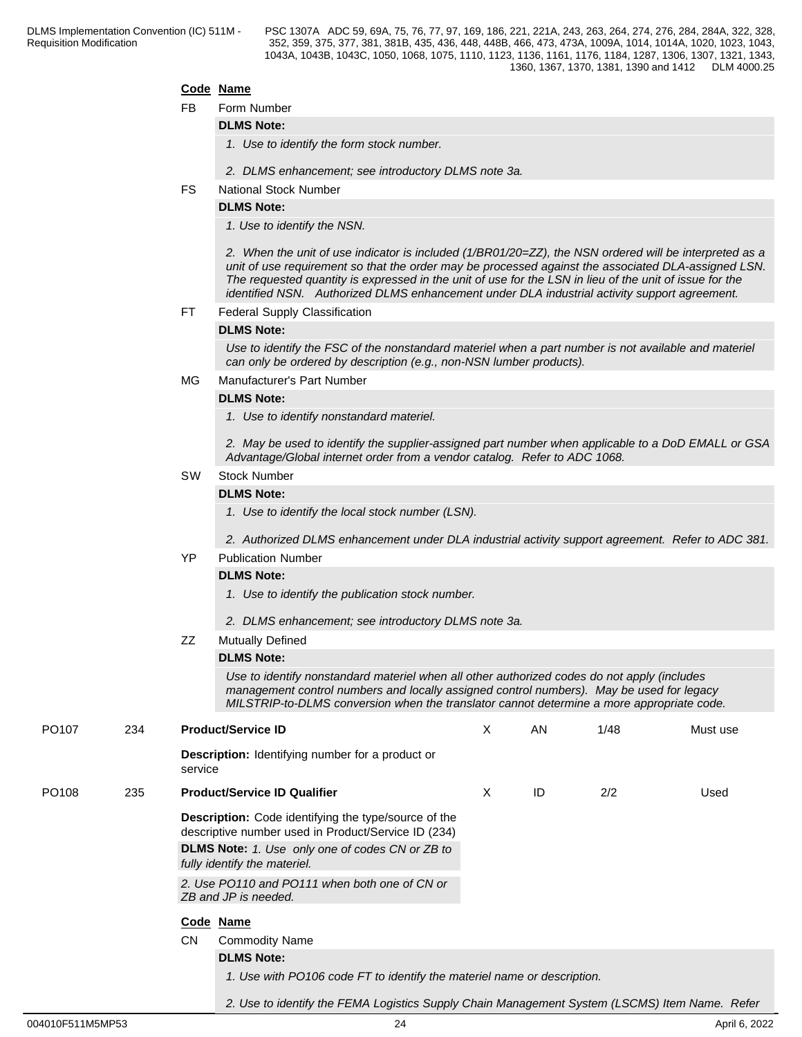#### **Code Name**

FB Form Number

#### **DLMS Note:**

*1. Use to identify the form stock number.*

- *2. DLMS enhancement; see introductory DLMS note 3a.*
- FS National Stock Number

## **DLMS Note:**

*1. Use to identify the NSN.* 

*2. When the unit of use indicator is included (1/BR01/20=ZZ), the NSN ordered will be interpreted as a unit of use requirement so that the order may be processed against the associated DLA-assigned LSN. The requested quantity is expressed in the unit of use for the LSN in lieu of the unit of issue for the identified NSN. Authorized DLMS enhancement under DLA industrial activity support agreement.*

#### FT Federal Supply Classification

#### **DLMS Note:**

*Use to identify the FSC of the nonstandard materiel when a part number is not available and materiel can only be ordered by description (e.g., non-NSN lumber products).*

#### MG Manufacturer's Part Number

#### **DLMS Note:**

*1. Use to identify nonstandard materiel.*

*2. May be used to identify the supplier-assigned part number when applicable to a DoD EMALL or GSA Advantage/Global internet order from a vendor catalog. Refer to ADC 1068.*

#### SW Stock Number

#### **DLMS Note:**

*1. Use to identify the local stock number (LSN).*

*2. Authorized DLMS enhancement under DLA industrial activity support agreement. Refer to ADC 381.*

### YP Publication Number

#### **DLMS Note:**

- *1. Use to identify the publication stock number.*
- *2. DLMS enhancement; see introductory DLMS note 3a.*
- ZZ Mutually Defined

#### **DLMS Note:**

*Use to identify nonstandard materiel when all other authorized codes do not apply (includes management control numbers and locally assigned control numbers). May be used for legacy MILSTRIP-to-DLMS conversion when the translator cannot determine a more appropriate code.*

*2. Use to identify the FEMA Logistics Supply Chain Management System (LSCMS) Item Name. Refer* 

| PO <sub>107</sub> | 234 | <b>Product/Service ID</b>                                                                                          | X | AN | 1/48 | Must use |
|-------------------|-----|--------------------------------------------------------------------------------------------------------------------|---|----|------|----------|
|                   |     | <b>Description:</b> Identifying number for a product or<br>service                                                 |   |    |      |          |
| PO <sub>108</sub> | 235 | <b>Product/Service ID Qualifier</b>                                                                                | X | ID | 2/2  | Used     |
|                   |     | <b>Description:</b> Code identifying the type/source of the<br>descriptive number used in Product/Service ID (234) |   |    |      |          |
|                   |     | <b>DLMS Note:</b> 1. Use only one of codes CN or ZB to<br>fully identify the materiel.                             |   |    |      |          |
|                   |     | 2. Use PO110 and PO111 when both one of CN or<br>ZB and JP is needed.                                              |   |    |      |          |
|                   |     | Code Name                                                                                                          |   |    |      |          |
|                   |     | <b>CN</b><br><b>Commodity Name</b>                                                                                 |   |    |      |          |
|                   |     | <b>DLMS Note:</b>                                                                                                  |   |    |      |          |
|                   |     | 1. Use with PO106 code FT to identify the materiel name or description.                                            |   |    |      |          |
|                   |     |                                                                                                                    |   |    |      |          |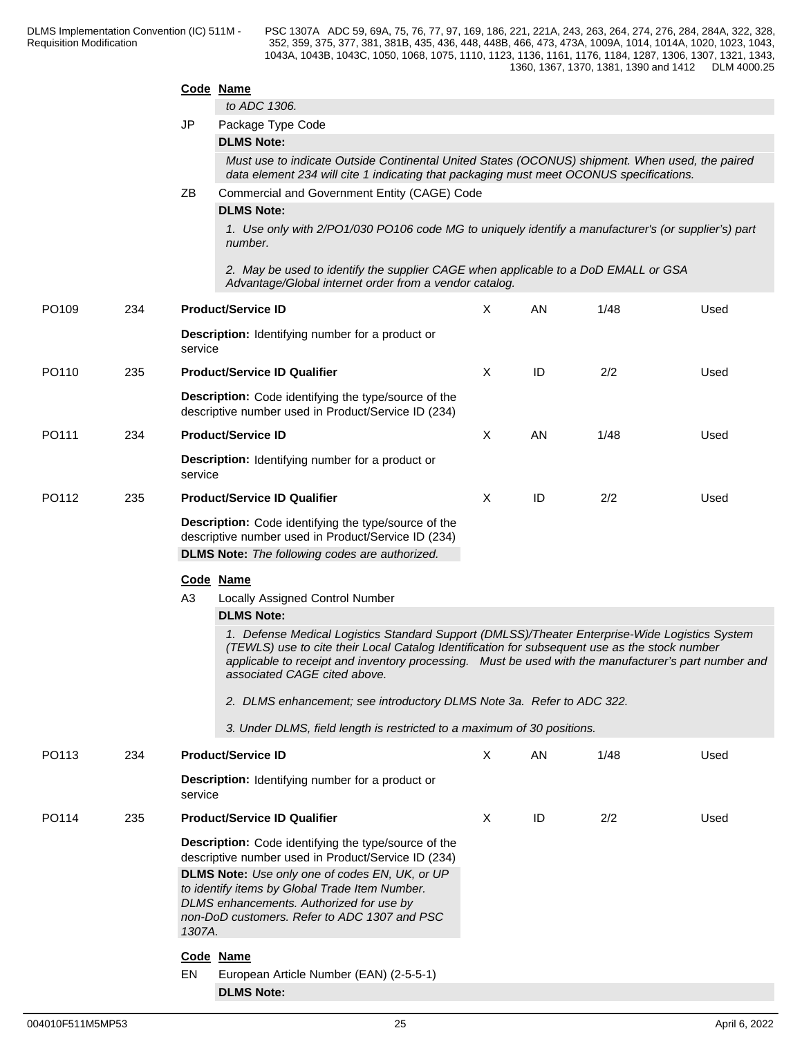|       |     |           | Code Name                                                                                                                                                                                                                              |              |    |      |      |  |  |  |  |
|-------|-----|-----------|----------------------------------------------------------------------------------------------------------------------------------------------------------------------------------------------------------------------------------------|--------------|----|------|------|--|--|--|--|
|       |     | <b>JP</b> | to ADC 1306.<br>Package Type Code                                                                                                                                                                                                      |              |    |      |      |  |  |  |  |
|       |     |           | <b>DLMS Note:</b>                                                                                                                                                                                                                      |              |    |      |      |  |  |  |  |
|       |     |           | Must use to indicate Outside Continental United States (OCONUS) shipment. When used, the paired<br>data element 234 will cite 1 indicating that packaging must meet OCONUS specifications.                                             |              |    |      |      |  |  |  |  |
|       |     | ΖB        | Commercial and Government Entity (CAGE) Code<br><b>DLMS Note:</b>                                                                                                                                                                      |              |    |      |      |  |  |  |  |
|       |     |           | 1. Use only with 2/PO1/030 PO106 code MG to uniquely identify a manufacturer's (or supplier's) part<br>number.                                                                                                                         |              |    |      |      |  |  |  |  |
|       |     |           | 2. May be used to identify the supplier CAGE when applicable to a DoD EMALL or GSA<br>Advantage/Global internet order from a vendor catalog.                                                                                           |              |    |      |      |  |  |  |  |
| PO109 | 234 |           | <b>Product/Service ID</b>                                                                                                                                                                                                              | X            | AN | 1/48 | Used |  |  |  |  |
|       |     | service   | <b>Description:</b> Identifying number for a product or                                                                                                                                                                                |              |    |      |      |  |  |  |  |
| PO110 | 235 |           | <b>Product/Service ID Qualifier</b>                                                                                                                                                                                                    | X            | ID | 2/2  | Used |  |  |  |  |
|       |     |           | Description: Code identifying the type/source of the<br>descriptive number used in Product/Service ID (234)                                                                                                                            |              |    |      |      |  |  |  |  |
| PO111 | 234 |           | <b>Product/Service ID</b>                                                                                                                                                                                                              | X            | AN | 1/48 | Used |  |  |  |  |
|       |     | service   | <b>Description:</b> Identifying number for a product or                                                                                                                                                                                |              |    |      |      |  |  |  |  |
| PO112 | 235 |           | <b>Product/Service ID Qualifier</b>                                                                                                                                                                                                    | X            | ID | 2/2  | Used |  |  |  |  |
|       |     |           | Description: Code identifying the type/source of the<br>descriptive number used in Product/Service ID (234)                                                                                                                            |              |    |      |      |  |  |  |  |
|       |     |           | <b>DLMS Note:</b> The following codes are authorized.                                                                                                                                                                                  |              |    |      |      |  |  |  |  |
|       |     |           | Code Name                                                                                                                                                                                                                              |              |    |      |      |  |  |  |  |
|       |     | A3        | Locally Assigned Control Number                                                                                                                                                                                                        |              |    |      |      |  |  |  |  |
|       |     |           | <b>DLMS Note:</b><br>1. Defense Medical Logistics Standard Support (DMLSS)/Theater Enterprise-Wide Logistics System                                                                                                                    |              |    |      |      |  |  |  |  |
|       |     |           | (TEWLS) use to cite their Local Catalog Identification for subsequent use as the stock number<br>applicable to receipt and inventory processing.  Must be used with the manufacturer's part number and<br>associated CAGE cited above. |              |    |      |      |  |  |  |  |
|       |     |           | 2. DLMS enhancement; see introductory DLMS Note 3a. Refer to ADC 322.                                                                                                                                                                  |              |    |      |      |  |  |  |  |
|       |     |           | 3. Under DLMS, field length is restricted to a maximum of 30 positions.                                                                                                                                                                |              |    |      |      |  |  |  |  |
| PO113 | 234 |           | <b>Product/Service ID</b>                                                                                                                                                                                                              | $\mathsf{X}$ | AN | 1/48 | Used |  |  |  |  |
|       |     | service   | <b>Description:</b> Identifying number for a product or                                                                                                                                                                                |              |    |      |      |  |  |  |  |
| PO114 | 235 |           | <b>Product/Service ID Qualifier</b>                                                                                                                                                                                                    | X            | ID | 2/2  | Used |  |  |  |  |
|       |     |           | Description: Code identifying the type/source of the<br>descriptive number used in Product/Service ID (234)                                                                                                                            |              |    |      |      |  |  |  |  |
|       |     | 1307A.    | DLMS Note: Use only one of codes EN, UK, or UP<br>to identify items by Global Trade Item Number.<br>DLMS enhancements. Authorized for use by<br>non-DoD customers. Refer to ADC 1307 and PSC                                           |              |    |      |      |  |  |  |  |
|       |     |           | Code Name                                                                                                                                                                                                                              |              |    |      |      |  |  |  |  |
|       |     | EN        | European Article Number (EAN) (2-5-5-1)<br><b>DLMS Note:</b>                                                                                                                                                                           |              |    |      |      |  |  |  |  |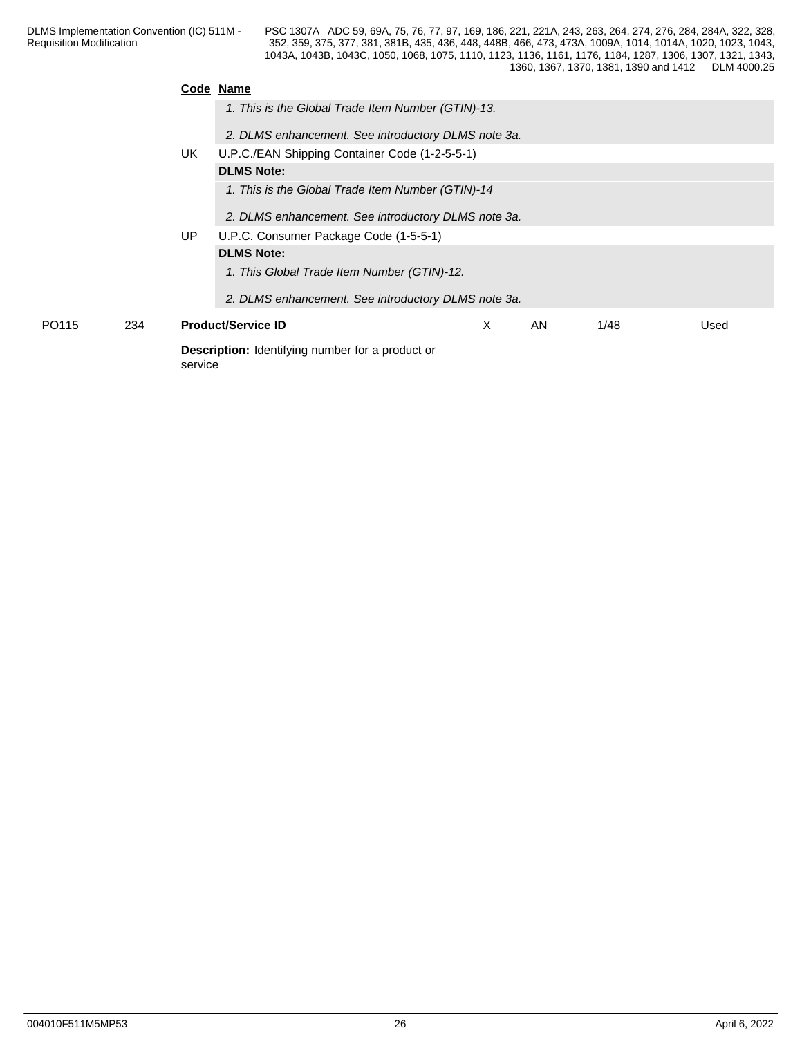|       |     |         | Code Name                                               |   |    |      |      |  |  |  |
|-------|-----|---------|---------------------------------------------------------|---|----|------|------|--|--|--|
|       |     |         | 1. This is the Global Trade Item Number (GTIN)-13.      |   |    |      |      |  |  |  |
|       |     |         | 2. DLMS enhancement. See introductory DLMS note 3a.     |   |    |      |      |  |  |  |
|       |     | UK      | U.P.C./EAN Shipping Container Code (1-2-5-5-1)          |   |    |      |      |  |  |  |
|       |     |         | <b>DLMS Note:</b>                                       |   |    |      |      |  |  |  |
|       |     |         | 1. This is the Global Trade Item Number (GTIN)-14       |   |    |      |      |  |  |  |
|       |     |         | 2. DLMS enhancement. See introductory DLMS note 3a.     |   |    |      |      |  |  |  |
|       |     | UP      | U.P.C. Consumer Package Code (1-5-5-1)                  |   |    |      |      |  |  |  |
|       |     |         | <b>DLMS Note:</b>                                       |   |    |      |      |  |  |  |
|       |     |         | 1. This Global Trade Item Number (GTIN)-12.             |   |    |      |      |  |  |  |
|       |     |         | 2. DLMS enhancement. See introductory DLMS note 3a.     |   |    |      |      |  |  |  |
| PO115 | 234 |         | <b>Product/Service ID</b>                               | X | AN | 1/48 | Used |  |  |  |
|       |     | service | <b>Description:</b> Identifying number for a product or |   |    |      |      |  |  |  |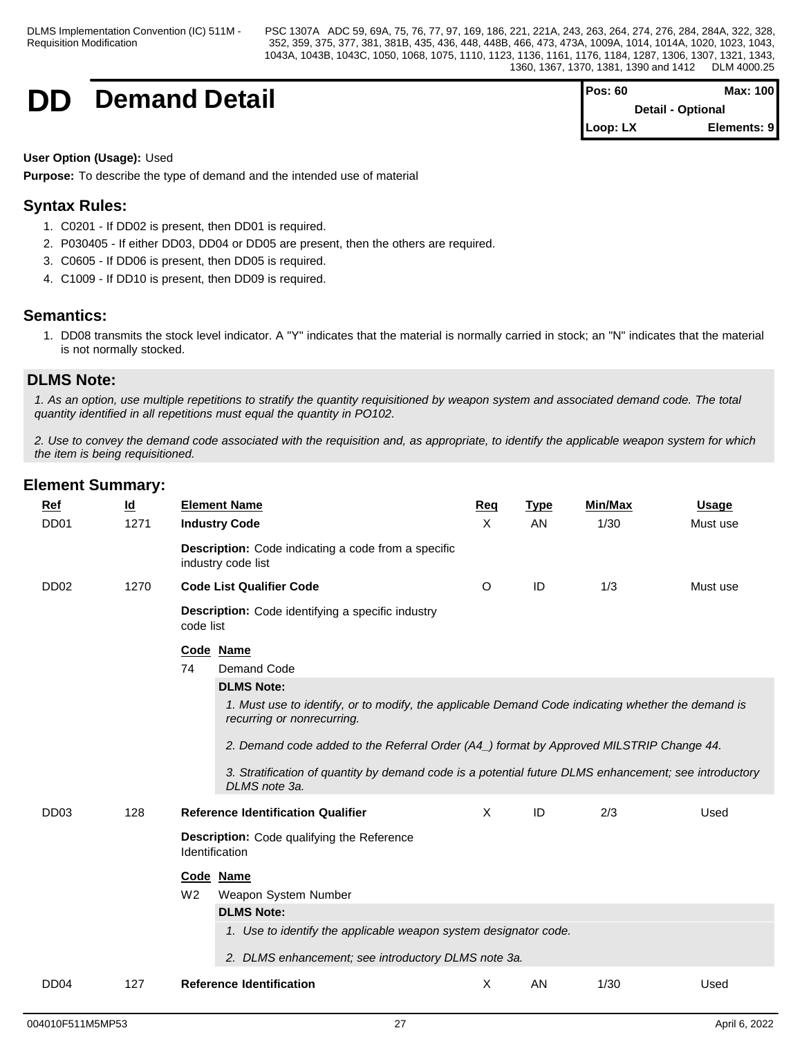## **DD Demand Detail**

| Pos: 60                      | Max: 100                 |  |
|------------------------------|--------------------------|--|
|                              | <b>Detail - Optional</b> |  |
| $\mathsf{Loop}: \mathsf{L}X$ | Elements: 9              |  |

### **User Option (Usage):** Used

**Purpose:** To describe the type of demand and the intended use of material

## **Syntax Rules:**

- 1. C0201 If DD02 is present, then DD01 is required.
- 2. P030405 If either DD03, DD04 or DD05 are present, then the others are required.
- 3. C0605 If DD06 is present, then DD05 is required.
- 4. C1009 If DD10 is present, then DD09 is required.

## **Semantics:**

1. DD08 transmits the stock level indicator. A "Y" indicates that the material is normally carried in stock; an "N" indicates that the material is not normally stocked.

## **DLMS Note:**

*1. As an option, use multiple repetitions to stratify the quantity requisitioned by weapon system and associated demand code. The total quantity identified in all repetitions must equal the quantity in PO102.*

*2. Use to convey the demand code associated with the requisition and, as appropriate, to identify the applicable weapon system for which the item is being requisitioned.*

| <b>Ref</b>       | <u>ld</u> | <b>Element Name</b>                                                                                                              | Req      | <b>Type</b> | Min/Max | <b>Usage</b> |
|------------------|-----------|----------------------------------------------------------------------------------------------------------------------------------|----------|-------------|---------|--------------|
| DD <sub>01</sub> | 1271      | <b>Industry Code</b>                                                                                                             | X        | AN          | 1/30    | Must use     |
|                  |           | <b>Description:</b> Code indicating a code from a specific<br>industry code list                                                 |          |             |         |              |
| DD <sub>02</sub> | 1270      | <b>Code List Qualifier Code</b>                                                                                                  | O        | ID          | 1/3     | Must use     |
|                  |           | <b>Description:</b> Code identifying a specific industry<br>code list                                                            |          |             |         |              |
|                  |           | Code Name                                                                                                                        |          |             |         |              |
|                  |           | 74<br>Demand Code                                                                                                                |          |             |         |              |
|                  |           | <b>DLMS Note:</b>                                                                                                                |          |             |         |              |
|                  |           | 1. Must use to identify, or to modify, the applicable Demand Code indicating whether the demand is<br>recurring or nonrecurring. |          |             |         |              |
|                  |           | 2. Demand code added to the Referral Order (A4_) format by Approved MILSTRIP Change 44.                                          |          |             |         |              |
|                  |           | 3. Stratification of quantity by demand code is a potential future DLMS enhancement; see introductory<br>DLMS note 3a.           |          |             |         |              |
| DD <sub>03</sub> | 128       | <b>Reference Identification Qualifier</b>                                                                                        | $\times$ | ID          | 2/3     | Used         |
|                  |           | Description: Code qualifying the Reference<br>Identification                                                                     |          |             |         |              |
|                  |           | Code Name                                                                                                                        |          |             |         |              |
|                  |           | W <sub>2</sub><br>Weapon System Number                                                                                           |          |             |         |              |
|                  |           | <b>DLMS Note:</b>                                                                                                                |          |             |         |              |
|                  |           | 1. Use to identify the applicable weapon system designator code.                                                                 |          |             |         |              |
|                  |           | 2. DLMS enhancement; see introductory DLMS note 3a.                                                                              |          |             |         |              |
|                  |           |                                                                                                                                  |          |             |         |              |
| DD <sub>04</sub> | 127       | <b>Reference Identification</b>                                                                                                  | Χ        | AN          | 1/30    | Used         |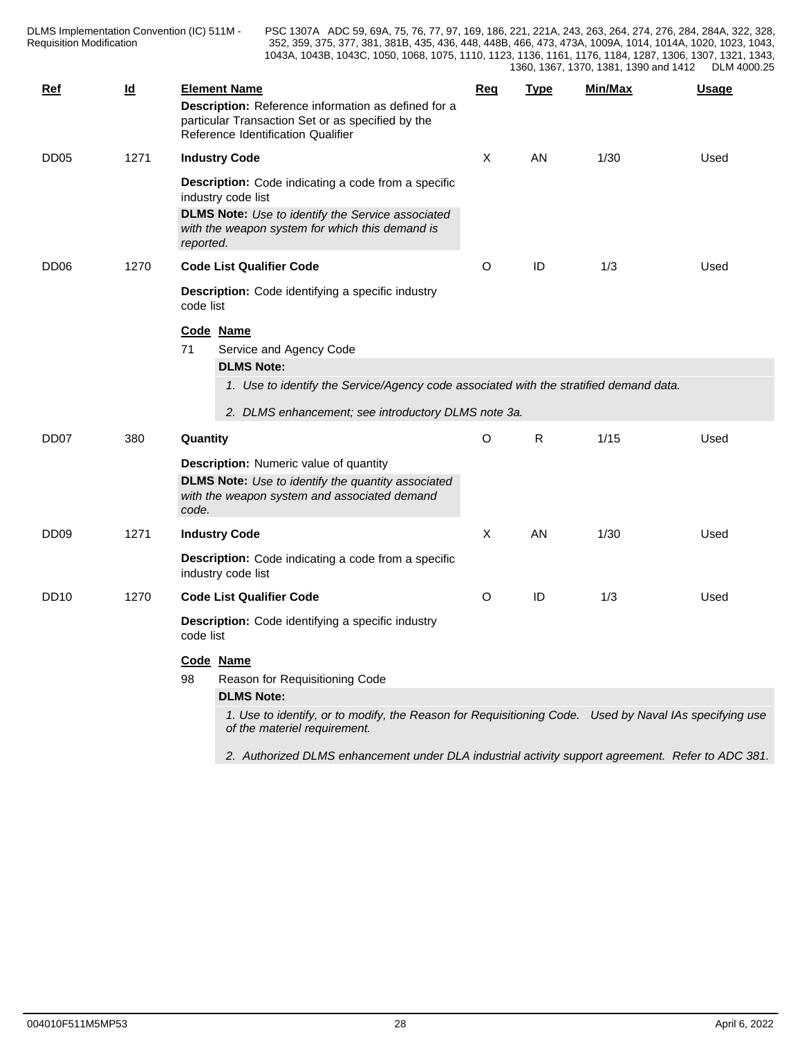DLMS Implementation Convention (IC) 511M - Requisition Modification **Network** 252, 359, 375,

| Ref              | Id   | <b>Element Name</b><br>Description: Reference information as defined for a<br>particular Transaction Set or as specified by the<br>Reference Identification Qualifier                                            |                                                                                                                                                                                                 | <b>Reg</b> | Type | Min/Max | <b>Usage</b> |  |  |  |
|------------------|------|------------------------------------------------------------------------------------------------------------------------------------------------------------------------------------------------------------------|-------------------------------------------------------------------------------------------------------------------------------------------------------------------------------------------------|------------|------|---------|--------------|--|--|--|
| DD <sub>05</sub> | 1271 |                                                                                                                                                                                                                  | <b>Industry Code</b>                                                                                                                                                                            |            | AN   | 1/30    | Used         |  |  |  |
|                  |      | reported.                                                                                                                                                                                                        | <b>Description:</b> Code indicating a code from a specific<br>industry code list<br><b>DLMS Note:</b> Use to identify the Service associated<br>with the weapon system for which this demand is |            |      |         |              |  |  |  |
| DD <sub>06</sub> | 1270 |                                                                                                                                                                                                                  | <b>Code List Qualifier Code</b>                                                                                                                                                                 | O          | ID   | 1/3     | Used         |  |  |  |
|                  |      |                                                                                                                                                                                                                  | <b>Description:</b> Code identifying a specific industry<br>code list                                                                                                                           |            |      |         |              |  |  |  |
|                  |      | 71                                                                                                                                                                                                               | Code Name<br>Service and Agency Code<br><b>DLMS Note:</b>                                                                                                                                       |            |      |         |              |  |  |  |
|                  |      |                                                                                                                                                                                                                  | 1. Use to identify the Service/Agency code associated with the stratified demand data.<br>2. DLMS enhancement; see introductory DLMS note 3a.                                                   |            |      |         |              |  |  |  |
| DD <sub>07</sub> | 380  | Quantity                                                                                                                                                                                                         |                                                                                                                                                                                                 | O          | R.   | 1/15    | Used         |  |  |  |
|                  |      |                                                                                                                                                                                                                  | <b>Description:</b> Numeric value of quantity<br><b>DLMS Note:</b> Use to identify the quantity associated<br>with the weapon system and associated demand<br>code.                             |            |      |         |              |  |  |  |
| DD <sub>09</sub> | 1271 |                                                                                                                                                                                                                  | <b>Industry Code</b>                                                                                                                                                                            |            | AN   | 1/30    | Used         |  |  |  |
|                  |      |                                                                                                                                                                                                                  | <b>Description:</b> Code indicating a code from a specific<br>industry code list                                                                                                                |            |      |         |              |  |  |  |
| <b>DD10</b>      | 1270 |                                                                                                                                                                                                                  | <b>Code List Qualifier Code</b>                                                                                                                                                                 | O          | ID   | 1/3     | Used         |  |  |  |
|                  |      | <b>Description:</b> Code identifying a specific industry<br>code list                                                                                                                                            |                                                                                                                                                                                                 |            |      |         |              |  |  |  |
|                  |      | Code Name<br>98<br>Reason for Requisitioning Code<br><b>DLMS Note:</b><br>1. Use to identify, or to modify, the Reason for Requisitioning Code. Used by Naval IAs specifying use<br>of the materiel requirement. |                                                                                                                                                                                                 |            |      |         |              |  |  |  |
|                  |      |                                                                                                                                                                                                                  | 2. Authorized DLMS enhancement under DLA industrial activity support agreement. Refer to ADC 381.                                                                                               |            |      |         |              |  |  |  |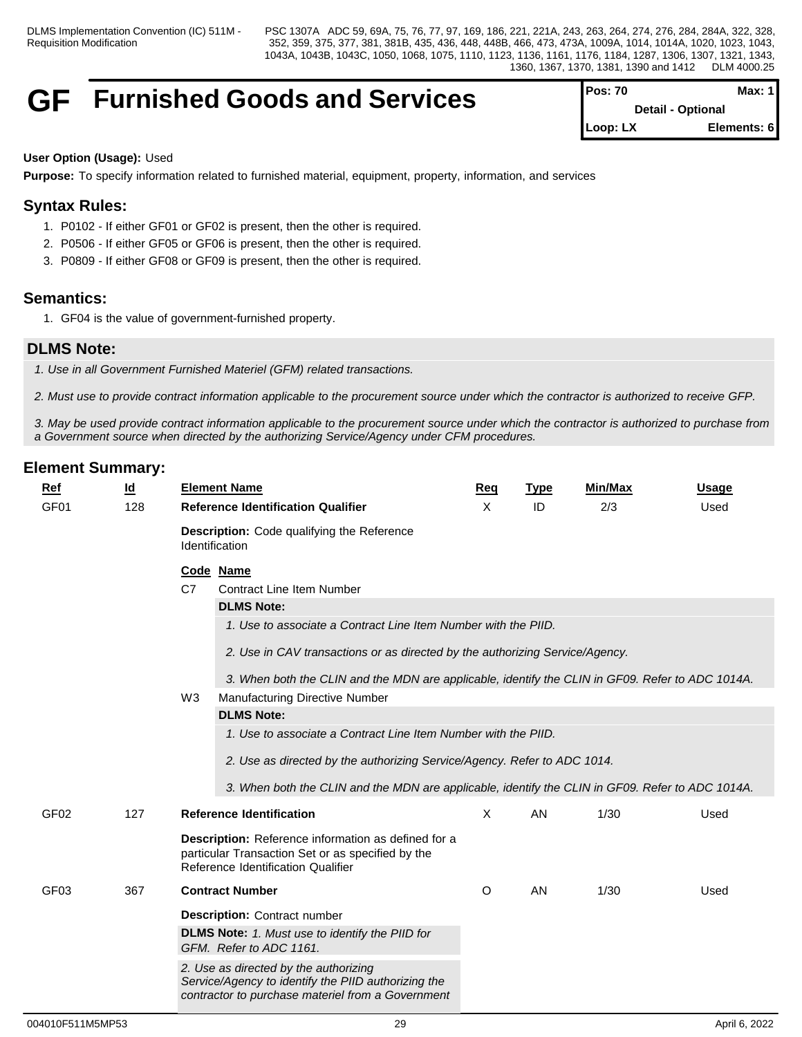## **GF** Furnished Goods and Services

| $Pos: 70$                | Max: 11     |  |
|--------------------------|-------------|--|
| <b>Detail - Optional</b> |             |  |
| $Loop: LX$               | Elements: 6 |  |

### **User Option (Usage):** Used

**Purpose:** To specify information related to furnished material, equipment, property, information, and services

## **Syntax Rules:**

- 1. P0102 If either GF01 or GF02 is present, then the other is required.
- 2. P0506 If either GF05 or GF06 is present, then the other is required.
- 3. P0809 If either GF08 or GF09 is present, then the other is required.

## **Semantics:**

1. GF04 is the value of government-furnished property.

## **DLMS Note:**

*1. Use in all Government Furnished Materiel (GFM) related transactions.*

*2. Must use to provide contract information applicable to the procurement source under which the contractor is authorized to receive GFP.* 

*3. May be used provide contract information applicable to the procurement source under which the contractor is authorized to purchase from a Government source when directed by the authorizing Service/Agency under CFM procedures.*

| $Ref$            | <u>ld</u> |                | <b>Element Name</b>                                                                                                                            | Req     | <b>Type</b> | Min/Max | <b>Usage</b> |
|------------------|-----------|----------------|------------------------------------------------------------------------------------------------------------------------------------------------|---------|-------------|---------|--------------|
| GF <sub>01</sub> | 128       |                | <b>Reference Identification Qualifier</b>                                                                                                      | X       | ID          | 2/3     | Used         |
|                  |           |                | <b>Description:</b> Code qualifying the Reference<br><b>Identification</b>                                                                     |         |             |         |              |
|                  |           | C <sub>7</sub> | Code Name<br><b>Contract Line Item Number</b>                                                                                                  |         |             |         |              |
|                  |           |                | <b>DLMS Note:</b>                                                                                                                              |         |             |         |              |
|                  |           |                | 1. Use to associate a Contract Line Item Number with the PIID.                                                                                 |         |             |         |              |
|                  |           |                | 2. Use in CAV transactions or as directed by the authorizing Service/Agency.                                                                   |         |             |         |              |
|                  |           |                | 3. When both the CLIN and the MDN are applicable, identify the CLIN in GF09. Refer to ADC 1014A.                                               |         |             |         |              |
|                  |           | W3             | <b>Manufacturing Directive Number</b>                                                                                                          |         |             |         |              |
|                  |           |                | <b>DLMS Note:</b>                                                                                                                              |         |             |         |              |
|                  |           |                | 1. Use to associate a Contract Line Item Number with the PIID.                                                                                 |         |             |         |              |
|                  |           |                | 2. Use as directed by the authorizing Service/Agency. Refer to ADC 1014.                                                                       |         |             |         |              |
|                  |           |                | 3. When both the CLIN and the MDN are applicable, identify the CLIN in GF09. Refer to ADC 1014A.                                               |         |             |         |              |
|                  |           |                |                                                                                                                                                |         |             |         |              |
| GF <sub>02</sub> | 127       |                | <b>Reference Identification</b>                                                                                                                | X       | AN          | 1/30    | Used         |
|                  |           |                | Description: Reference information as defined for a<br>particular Transaction Set or as specified by the<br>Reference Identification Qualifier |         |             |         |              |
|                  |           |                |                                                                                                                                                |         |             |         |              |
| GF <sub>03</sub> | 367       |                | <b>Contract Number</b>                                                                                                                         | $\circ$ | AN          | 1/30    | Used         |
|                  |           |                | <b>Description: Contract number</b>                                                                                                            |         |             |         |              |
|                  |           |                | <b>DLMS Note:</b> 1. Must use to identify the PIID for<br>GFM. Refer to ADC 1161.                                                              |         |             |         |              |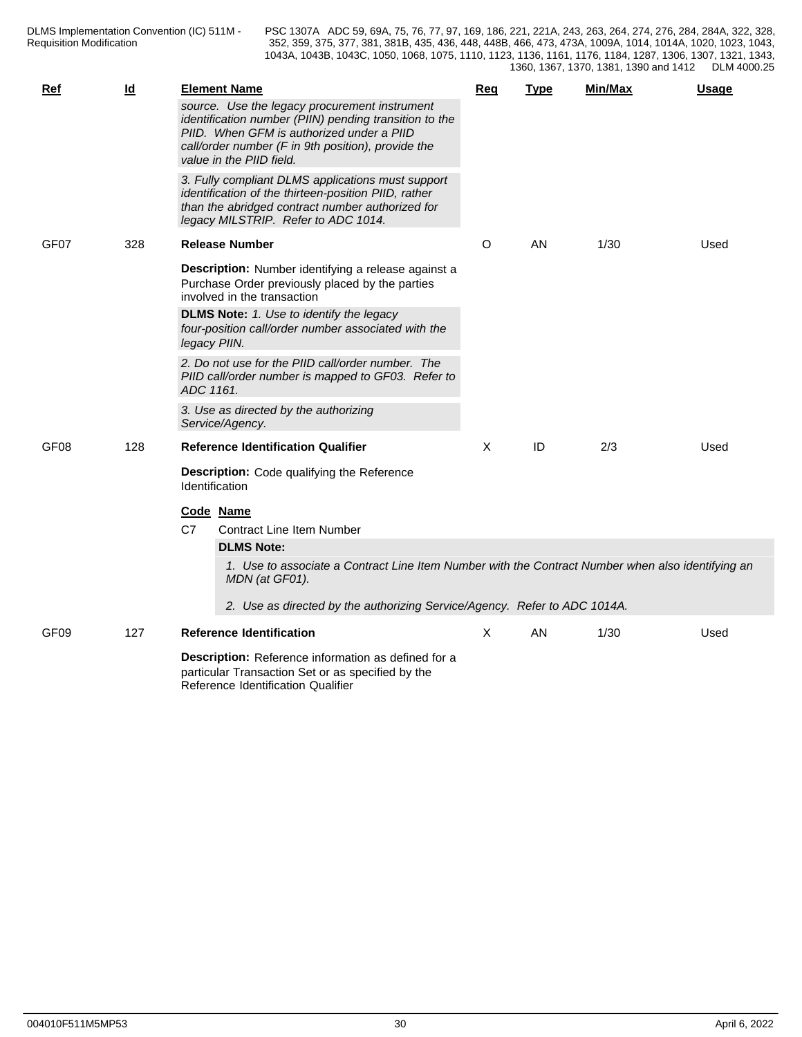| <b>Ref</b>       | $\underline{\mathsf{Id}}$ | <b>Element Name</b><br>source. Use the legacy procurement instrument                                                                                                                                 | Req | <b>Type</b> | Min/Max | Usage |
|------------------|---------------------------|------------------------------------------------------------------------------------------------------------------------------------------------------------------------------------------------------|-----|-------------|---------|-------|
|                  |                           | identification number (PIIN) pending transition to the<br>PIID. When GFM is authorized under a PIID<br>call/order number (F in 9th position), provide the<br>value in the PIID field.                |     |             |         |       |
|                  |                           | 3. Fully compliant DLMS applications must support<br>identification of the thirteen-position PIID, rather<br>than the abridged contract number authorized for<br>legacy MILSTRIP. Refer to ADC 1014. |     |             |         |       |
| GF07             | 328                       | <b>Release Number</b>                                                                                                                                                                                | O   | AN          | 1/30    | Used  |
|                  |                           | Description: Number identifying a release against a<br>Purchase Order previously placed by the parties<br>involved in the transaction                                                                |     |             |         |       |
|                  |                           | <b>DLMS Note:</b> 1. Use to identify the legacy<br>four-position call/order number associated with the<br>legacy PIIN.                                                                               |     |             |         |       |
|                  |                           | 2. Do not use for the PIID call/order number. The<br>PIID call/order number is mapped to GF03. Refer to<br>ADC 1161.                                                                                 |     |             |         |       |
|                  |                           | 3. Use as directed by the authorizing<br>Service/Agency.                                                                                                                                             |     |             |         |       |
| GF <sub>08</sub> | 128                       | <b>Reference Identification Qualifier</b>                                                                                                                                                            | X   | ID          | 2/3     | Used  |
|                  |                           | Description: Code qualifying the Reference<br>Identification                                                                                                                                         |     |             |         |       |
|                  |                           | Code Name                                                                                                                                                                                            |     |             |         |       |
|                  |                           | C7<br><b>Contract Line Item Number</b>                                                                                                                                                               |     |             |         |       |
|                  |                           | <b>DLMS Note:</b>                                                                                                                                                                                    |     |             |         |       |
|                  |                           | 1. Use to associate a Contract Line Item Number with the Contract Number when also identifying an<br>MDN (at GF01).                                                                                  |     |             |         |       |
|                  |                           | 2. Use as directed by the authorizing Service/Agency. Refer to ADC 1014A.                                                                                                                            |     |             |         |       |
| GF <sub>09</sub> | 127                       | <b>Reference Identification</b>                                                                                                                                                                      | X   | AN.         | 1/30    | Used  |
|                  |                           | Description: Reference information as defined for a<br>particular Transaction Set or as specified by the<br>Reference Identification Qualifier                                                       |     |             |         |       |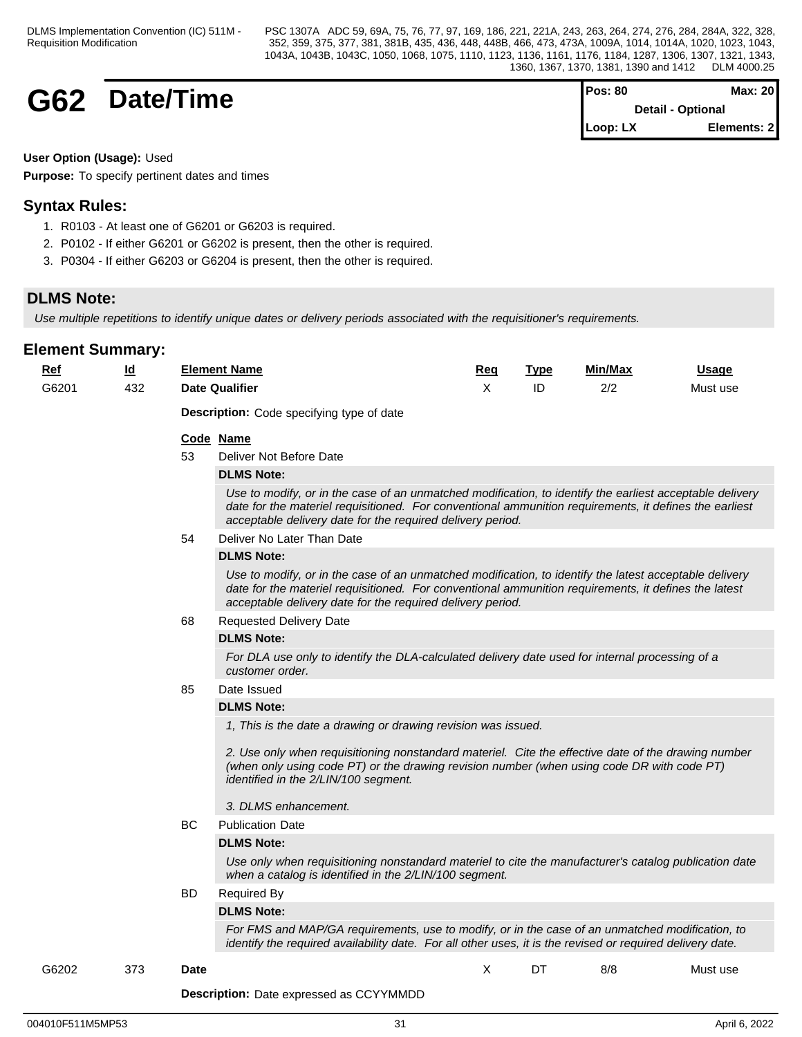## **G62** Date/Time

| IPos: 80                              | Max: $20$   |  |
|---------------------------------------|-------------|--|
| <b>Detail - Optional</b>              |             |  |
| $\mathsf{Loop}:\mathsf{L} \mathsf{X}$ | Elements: 2 |  |

### **User Option (Usage):** Used

**Purpose:** To specify pertinent dates and times

## **Syntax Rules:**

- 1. R0103 At least one of G6201 or G6203 is required.
- 2. P0102 If either G6201 or G6202 is present, then the other is required.
- 3. P0304 If either G6203 or G6204 is present, then the other is required.

## **DLMS Note:**

*Use multiple repetitions to identify unique dates or delivery periods associated with the requisitioner's requirements.*

| $Ref$ | $\underline{\mathsf{Id}}$ |             | <b>Element Name</b>                                                                                                                                                                                                                                                              | Req | <b>Type</b> | Min/Max | <b>Usage</b> |
|-------|---------------------------|-------------|----------------------------------------------------------------------------------------------------------------------------------------------------------------------------------------------------------------------------------------------------------------------------------|-----|-------------|---------|--------------|
| G6201 | 432                       |             | <b>Date Qualifier</b>                                                                                                                                                                                                                                                            | X   | ID          | 2/2     | Must use     |
|       |                           |             | <b>Description:</b> Code specifying type of date                                                                                                                                                                                                                                 |     |             |         |              |
|       |                           |             | Code Name                                                                                                                                                                                                                                                                        |     |             |         |              |
|       |                           | 53          | Deliver Not Before Date                                                                                                                                                                                                                                                          |     |             |         |              |
|       |                           |             | <b>DLMS Note:</b>                                                                                                                                                                                                                                                                |     |             |         |              |
|       |                           |             | Use to modify, or in the case of an unmatched modification, to identify the earliest acceptable delivery<br>date for the materiel requisitioned. For conventional ammunition requirements, it defines the earliest<br>acceptable delivery date for the required delivery period. |     |             |         |              |
|       |                           | 54          | Deliver No Later Than Date                                                                                                                                                                                                                                                       |     |             |         |              |
|       |                           |             | <b>DLMS Note:</b>                                                                                                                                                                                                                                                                |     |             |         |              |
|       |                           |             | Use to modify, or in the case of an unmatched modification, to identify the latest acceptable delivery<br>date for the materiel requisitioned. For conventional ammunition requirements, it defines the latest<br>acceptable delivery date for the required delivery period.     |     |             |         |              |
|       |                           | 68          | <b>Requested Delivery Date</b>                                                                                                                                                                                                                                                   |     |             |         |              |
|       |                           |             | <b>DLMS Note:</b>                                                                                                                                                                                                                                                                |     |             |         |              |
|       |                           |             | For DLA use only to identify the DLA-calculated delivery date used for internal processing of a<br>customer order.                                                                                                                                                               |     |             |         |              |
|       |                           | 85          | Date Issued                                                                                                                                                                                                                                                                      |     |             |         |              |
|       |                           |             | <b>DLMS Note:</b>                                                                                                                                                                                                                                                                |     |             |         |              |
|       |                           |             | 1, This is the date a drawing or drawing revision was issued.                                                                                                                                                                                                                    |     |             |         |              |
|       |                           |             | 2. Use only when requisitioning nonstandard materiel. Cite the effective date of the drawing number<br>(when only using code PT) or the drawing revision number (when using code DR with code PT)<br>identified in the 2/LIN/100 segment.                                        |     |             |         |              |
|       |                           |             | 3. DLMS enhancement.                                                                                                                                                                                                                                                             |     |             |         |              |
|       |                           | BC          | <b>Publication Date</b>                                                                                                                                                                                                                                                          |     |             |         |              |
|       |                           |             | <b>DLMS Note:</b>                                                                                                                                                                                                                                                                |     |             |         |              |
|       |                           |             | Use only when requisitioning nonstandard materiel to cite the manufacturer's catalog publication date<br>when a catalog is identified in the 2/LIN/100 segment.                                                                                                                  |     |             |         |              |
|       |                           | BD          | <b>Required By</b>                                                                                                                                                                                                                                                               |     |             |         |              |
|       |                           |             | <b>DLMS Note:</b>                                                                                                                                                                                                                                                                |     |             |         |              |
|       |                           |             | For FMS and MAP/GA requirements, use to modify, or in the case of an unmatched modification, to<br>identify the required availability date. For all other uses, it is the revised or required delivery date.                                                                     |     |             |         |              |
| G6202 | 373                       | <b>Date</b> |                                                                                                                                                                                                                                                                                  | X   | DT          | 8/8     | Must use     |
|       |                           |             |                                                                                                                                                                                                                                                                                  |     |             |         |              |
|       |                           |             | <b>Description:</b> Date expressed as CCYYMMDD                                                                                                                                                                                                                                   |     |             |         |              |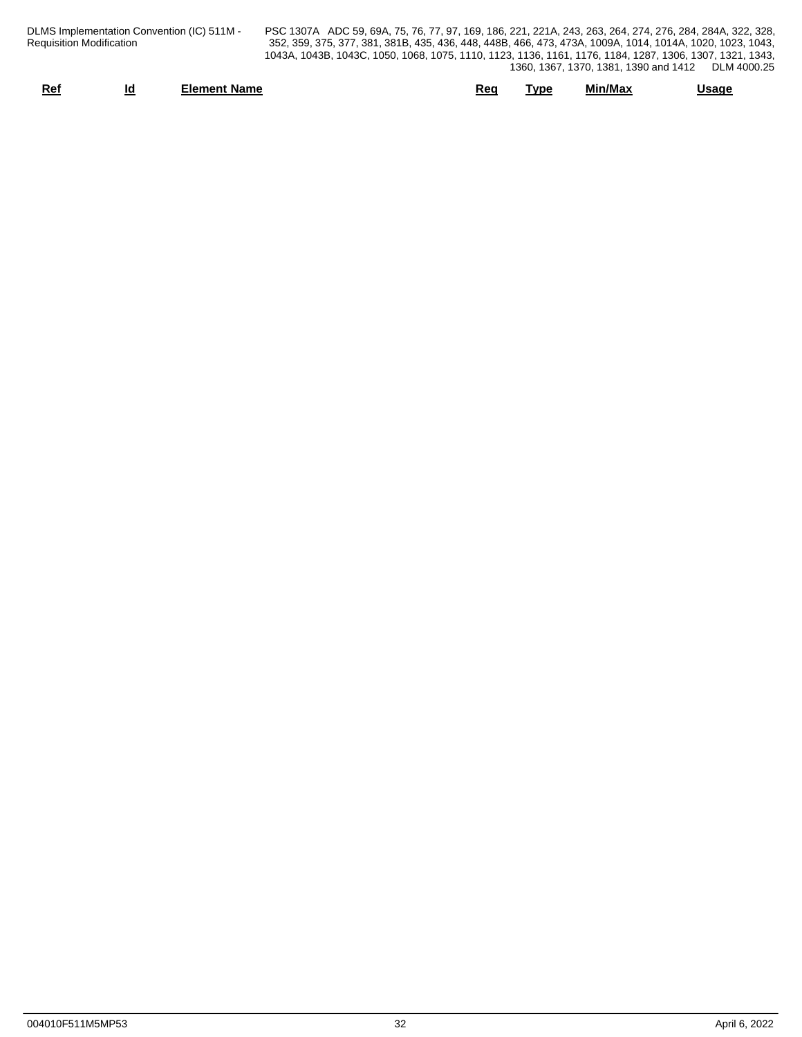| DLMS Implementation Convention (IC) 511M - | PSC 1307A ADC 59    |
|--------------------------------------------|---------------------|
| Requisition Modification                   | 352, 359, 375, 377, |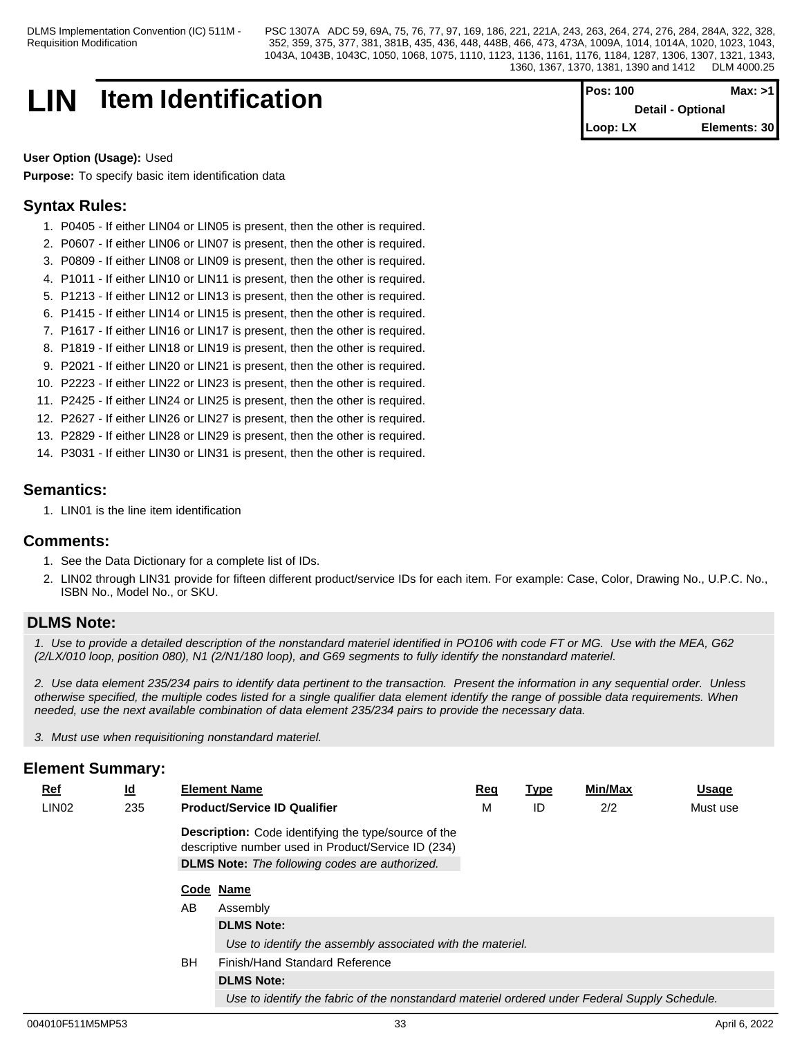# **LIN** Item Identification **Pos: 100** Max: >1

**Detail - Optional Loop: LX Elements: 30**

#### **User Option (Usage):** Used

**Purpose:** To specify basic item identification data

## **Syntax Rules:**

- 1. P0405 If either LIN04 or LIN05 is present, then the other is required.
- 2. P0607 If either LIN06 or LIN07 is present, then the other is required.
- 3. P0809 If either LIN08 or LIN09 is present, then the other is required.
- 4. P1011 If either LIN10 or LIN11 is present, then the other is required.
- 5. P1213 If either LIN12 or LIN13 is present, then the other is required.
- 6. P1415 If either LIN14 or LIN15 is present, then the other is required.
- 7. P1617 If either LIN16 or LIN17 is present, then the other is required.
- 8. P1819 If either LIN18 or LIN19 is present, then the other is required.
- 9. P2021 If either LIN20 or LIN21 is present, then the other is required.
- 10. P2223 If either LIN22 or LIN23 is present, then the other is required.
- 11. P2425 If either LIN24 or LIN25 is present, then the other is required.
- 12. P2627 If either LIN26 or LIN27 is present, then the other is required.
- 13. P2829 If either LIN28 or LIN29 is present, then the other is required.
- 14. P3031 If either LIN30 or LIN31 is present, then the other is required.

## **Semantics:**

1. LIN01 is the line item identification

### **Comments:**

- 1. See the Data Dictionary for a complete list of IDs.
- 2. LIN02 through LIN31 provide for fifteen different product/service IDs for each item. For example: Case, Color, Drawing No., U.P.C. No., ISBN No., Model No., or SKU.

## **DLMS Note:**

*1. Use to provide a detailed description of the nonstandard materiel identified in PO106 with code FT or MG. Use with the MEA, G62 (2/LX/010 loop, position 080), N1 (2/N1/180 loop), and G69 segments to fully identify the nonstandard materiel.*

*2. Use data element 235/234 pairs to identify data pertinent to the transaction. Present the information in any sequential order. Unless otherwise specified, the multiple codes listed for a single qualifier data element identify the range of possible data requirements. When needed, use the next available combination of data element 235/234 pairs to provide the necessary data.*

*3. Must use when requisitioning nonstandard materiel.*

| $Ref$             | $\underline{\mathsf{Id}}$ |           | <b>Element Name</b>                                                                                                | Req | <b>Type</b> | Min/Max | <b>Usage</b> |
|-------------------|---------------------------|-----------|--------------------------------------------------------------------------------------------------------------------|-----|-------------|---------|--------------|
| LIN <sub>02</sub> | 235                       |           | <b>Product/Service ID Qualifier</b>                                                                                | M   | ID          | 2/2     | Must use     |
|                   |                           |           | <b>Description:</b> Code identifying the type/source of the<br>descriptive number used in Product/Service ID (234) |     |             |         |              |
|                   |                           |           | <b>DLMS Note:</b> The following codes are authorized.                                                              |     |             |         |              |
|                   |                           |           | Code Name                                                                                                          |     |             |         |              |
|                   |                           | AB        | Assembly                                                                                                           |     |             |         |              |
|                   |                           |           | <b>DLMS Note:</b>                                                                                                  |     |             |         |              |
|                   |                           |           | Use to identify the assembly associated with the materiel.                                                         |     |             |         |              |
|                   |                           | <b>BH</b> | Finish/Hand Standard Reference                                                                                     |     |             |         |              |
|                   |                           |           | <b>DLMS Note:</b>                                                                                                  |     |             |         |              |
|                   |                           |           | Use to identify the fabric of the nonstandard materiel ordered under Federal Supply Schedule.                      |     |             |         |              |
|                   |                           |           |                                                                                                                    |     |             |         |              |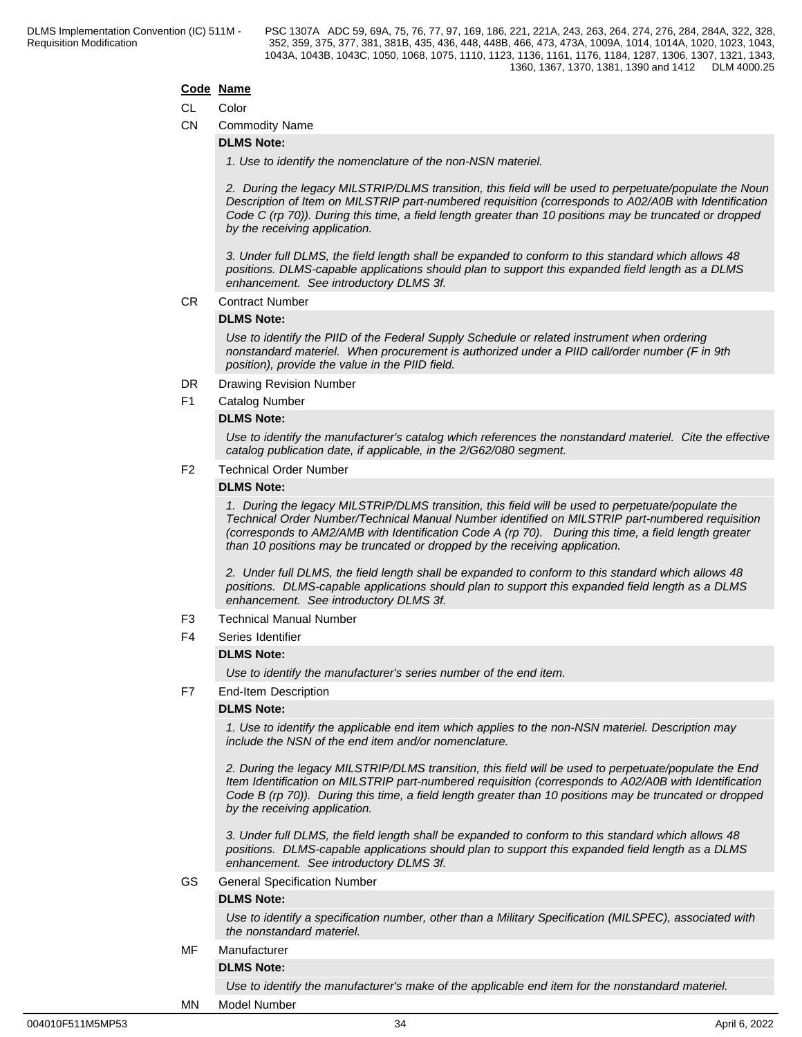#### **Code Name**

#### CL Color

CN Commodity Name

#### **DLMS Note:**

*1. Use to identify the nomenclature of the non-NSN materiel.*

*2. During the legacy MILSTRIP/DLMS transition, this field will be used to perpetuate/populate the Noun Description of Item on MILSTRIP part-numbered requisition (corresponds to A02/A0B with Identification Code C (rp 70)). During this time, a field length greater than 10 positions may be truncated or dropped by the receiving application.* 

*3. Under full DLMS, the field length shall be expanded to conform to this standard which allows 48 positions. DLMS-capable applications should plan to support this expanded field length as a DLMS enhancement. See introductory DLMS 3f.*

CR Contract Number

#### **DLMS Note:**

*Use to identify the PIID of the Federal Supply Schedule or related instrument when ordering nonstandard materiel. When procurement is authorized under a PIID call/order number (F in 9th position), provide the value in the PIID field.*

- DR Drawing Revision Number
- F1 Catalog Number

#### **DLMS Note:**

*Use to identify the manufacturer's catalog which references the nonstandard materiel. Cite the effective catalog publication date, if applicable, in the 2/G62/080 segment.*

### F2 Technical Order Number

#### **DLMS Note:**

*1. During the legacy MILSTRIP/DLMS transition, this field will be used to perpetuate/populate the Technical Order Number/Technical Manual Number identified on MILSTRIP part-numbered requisition (corresponds to AM2/AMB with Identification Code A (rp 70). During this time, a field length greater than 10 positions may be truncated or dropped by the receiving application.* 

*2. Under full DLMS, the field length shall be expanded to conform to this standard which allows 48 positions. DLMS-capable applications should plan to support this expanded field length as a DLMS enhancement. See introductory DLMS 3f.*

- F3 Technical Manual Number
- F4 Series Identifier

#### **DLMS Note:**

*Use to identify the manufacturer's series number of the end item.*

F7 End-Item Description

#### **DLMS Note:**

*1. Use to identify the applicable end item which applies to the non-NSN materiel. Description may include the NSN of the end item and/or nomenclature.*

*2. During the legacy MILSTRIP/DLMS transition, this field will be used to perpetuate/populate the End Item Identification on MILSTRIP part-numbered requisition (corresponds to A02/A0B with Identification Code B (rp 70)). During this time, a field length greater than 10 positions may be truncated or dropped by the receiving application.* 

*3. Under full DLMS, the field length shall be expanded to conform to this standard which allows 48 positions. DLMS-capable applications should plan to support this expanded field length as a DLMS enhancement. See introductory DLMS 3f.*

GS General Specification Number

#### **DLMS Note:**

*Use to identify a specification number, other than a Military Specification (MILSPEC), associated with the nonstandard materiel.*

## MF Manufacturer

## **DLMS Note:**

*Use to identify the manufacturer's make of the applicable end item for the nonstandard materiel.*

#### MN Model Number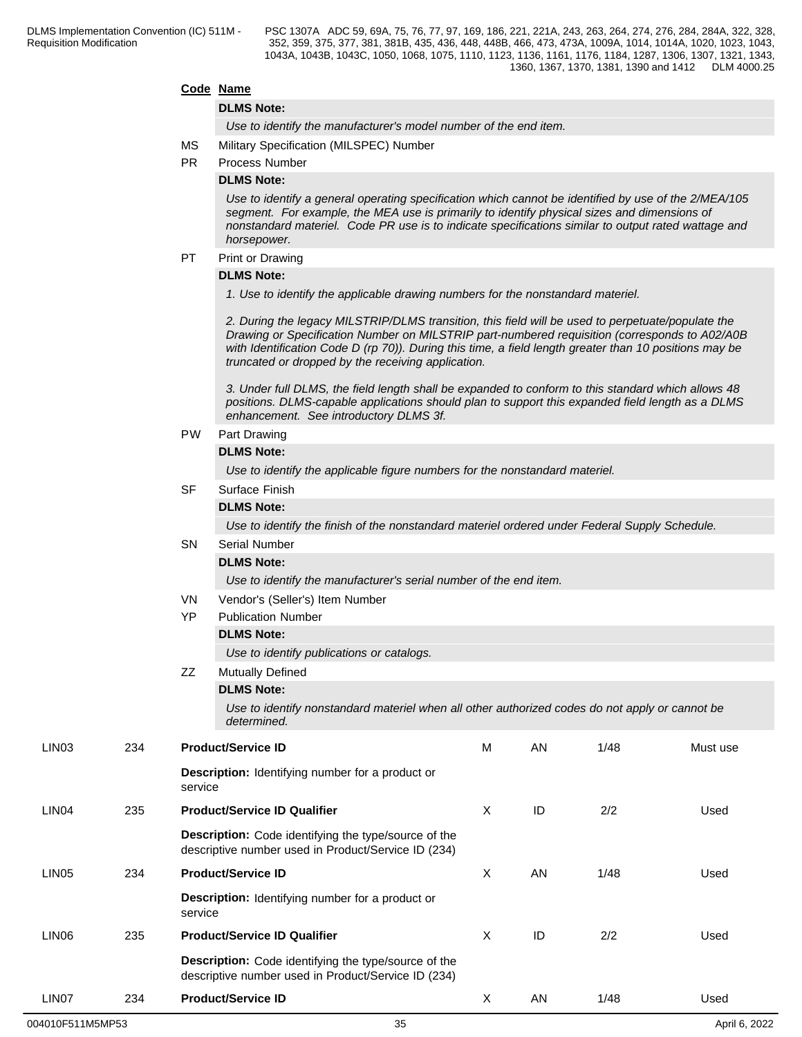#### **Code Name**

#### **DLMS Note:**

*Use to identify the manufacturer's model number of the end item.*

- MS Military Specification (MILSPEC) Number
- PR Process Number

#### **DLMS Note:**

*Use to identify a general operating specification which cannot be identified by use of the 2/MEA/105 segment. For example, the MEA use is primarily to identify physical sizes and dimensions of nonstandard materiel. Code PR use is to indicate specifications similar to output rated wattage and horsepower.*

### PT Print or Drawing

#### **DLMS Note:**

*1. Use to identify the applicable drawing numbers for the nonstandard materiel.*

*2. During the legacy MILSTRIP/DLMS transition, this field will be used to perpetuate/populate the Drawing or Specification Number on MILSTRIP part-numbered requisition (corresponds to A02/A0B with Identification Code D (rp 70)). During this time, a field length greater than 10 positions may be truncated or dropped by the receiving application.* 

*3. Under full DLMS, the field length shall be expanded to conform to this standard which allows 48 positions. DLMS-capable applications should plan to support this expanded field length as a DLMS enhancement. See introductory DLMS 3f.*

#### PW Part Drawing

#### **DLMS Note:**

*Use to identify the applicable figure numbers for the nonstandard materiel.*

#### SF Surface Finish

#### **DLMS Note:**

*Use to identify the finish of the nonstandard materiel ordered under Federal Supply Schedule.*

## SN Serial Number

**DLMS Note:**

*Use to identify the manufacturer's serial number of the end item.*

- VN Vendor's (Seller's) Item Number
- YP Publication Number

#### **DLMS Note:**

*Use to identify publications or catalogs.*

## ZZ Mutually Defined

**DLMS Note:**

*Use to identify nonstandard materiel when all other authorized codes do not apply or cannot be determined.*

| LIN <sub>03</sub> | 234 | <b>Product/Service ID</b>                                                                                          | M | AN | 1/48 | Must use |
|-------------------|-----|--------------------------------------------------------------------------------------------------------------------|---|----|------|----------|
|                   |     | <b>Description:</b> Identifying number for a product or<br>service                                                 |   |    |      |          |
| LIN <sub>04</sub> | 235 | <b>Product/Service ID Qualifier</b>                                                                                | X | ID | 2/2  | Used     |
|                   |     | <b>Description:</b> Code identifying the type/source of the<br>descriptive number used in Product/Service ID (234) |   |    |      |          |
| LIN <sub>05</sub> | 234 | <b>Product/Service ID</b>                                                                                          | X | AN | 1/48 | Used     |
|                   |     | <b>Description:</b> Identifying number for a product or<br>service                                                 |   |    |      |          |
| LIN <sub>06</sub> | 235 | <b>Product/Service ID Qualifier</b>                                                                                | X | ID | 2/2  | Used     |
|                   |     | <b>Description:</b> Code identifying the type/source of the<br>descriptive number used in Product/Service ID (234) |   |    |      |          |
| LIN <sub>07</sub> | 234 | <b>Product/Service ID</b>                                                                                          | X | AN | 1/48 | Used     |
|                   |     |                                                                                                                    |   |    |      |          |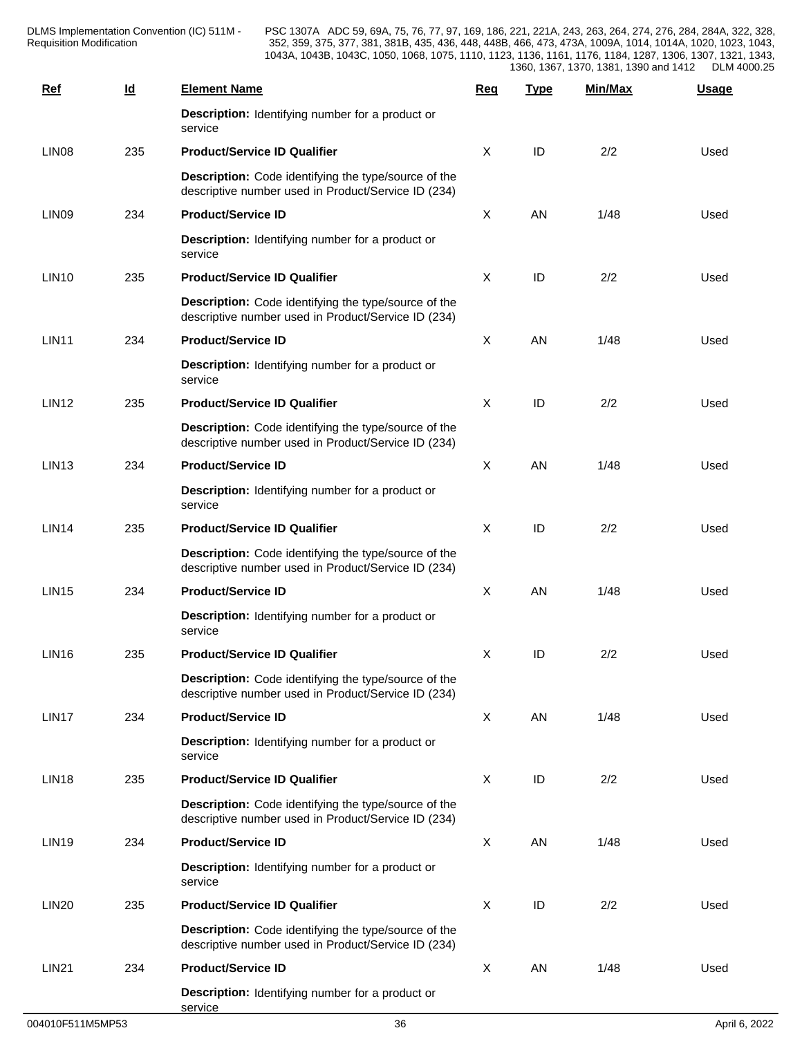DLMS Implementation Convention (IC) 511M - Requisition Modification **Network** 252, 359, 375,

| <u>Ref</u>        | $\underline{\mathsf{Id}}$ | <b>Element Name</b>                                                                                         | <b>Req</b> | <b>Type</b> | Min/Max | <b>Usage</b> |  |
|-------------------|---------------------------|-------------------------------------------------------------------------------------------------------------|------------|-------------|---------|--------------|--|
|                   |                           | Description: Identifying number for a product or<br>service                                                 |            |             |         |              |  |
| LIN <sub>08</sub> | 235                       | <b>Product/Service ID Qualifier</b>                                                                         | X          | ID          | 2/2     | Used         |  |
|                   |                           | Description: Code identifying the type/source of the<br>descriptive number used in Product/Service ID (234) |            |             |         |              |  |
| LIN <sub>09</sub> | 234                       | <b>Product/Service ID</b>                                                                                   | X          | AN          | 1/48    | Used         |  |
|                   |                           | Description: Identifying number for a product or<br>service                                                 |            |             |         |              |  |
| <b>LIN10</b>      | 235                       | <b>Product/Service ID Qualifier</b>                                                                         | X          | ID          | 2/2     | Used         |  |
|                   |                           | Description: Code identifying the type/source of the<br>descriptive number used in Product/Service ID (234) |            |             |         |              |  |
| <b>LIN11</b>      | 234                       | <b>Product/Service ID</b>                                                                                   | X          | AN          | 1/48    | Used         |  |
|                   |                           | <b>Description:</b> Identifying number for a product or<br>service                                          |            |             |         |              |  |
| LIN <sub>12</sub> | 235                       | <b>Product/Service ID Qualifier</b>                                                                         | X          | ID          | 2/2     | Used         |  |
|                   |                           | Description: Code identifying the type/source of the<br>descriptive number used in Product/Service ID (234) |            |             |         |              |  |
| LIN <sub>13</sub> | 234                       | <b>Product/Service ID</b>                                                                                   | X          | AN          | 1/48    | Used         |  |
|                   |                           | Description: Identifying number for a product or<br>service                                                 |            |             |         |              |  |
| LIN <sub>14</sub> | 235                       | <b>Product/Service ID Qualifier</b>                                                                         | X          | ID          | 2/2     | Used         |  |
|                   |                           | Description: Code identifying the type/source of the<br>descriptive number used in Product/Service ID (234) |            |             |         |              |  |
| <b>LIN15</b>      | 234                       | <b>Product/Service ID</b>                                                                                   | X          | AN          | 1/48    | Used         |  |
|                   |                           | Description: Identifying number for a product or<br>service                                                 |            |             |         |              |  |
| <b>LIN16</b>      | 235                       | <b>Product/Service ID Qualifier</b>                                                                         | X          | ID          | 2/2     | Used         |  |
|                   |                           | Description: Code identifying the type/source of the<br>descriptive number used in Product/Service ID (234) |            |             |         |              |  |
| LIN17             | 234                       | <b>Product/Service ID</b>                                                                                   | X          | AN          | 1/48    | Used         |  |
|                   |                           | Description: Identifying number for a product or<br>service                                                 |            |             |         |              |  |
| <b>LIN18</b>      | 235                       | <b>Product/Service ID Qualifier</b>                                                                         | X          | ID          | 2/2     | Used         |  |
|                   |                           | Description: Code identifying the type/source of the<br>descriptive number used in Product/Service ID (234) |            |             |         |              |  |
| <b>LIN19</b>      | 234                       | <b>Product/Service ID</b>                                                                                   | X          | AN          | 1/48    | Used         |  |
|                   |                           | Description: Identifying number for a product or<br>service                                                 |            |             |         |              |  |
| <b>LIN20</b>      | 235                       | <b>Product/Service ID Qualifier</b>                                                                         | X          | $\sf ID$    | 2/2     | Used         |  |
|                   |                           | Description: Code identifying the type/source of the<br>descriptive number used in Product/Service ID (234) |            |             |         |              |  |
| <b>LIN21</b>      | 234                       | <b>Product/Service ID</b>                                                                                   | X          | AN          | 1/48    | Used         |  |
|                   |                           | Description: Identifying number for a product or<br>service                                                 |            |             |         |              |  |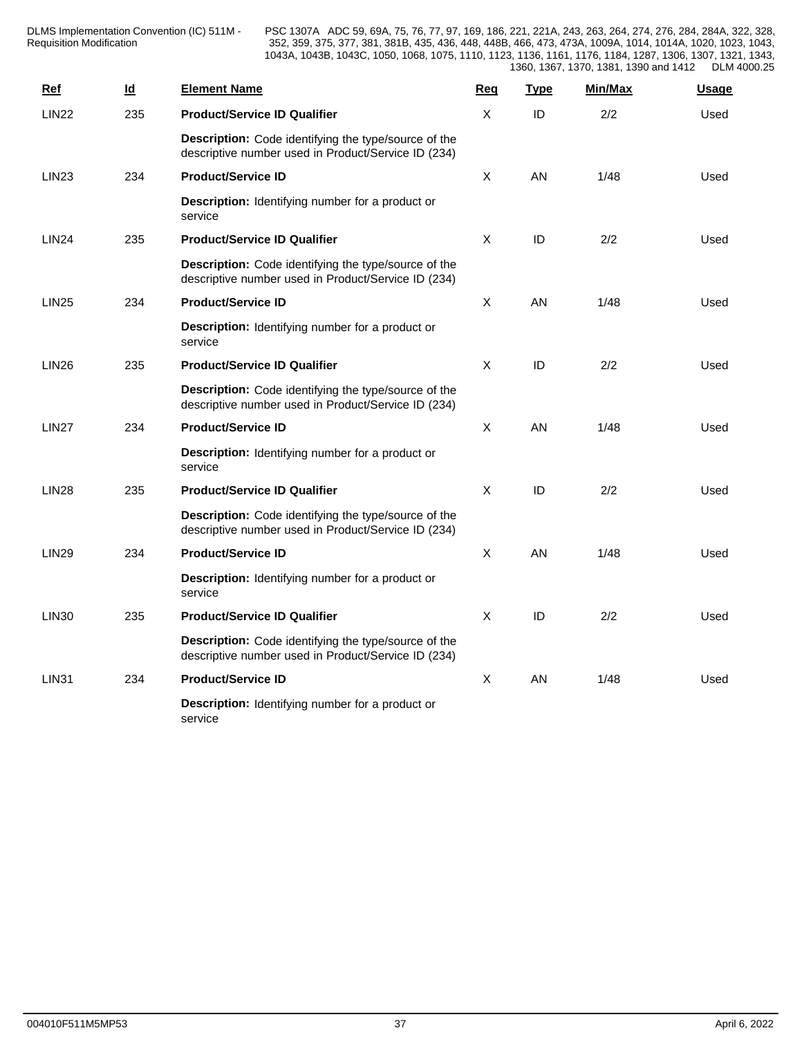DLMS Implementation Convention (IC) 511M - Requisition Modification **Network** 252, 359, 375,

| Ref          | $\underline{\mathsf{Id}}$ | <b>Element Name</b>                                                                                         | Req          | <b>Type</b> | Min/Max | <b>Usage</b> |
|--------------|---------------------------|-------------------------------------------------------------------------------------------------------------|--------------|-------------|---------|--------------|
| <b>LIN22</b> | 235                       | <b>Product/Service ID Qualifier</b>                                                                         | X            | ID          | 2/2     | Used         |
|              |                           | Description: Code identifying the type/source of the<br>descriptive number used in Product/Service ID (234) |              |             |         |              |
| <b>LIN23</b> | 234                       | <b>Product/Service ID</b>                                                                                   | $\mathsf{X}$ | AN          | 1/48    | Used         |
|              |                           | Description: Identifying number for a product or<br>service                                                 |              |             |         |              |
| <b>LIN24</b> | 235                       | <b>Product/Service ID Qualifier</b>                                                                         | X            | ID          | 2/2     | Used         |
|              |                           | Description: Code identifying the type/source of the<br>descriptive number used in Product/Service ID (234) |              |             |         |              |
| <b>LIN25</b> | 234                       | <b>Product/Service ID</b>                                                                                   | X            | <b>AN</b>   | 1/48    | Used         |
|              |                           | <b>Description:</b> Identifying number for a product or<br>service                                          |              |             |         |              |
| <b>LIN26</b> | 235                       | <b>Product/Service ID Qualifier</b>                                                                         | X            | ID          | 2/2     | Used         |
|              |                           | Description: Code identifying the type/source of the<br>descriptive number used in Product/Service ID (234) |              |             |         |              |
| <b>LIN27</b> | 234                       | <b>Product/Service ID</b>                                                                                   | $\mathsf{X}$ | AN          | 1/48    | Used         |
|              |                           | <b>Description:</b> Identifying number for a product or<br>service                                          |              |             |         |              |
| <b>LIN28</b> | 235                       | <b>Product/Service ID Qualifier</b>                                                                         | $\mathsf{X}$ | ID          | 2/2     | Used         |
|              |                           | Description: Code identifying the type/source of the<br>descriptive number used in Product/Service ID (234) |              |             |         |              |
| <b>LIN29</b> | 234                       | <b>Product/Service ID</b>                                                                                   | X            | AN          | 1/48    | Used         |
|              |                           | Description: Identifying number for a product or<br>service                                                 |              |             |         |              |
| <b>LIN30</b> | 235                       | <b>Product/Service ID Qualifier</b>                                                                         | $\mathsf{X}$ | ID          | 2/2     | Used         |
|              |                           | Description: Code identifying the type/source of the<br>descriptive number used in Product/Service ID (234) |              |             |         |              |
| <b>LIN31</b> | 234                       | <b>Product/Service ID</b>                                                                                   | X            | <b>AN</b>   | 1/48    | Used         |
|              |                           | <b>Description:</b> Identifying number for a product or<br>service                                          |              |             |         |              |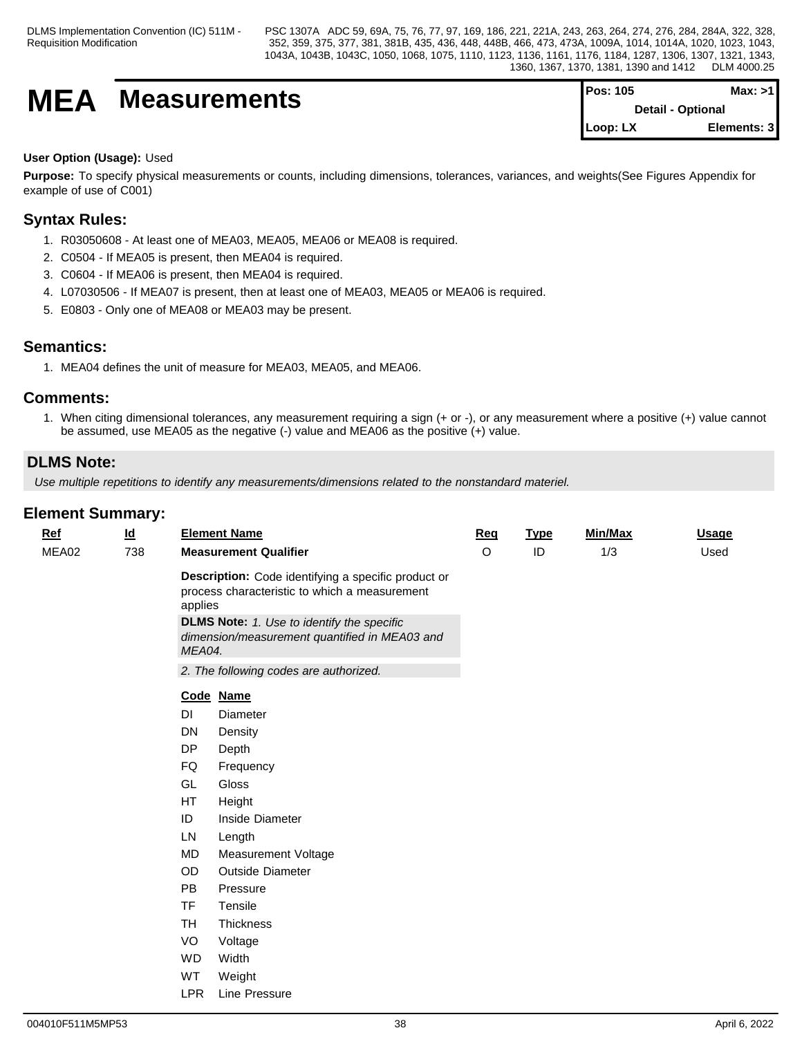# **MEA** Measurements

| <b>IPos: 105</b>         | Max: >11     |  |
|--------------------------|--------------|--|
| <b>Detail - Optional</b> |              |  |
| Loop: LX                 | Elements: 31 |  |

### **User Option (Usage):** Used

**Purpose:** To specify physical measurements or counts, including dimensions, tolerances, variances, and weights(See Figures Appendix for example of use of C001)

## **Syntax Rules:**

- 1. R03050608 At least one of MEA03, MEA05, MEA06 or MEA08 is required.
- 2. C0504 If MEA05 is present, then MEA04 is required.
- 3. C0604 If MEA06 is present, then MEA04 is required.
- 4. L07030506 If MEA07 is present, then at least one of MEA03, MEA05 or MEA06 is required.
- 5. E0803 Only one of MEA08 or MEA03 may be present.

## **Semantics:**

1. MEA04 defines the unit of measure for MEA03, MEA05, and MEA06.

### **Comments:**

1. When citing dimensional tolerances, any measurement requiring a sign (+ or -), or any measurement where a positive (+) value cannot be assumed, use MEA05 as the negative (-) value and MEA06 as the positive (+) value.

## **DLMS Note:**

*Use multiple repetitions to identify any measurements/dimensions related to the nonstandard materiel.*

| Ref   | $\underline{\mathsf{Id}}$ |                   | <b>Element Name</b>                                                                                                                                                                                        | Req     | <b>Type</b> | Min/Max | <b>Usage</b> |  |
|-------|---------------------------|-------------------|------------------------------------------------------------------------------------------------------------------------------------------------------------------------------------------------------------|---------|-------------|---------|--------------|--|
| MEA02 | 738                       |                   | <b>Measurement Qualifier</b>                                                                                                                                                                               | $\circ$ | ID          | 1/3     | Used         |  |
|       |                           | applies<br>MEA04. | Description: Code identifying a specific product or<br>process characteristic to which a measurement<br><b>DLMS Note:</b> 1. Use to identify the specific<br>dimension/measurement quantified in MEA03 and |         |             |         |              |  |
|       |                           |                   | 2. The following codes are authorized.                                                                                                                                                                     |         |             |         |              |  |
|       |                           |                   | Code Name                                                                                                                                                                                                  |         |             |         |              |  |
|       |                           | DI                | Diameter                                                                                                                                                                                                   |         |             |         |              |  |
|       |                           | DN                | Density                                                                                                                                                                                                    |         |             |         |              |  |
|       |                           | <b>DP</b>         | Depth                                                                                                                                                                                                      |         |             |         |              |  |
|       |                           | FQ                | Frequency                                                                                                                                                                                                  |         |             |         |              |  |
|       |                           | GL                | Gloss                                                                                                                                                                                                      |         |             |         |              |  |
|       |                           | <b>HT</b>         | Height                                                                                                                                                                                                     |         |             |         |              |  |
|       |                           | ID                | Inside Diameter                                                                                                                                                                                            |         |             |         |              |  |
|       |                           | LN                | Length                                                                                                                                                                                                     |         |             |         |              |  |
|       |                           | <b>MD</b>         | Measurement Voltage                                                                                                                                                                                        |         |             |         |              |  |
|       |                           | OD                | <b>Outside Diameter</b>                                                                                                                                                                                    |         |             |         |              |  |
|       |                           | <b>PB</b>         | Pressure                                                                                                                                                                                                   |         |             |         |              |  |
|       |                           | <b>TF</b>         | Tensile                                                                                                                                                                                                    |         |             |         |              |  |
|       |                           | <b>TH</b>         | Thickness                                                                                                                                                                                                  |         |             |         |              |  |
|       |                           | VO                | Voltage                                                                                                                                                                                                    |         |             |         |              |  |
|       |                           | <b>WD</b>         | Width                                                                                                                                                                                                      |         |             |         |              |  |
|       |                           | WT                | Weight                                                                                                                                                                                                     |         |             |         |              |  |
|       |                           | <b>LPR</b>        | Line Pressure                                                                                                                                                                                              |         |             |         |              |  |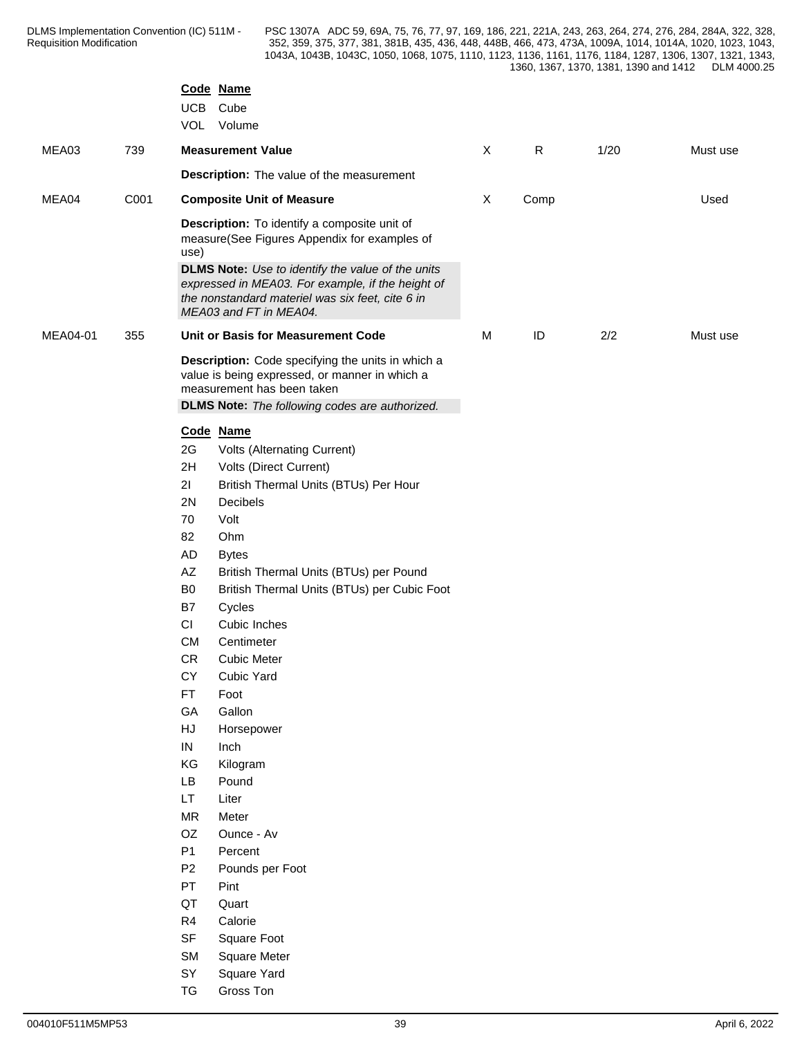|          |      |                              | Code Name<br>UCB Cube<br>VOL Volume                                                                                                                                                                           |                           |              |      |          |
|----------|------|------------------------------|---------------------------------------------------------------------------------------------------------------------------------------------------------------------------------------------------------------|---------------------------|--------------|------|----------|
| MEA03    | 739  |                              | <b>Measurement Value</b>                                                                                                                                                                                      | $\sf X$                   | $\mathsf{R}$ | 1/20 | Must use |
|          |      |                              | Description: The value of the measurement                                                                                                                                                                     |                           |              |      |          |
| MEA04    | C001 |                              | <b>Composite Unit of Measure</b>                                                                                                                                                                              | $\boldsymbol{\mathsf{X}}$ | Comp         |      | Used     |
|          |      | use)                         | Description: To identify a composite unit of<br>measure(See Figures Appendix for examples of<br><b>DLMS Note:</b> Use to identify the value of the units<br>expressed in MEA03. For example, if the height of |                           |              |      |          |
|          |      |                              | the nonstandard materiel was six feet, cite 6 in<br>MEA03 and FT in MEA04.                                                                                                                                    |                           |              |      |          |
| MEA04-01 | 355  |                              | Unit or Basis for Measurement Code                                                                                                                                                                            | M                         | ID           | 2/2  | Must use |
|          |      |                              | Description: Code specifying the units in which a<br>value is being expressed, or manner in which a<br>measurement has been taken                                                                             |                           |              |      |          |
|          |      |                              | <b>DLMS Note:</b> The following codes are authorized.                                                                                                                                                         |                           |              |      |          |
|          |      | 2G                           | Code Name<br>Volts (Alternating Current)                                                                                                                                                                      |                           |              |      |          |
|          |      | 2H                           | Volts (Direct Current)                                                                                                                                                                                        |                           |              |      |          |
|          |      | 21                           | British Thermal Units (BTUs) Per Hour                                                                                                                                                                         |                           |              |      |          |
|          |      | 2N                           | Decibels                                                                                                                                                                                                      |                           |              |      |          |
|          |      | 70                           | Volt                                                                                                                                                                                                          |                           |              |      |          |
|          |      | 82<br>AD                     | Ohm                                                                                                                                                                                                           |                           |              |      |          |
|          |      | AZ                           | <b>Bytes</b><br>British Thermal Units (BTUs) per Pound                                                                                                                                                        |                           |              |      |          |
|          |      | B <sub>0</sub>               | British Thermal Units (BTUs) per Cubic Foot                                                                                                                                                                   |                           |              |      |          |
|          |      | B7                           | Cycles                                                                                                                                                                                                        |                           |              |      |          |
|          |      | $\mathsf{C}\mathsf{I}$       | Cubic Inches                                                                                                                                                                                                  |                           |              |      |          |
|          |      | CM                           | Centimeter                                                                                                                                                                                                    |                           |              |      |          |
|          |      | CR                           | <b>Cubic Meter</b>                                                                                                                                                                                            |                           |              |      |          |
|          |      | CY                           | Cubic Yard                                                                                                                                                                                                    |                           |              |      |          |
|          |      | <b>FT</b>                    | Foot                                                                                                                                                                                                          |                           |              |      |          |
|          |      | GA<br>$\mathsf{H}\mathsf{J}$ | Gallon                                                                                                                                                                                                        |                           |              |      |          |
|          |      | IN                           | Horsepower<br>Inch                                                                                                                                                                                            |                           |              |      |          |
|          |      | KG                           | Kilogram                                                                                                                                                                                                      |                           |              |      |          |
|          |      | <b>LB</b>                    | Pound                                                                                                                                                                                                         |                           |              |      |          |
|          |      | LT                           | Liter                                                                                                                                                                                                         |                           |              |      |          |
|          |      | <b>MR</b>                    | Meter                                                                                                                                                                                                         |                           |              |      |          |
|          |      | OZ                           | Ounce - Av                                                                                                                                                                                                    |                           |              |      |          |
|          |      | P1                           | Percent                                                                                                                                                                                                       |                           |              |      |          |
|          |      | P <sub>2</sub>               | Pounds per Foot                                                                                                                                                                                               |                           |              |      |          |
|          |      | PT                           | Pint                                                                                                                                                                                                          |                           |              |      |          |
|          |      | QT                           | Quart                                                                                                                                                                                                         |                           |              |      |          |
|          |      | R4                           | Calorie                                                                                                                                                                                                       |                           |              |      |          |
|          |      | SF                           | Square Foot                                                                                                                                                                                                   |                           |              |      |          |
|          |      | <b>SM</b><br>SY              | Square Meter<br>Square Yard                                                                                                                                                                                   |                           |              |      |          |
|          |      | TG                           | Gross Ton                                                                                                                                                                                                     |                           |              |      |          |
|          |      |                              |                                                                                                                                                                                                               |                           |              |      |          |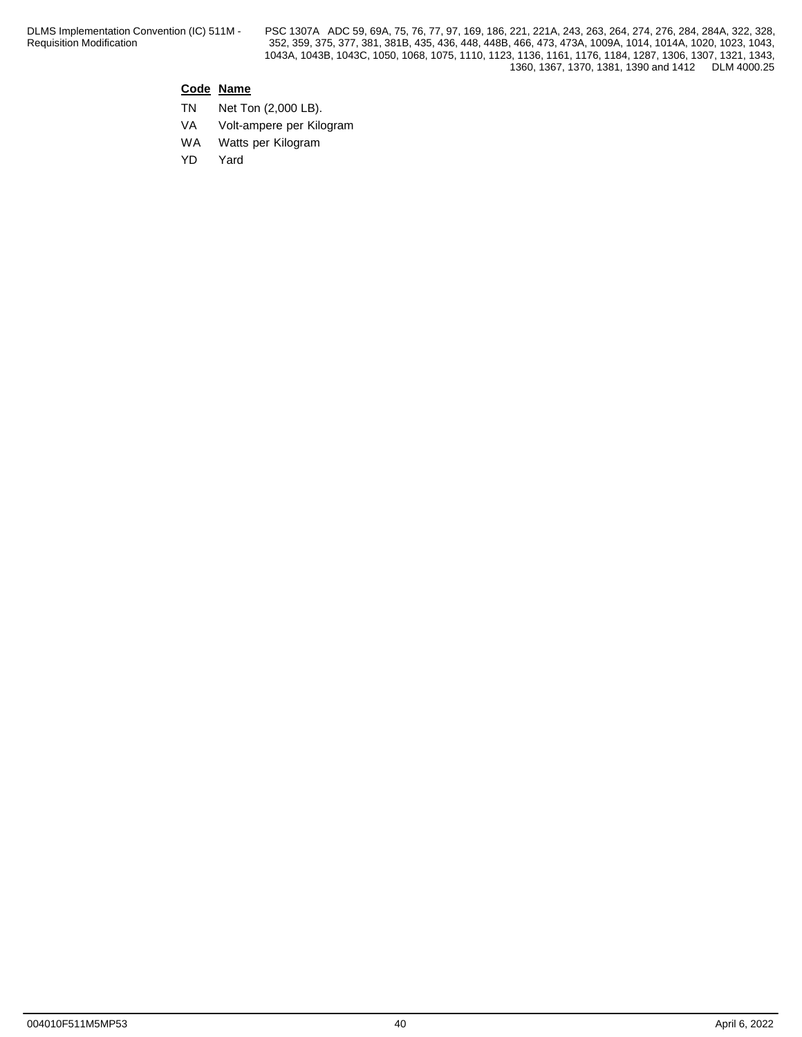### **Code Name**

- TN Net Ton (2,000 LB).
- VA Volt-ampere per Kilogram
- WA Watts per Kilogram
- YD Yard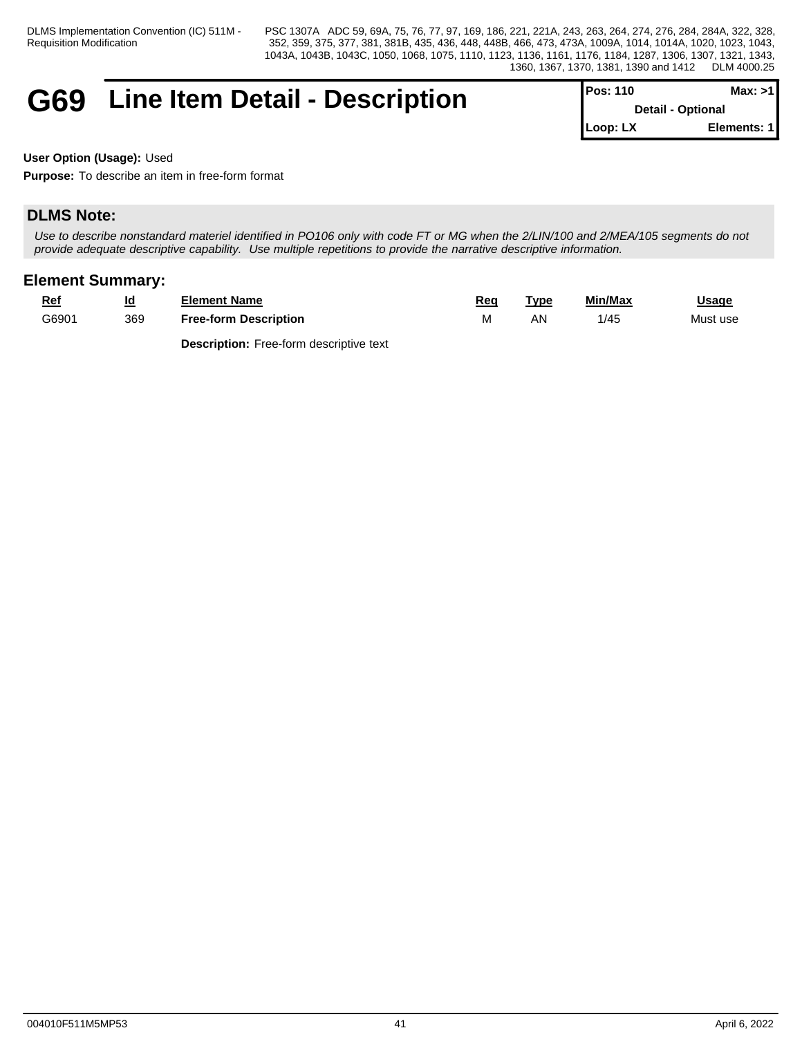## **G69** Line Item Detail - Description

| $Proof 110$              | Max: >1     |
|--------------------------|-------------|
| <b>Detail - Optional</b> |             |
| $Loop: LX$               | Elements: 1 |

**User Option (Usage):** Used

**Purpose:** To describe an item in free-form format

## **DLMS Note:**

*Use to describe nonstandard materiel identified in PO106 only with code FT or MG when the 2/LIN/100 and 2/MEA/105 segments do not provide adequate descriptive capability. Use multiple repetitions to provide the narrative descriptive information.*

## **Element Summary:**

| Rei<br>__ | <u>ia</u> | <b>Element Name</b>             | Reg   | Type | Min/Max   | Usage    |
|-----------|-----------|---------------------------------|-------|------|-----------|----------|
| G6901     | 369       | <b>Description</b><br>Free-form | 1 V L | ΔN   | .<br>- 74 | Must use |

**Description:** Free-form descriptive text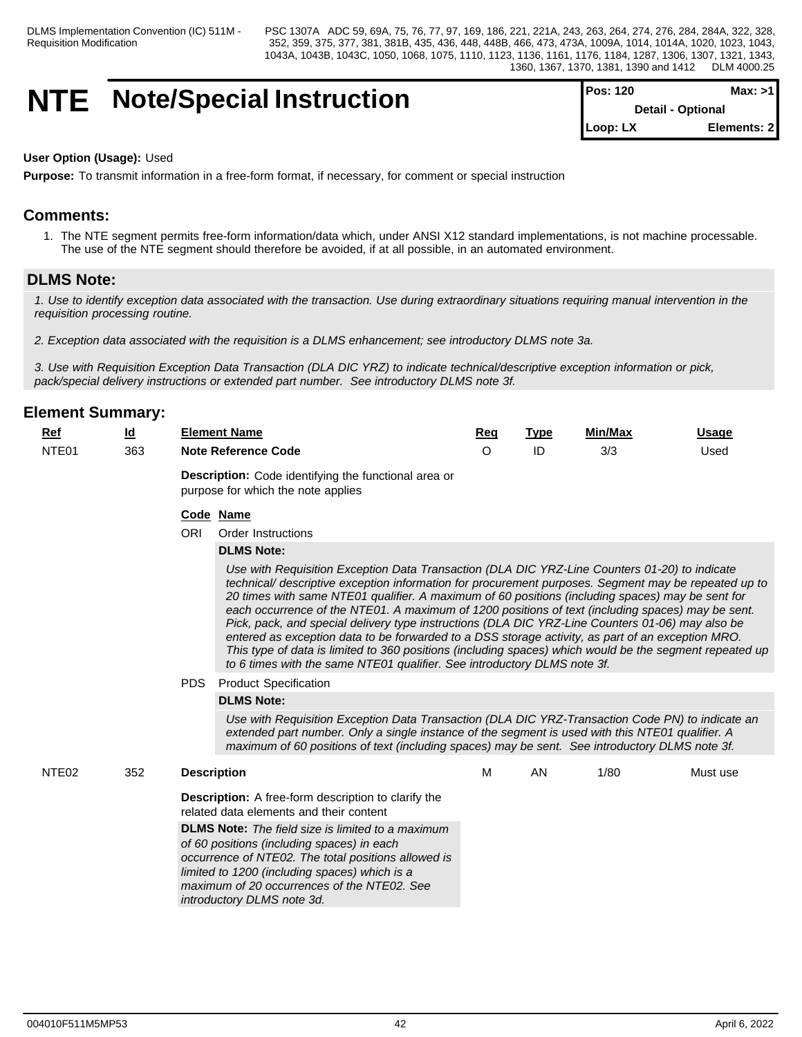## **NTE** Note/Special Instruction

| $Pos: 120$               | Max: >1     |  |
|--------------------------|-------------|--|
| <b>Detail - Optional</b> |             |  |
| $Loop: LX$               | Elements: 2 |  |

#### **User Option (Usage):** Used

**Purpose:** To transmit information in a free-form format, if necessary, for comment or special instruction

## **Comments:**

1. The NTE segment permits free-form information/data which, under ANSI X12 standard implementations, is not machine processable. The use of the NTE segment should therefore be avoided, if at all possible, in an automated environment.

### **DLMS Note:**

*1. Use to identify exception data associated with the transaction. Use during extraordinary situations requiring manual intervention in the requisition processing routine.*

*2. Exception data associated with the requisition is a DLMS enhancement; see introductory DLMS note 3a.* 

*3. Use with Requisition Exception Data Transaction (DLA DIC YRZ) to indicate technical/descriptive exception information or pick, pack/special delivery instructions or extended part number. See introductory DLMS note 3f.*

### **Element Summary:**

| <u>Ref</u><br>_____ | <u>ia</u> | <b>Element Name</b>        | Req | ™vpe | Min/Max       | Usaɑe |
|---------------------|-----------|----------------------------|-----|------|---------------|-------|
| NTE <sub>01</sub>   | 363       | <b>Note Reference Code</b> |     |      | $\sim$<br>3/3 | Used  |
|                     |           |                            |     |      |               |       |

**Description:** Code identifying the functional area or purpose for which the note applies

#### **Code Name**

ORI Order Instructions

#### **DLMS Note:**

*Use with Requisition Exception Data Transaction (DLA DIC YRZ-Line Counters 01-20) to indicate technical/ descriptive exception information for procurement purposes. Segment may be repeated up to 20 times with same NTE01 qualifier. A maximum of 60 positions (including spaces) may be sent for* each occurrence of the NTE01. A maximum of 1200 positions of text (including spaces) may be sent. *Pick, pack, and special delivery type instructions (DLA DIC YRZ-Line Counters 01-06) may also be entered as exception data to be forwarded to a DSS storage activity, as part of an exception MRO. This type of data is limited to 360 positions (including spaces) which would be the segment repeated up to 6 times with the same NTE01 qualifier. See introductory DLMS note 3f.*

PDS Product Specification

#### **DLMS Note:**

*Use with Requisition Exception Data Transaction (DLA DIC YRZ-Transaction Code PN) to indicate an extended part number. Only a single instance of the segment is used with this NTE01 qualifier. A maximum of 60 positions of text (including spaces) may be sent. See introductory DLMS note 3f.*

| NTE <sub>02</sub><br>352 | <b>Description</b>                                                                                                                                                                                                                                                                          | м | ΑN | 1/80 | Must use |
|--------------------------|---------------------------------------------------------------------------------------------------------------------------------------------------------------------------------------------------------------------------------------------------------------------------------------------|---|----|------|----------|
|                          | <b>Description:</b> A free-form description to clarify the<br>related data elements and their content                                                                                                                                                                                       |   |    |      |          |
|                          | <b>DLMS Note:</b> The field size is limited to a maximum<br>of 60 positions (including spaces) in each<br>occurrence of NTE02. The total positions allowed is<br>limited to 1200 (including spaces) which is a<br>maximum of 20 occurrences of the NTE02. See<br>introductory DLMS note 3d. |   |    |      |          |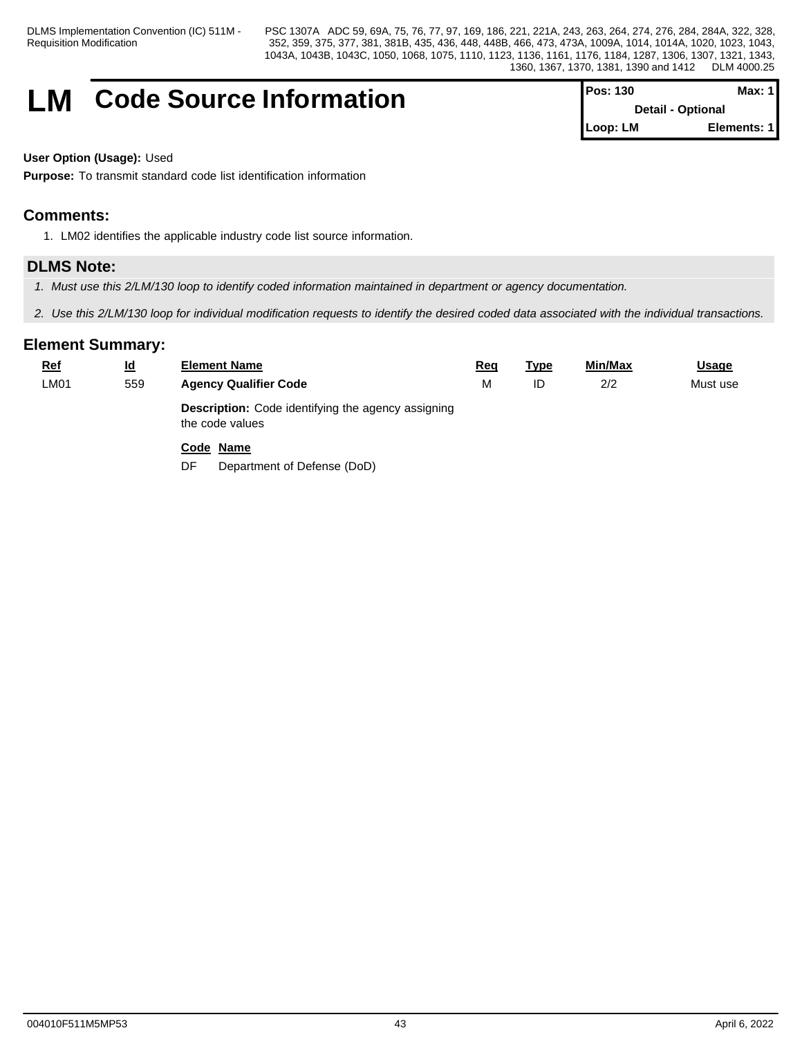DLMS Implementation Convention (IC) 511M - Requisition Modification

PSC 1307A ADC 59, 69A, 75, 76, 77, 97, 169, 186, 221, 221A, 243, 263, 264, 274, 276, 284, 284A, 322, 328, 352, 359, 375, 377, 381, 381B, 435, 436, 448, 448B, 466, 473, 473A, 1009A, 1014, 1014A, 1020, 1023, 1043, 1043A, 1043B, 1043C, 1050, 1068, 1075, 1110, 1123, 1136, 1161, 1176, 1184, 1287, 1306, 1307, 1321, 1343, 1360, 1367, 1370, 1381, 1390 and 1412 DLM 4000.25

## **LM** Code Source Information

| $Pos: 130$               | Max: $1$    |  |
|--------------------------|-------------|--|
| <b>Detail - Optional</b> |             |  |
| Loop: LM                 | Elements: 1 |  |

**User Option (Usage):** Used

**Purpose:** To transmit standard code list identification information

## **Comments:**

1. LM02 identifies the applicable industry code list source information.

## **DLMS Note:**

- *1. Must use this 2/LM/130 loop to identify coded information maintained in department or agency documentation.*
- *2. Use this 2/LM/130 loop for individual modification requests to identify the desired coded data associated with the individual transactions.*

| <b>Ref</b> | $\underline{\mathsf{Id}}$ | <b>Element Name</b>                                                          | <u>Req</u> | <u>Type</u> | Min/Max | <b>Usage</b> |
|------------|---------------------------|------------------------------------------------------------------------------|------------|-------------|---------|--------------|
| LM01       | 559                       | <b>Agency Qualifier Code</b>                                                 | M          | ID          | 2/2     | Must use     |
|            |                           | <b>Description:</b> Code identifying the agency assigning<br>the code values |            |             |         |              |
|            |                           | Code Name                                                                    |            |             |         |              |
|            |                           | Department of Defense (DoD)<br>DF                                            |            |             |         |              |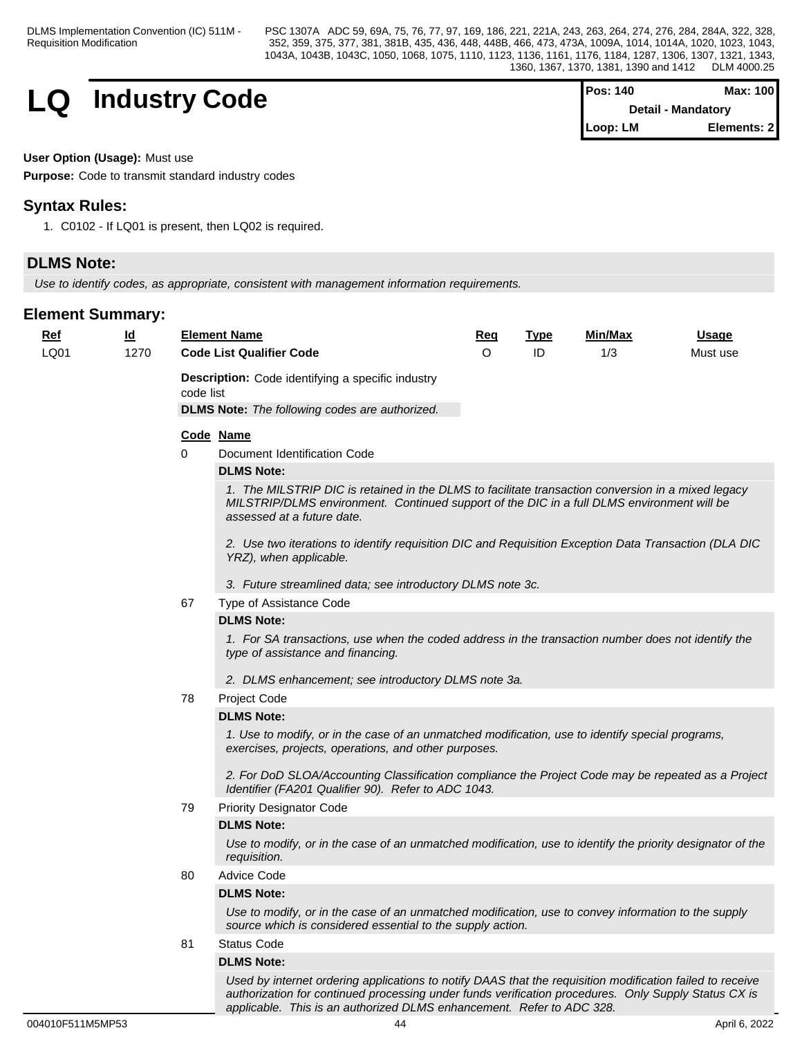## **LQ** Industry Code

| <b>Pos: 140</b> | Max: 100                  |
|-----------------|---------------------------|
|                 | <b>Detail - Mandatory</b> |
| Loop: LM        | Elements: 2               |

#### **User Option (Usage):** Must use

**Purpose:** Code to transmit standard industry codes

## **Syntax Rules:**

1. C0102 - If LQ01 is present, then LQ02 is required.

## **DLMS Note:**

*Use to identify codes, as appropriate, consistent with management information requirements.*

## **Element Summary:**

| <u>Ref</u><br>LQ01 | $\underline{\mathsf{Id}}$<br>1270 |           | <b>Element Name</b><br><b>Code List Qualifier Code</b>                                                                                                                                                                         | <u>Req</u><br>$\circ$ | <b>Type</b><br>ID | Min/Max<br>1/3 | <u>Usage</u><br>Must use |
|--------------------|-----------------------------------|-----------|--------------------------------------------------------------------------------------------------------------------------------------------------------------------------------------------------------------------------------|-----------------------|-------------------|----------------|--------------------------|
|                    |                                   | code list | <b>Description:</b> Code identifying a specific industry<br><b>DLMS Note:</b> The following codes are authorized.                                                                                                              |                       |                   |                |                          |
|                    |                                   |           |                                                                                                                                                                                                                                |                       |                   |                |                          |
|                    |                                   |           | Code Name                                                                                                                                                                                                                      |                       |                   |                |                          |
|                    |                                   | 0         | Document Identification Code                                                                                                                                                                                                   |                       |                   |                |                          |
|                    |                                   |           | <b>DLMS Note:</b>                                                                                                                                                                                                              |                       |                   |                |                          |
|                    |                                   |           | 1. The MILSTRIP DIC is retained in the DLMS to facilitate transaction conversion in a mixed legacy<br>MILSTRIP/DLMS environment. Continued support of the DIC in a full DLMS environment will be<br>assessed at a future date. |                       |                   |                |                          |
|                    |                                   |           | 2. Use two iterations to identify requisition DIC and Requisition Exception Data Transaction (DLA DIC<br>YRZ), when applicable.                                                                                                |                       |                   |                |                          |
|                    |                                   |           | 3. Future streamlined data; see introductory DLMS note 3c.                                                                                                                                                                     |                       |                   |                |                          |
|                    |                                   | 67        | Type of Assistance Code                                                                                                                                                                                                        |                       |                   |                |                          |
|                    |                                   |           | <b>DLMS Note:</b>                                                                                                                                                                                                              |                       |                   |                |                          |
|                    |                                   |           | 1. For SA transactions, use when the coded address in the transaction number does not identify the<br>type of assistance and financing.<br>2. DLMS enhancement; see introductory DLMS note 3a.                                 |                       |                   |                |                          |
|                    |                                   | 78        | Project Code                                                                                                                                                                                                                   |                       |                   |                |                          |
|                    |                                   |           | <b>DLMS Note:</b>                                                                                                                                                                                                              |                       |                   |                |                          |
|                    |                                   |           | 1. Use to modify, or in the case of an unmatched modification, use to identify special programs,<br>exercises, projects, operations, and other purposes.                                                                       |                       |                   |                |                          |
|                    |                                   |           | 2. For DoD SLOA/Accounting Classification compliance the Project Code may be repeated as a Project<br>Identifier (FA201 Qualifier 90). Refer to ADC 1043.                                                                      |                       |                   |                |                          |
|                    |                                   | 79        | <b>Priority Designator Code</b>                                                                                                                                                                                                |                       |                   |                |                          |
|                    |                                   |           | <b>DLMS Note:</b>                                                                                                                                                                                                              |                       |                   |                |                          |
|                    |                                   |           | Use to modify, or in the case of an unmatched modification, use to identify the priority designator of the<br>requisition.                                                                                                     |                       |                   |                |                          |
|                    |                                   | 80        | Advice Code                                                                                                                                                                                                                    |                       |                   |                |                          |
|                    |                                   |           | <b>DLMS Note:</b>                                                                                                                                                                                                              |                       |                   |                |                          |
|                    |                                   |           | Use to modify, or in the case of an unmatched modification, use to convey information to the supply<br>source which is considered essential to the supply action.                                                              |                       |                   |                |                          |
|                    |                                   | 81        | <b>Status Code</b>                                                                                                                                                                                                             |                       |                   |                |                          |
|                    |                                   |           | <b>DLMS Note:</b>                                                                                                                                                                                                              |                       |                   |                |                          |
|                    |                                   |           | Used by internet ordering applications to notify DAAS that the requisition modification failed to receive                                                                                                                      |                       |                   |                |                          |

*applicable. This is an authorized DLMS enhancement. Refer to ADC 328.*

*authorization for continued processing under funds verification procedures. Only Supply Status CX is*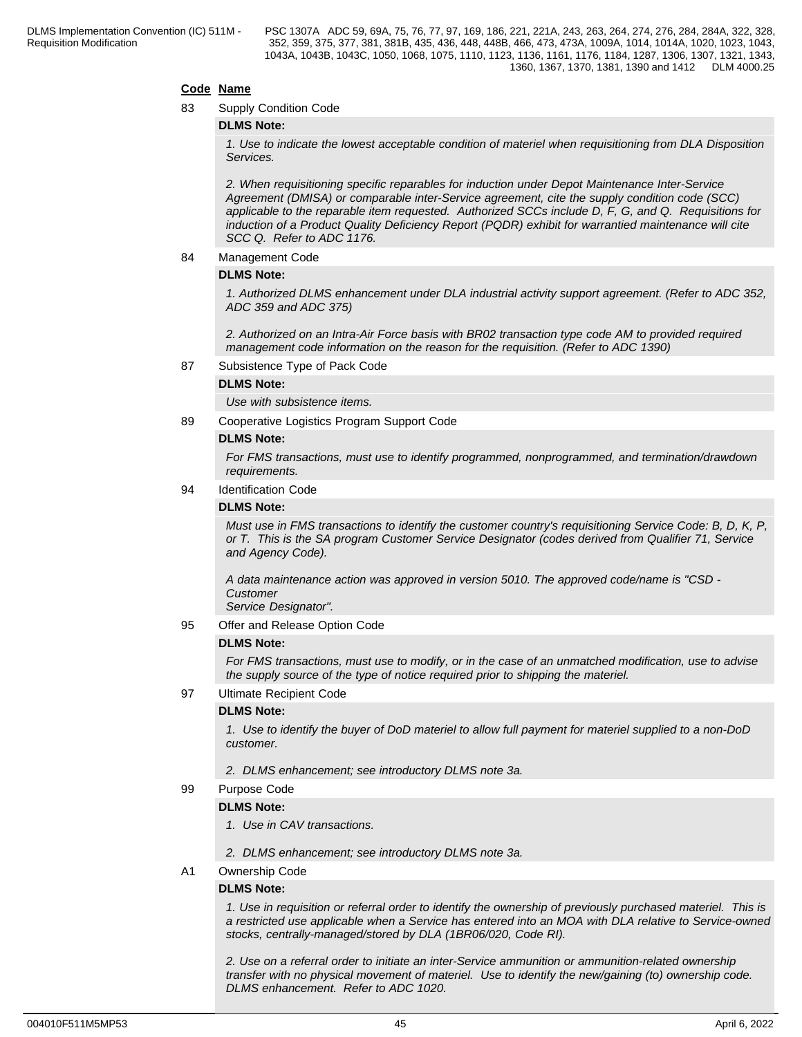#### **Code Name**

83 Supply Condition Code

#### **DLMS Note:**

*1. Use to indicate the lowest acceptable condition of materiel when requisitioning from DLA Disposition Services.*

*2. When requisitioning specific reparables for induction under Depot Maintenance Inter-Service Agreement (DMISA) or comparable inter-Service agreement, cite the supply condition code (SCC) applicable to the reparable item requested. Authorized SCCs include D, F, G, and Q. Requisitions for induction of a Product Quality Deficiency Report (PQDR) exhibit for warrantied maintenance will cite SCC Q. Refer to ADC 1176.*

#### 84 Management Code

#### **DLMS Note:**

*1. Authorized DLMS enhancement under DLA industrial activity support agreement. (Refer to ADC 352, ADC 359 and ADC 375)*

*2. Authorized on an Intra-Air Force basis with BR02 transaction type code AM to provided required management code information on the reason for the requisition. (Refer to ADC 1390)*

87 Subsistence Type of Pack Code

#### **DLMS Note:**

*Use with subsistence items.*

89 Cooperative Logistics Program Support Code

#### **DLMS Note:**

*For FMS transactions, must use to identify programmed, nonprogrammed, and termination/drawdown requirements.*

94 Identification Code

#### **DLMS Note:**

*Must use in FMS transactions to identify the customer country's requisitioning Service Code: B, D, K, P, or T. This is the SA program Customer Service Designator (codes derived from Qualifier 71, Service and Agency Code).*

*A data maintenance action was approved in version 5010. The approved code/name is "CSD - Customer*

*Service Designator".*

95 Offer and Release Option Code

#### **DLMS Note:**

*For FMS transactions, must use to modify, or in the case of an unmatched modification, use to advise the supply source of the type of notice required prior to shipping the materiel.*

97 Ultimate Recipient Code

#### **DLMS Note:**

*1. Use to identify the buyer of DoD materiel to allow full payment for materiel supplied to a non-DoD customer.*

- *2. DLMS enhancement; see introductory DLMS note 3a.*
- 99 Purpose Code

#### **DLMS Note:**

- *1. Use in CAV transactions.*
- *2. DLMS enhancement; see introductory DLMS note 3a.*

#### A1 Ownership Code

#### **DLMS Note:**

*1. Use in requisition or referral order to identify the ownership of previously purchased materiel. This is a restricted use applicable when a Service has entered into an MOA with DLA relative to Service-owned stocks, centrally-managed/stored by DLA (1BR06/020, Code RI).*

*2. Use on a referral order to initiate an inter-Service ammunition or ammunition-related ownership transfer with no physical movement of materiel. Use to identify the new/gaining (to) ownership code. DLMS enhancement. Refer to ADC 1020.*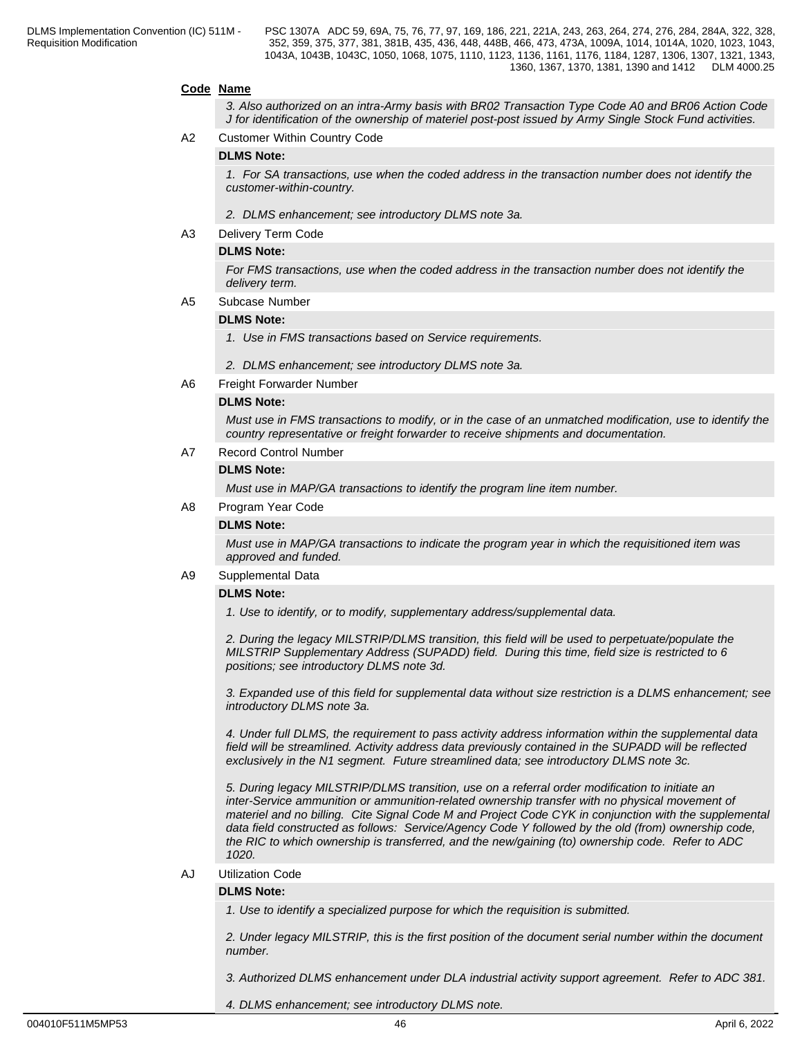#### **Code Name**

*3. Also authorized on an intra-Army basis with BR02 Transaction Type Code A0 and BR06 Action Code J for identification of the ownership of materiel post-post issued by Army Single Stock Fund activities.*

A2 Customer Within Country Code

#### **DLMS Note:**

*1. For SA transactions, use when the coded address in the transaction number does not identify the customer-within-country.*

- *2. DLMS enhancement; see introductory DLMS note 3a.*
- A3 Delivery Term Code

#### **DLMS Note:**

*For FMS transactions, use when the coded address in the transaction number does not identify the delivery term.*

A5 Subcase Number

#### **DLMS Note:**

*1. Use in FMS transactions based on Service requirements.*

*2. DLMS enhancement; see introductory DLMS note 3a.*

A6 Freight Forwarder Number

#### **DLMS Note:**

*Must use in FMS transactions to modify, or in the case of an unmatched modification, use to identify the country representative or freight forwarder to receive shipments and documentation.*

A7 Record Control Number

#### **DLMS Note:**

*Must use in MAP/GA transactions to identify the program line item number.*

A8 Program Year Code

#### **DLMS Note:**

*Must use in MAP/GA transactions to indicate the program year in which the requisitioned item was approved and funded.*

#### A9 Supplemental Data

#### **DLMS Note:**

*1. Use to identify, or to modify, supplementary address/supplemental data.*

*2. During the legacy MILSTRIP/DLMS transition, this field will be used to perpetuate/populate the MILSTRIP Supplementary Address (SUPADD) field. During this time, field size is restricted to 6 positions; see introductory DLMS note 3d.*

*3. Expanded use of this field for supplemental data without size restriction is a DLMS enhancement; see introductory DLMS note 3a.*

*4. Under full DLMS, the requirement to pass activity address information within the supplemental data field will be streamlined. Activity address data previously contained in the SUPADD will be reflected exclusively in the N1 segment. Future streamlined data; see introductory DLMS note 3c.*

*5. During legacy MILSTRIP/DLMS transition, use on a referral order modification to initiate an inter-Service ammunition or ammunition-related ownership transfer with no physical movement of materiel and no billing. Cite Signal Code M and Project Code CYK in conjunction with the supplemental data field constructed as follows: Service/Agency Code Y followed by the old (from) ownership code, the RIC to which ownership is transferred, and the new/gaining (to) ownership code. Refer to ADC 1020.*

#### AJ Utilization Code

#### **DLMS Note:**

*1. Use to identify a specialized purpose for which the requisition is submitted.*

*2. Under legacy MILSTRIP, this is the first position of the document serial number within the document number.*

*3. Authorized DLMS enhancement under DLA industrial activity support agreement. Refer to ADC 381.*

*4. DLMS enhancement; see introductory DLMS note.*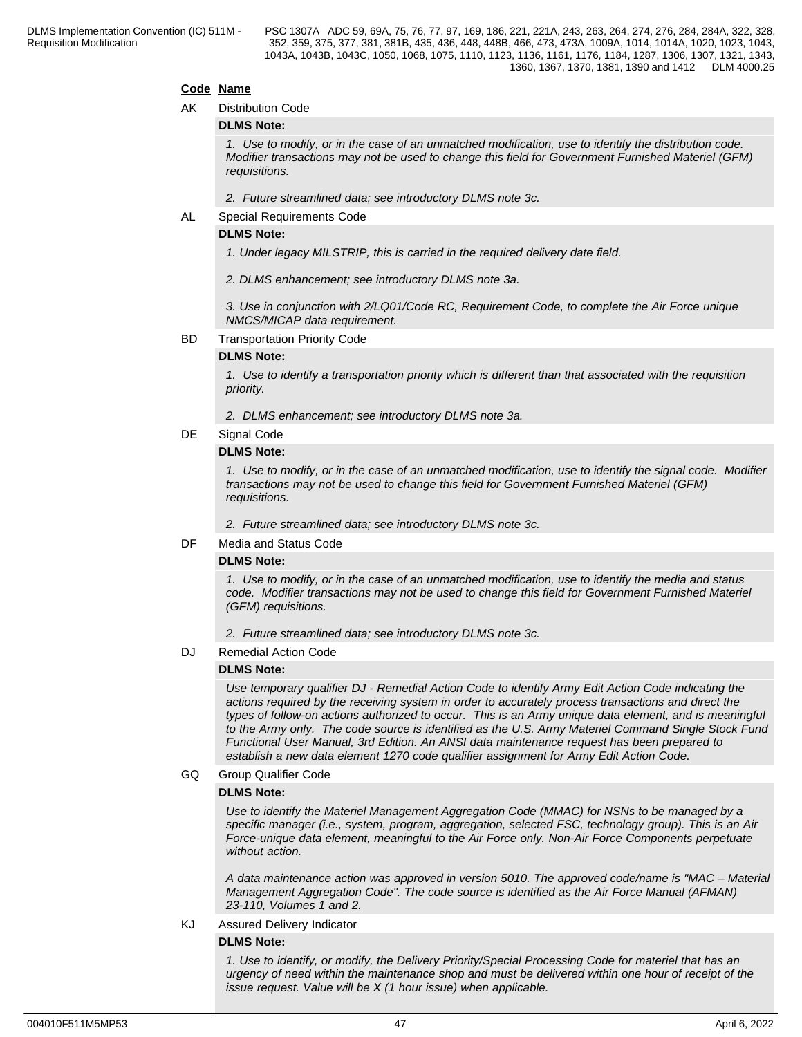#### **Code Name**

#### AK Distribution Code

#### **DLMS Note:**

*1. Use to modify, or in the case of an unmatched modification, use to identify the distribution code. Modifier transactions may not be used to change this field for Government Furnished Materiel (GFM) requisitions.*

*2. Future streamlined data; see introductory DLMS note 3c.*

AL Special Requirements Code

#### **DLMS Note:**

*1. Under legacy MILSTRIP, this is carried in the required delivery date field.*

*2. DLMS enhancement; see introductory DLMS note 3a.*

*3. Use in conjunction with 2/LQ01/Code RC, Requirement Code, to complete the Air Force unique NMCS/MICAP data requirement.*

#### BD Transportation Priority Code

#### **DLMS Note:**

*1. Use to identify a transportation priority which is different than that associated with the requisition priority.*

*2. DLMS enhancement; see introductory DLMS note 3a.*

#### DE Signal Code

#### **DLMS Note:**

*1. Use to modify, or in the case of an unmatched modification, use to identify the signal code. Modifier transactions may not be used to change this field for Government Furnished Materiel (GFM) requisitions.*

*2. Future streamlined data; see introductory DLMS note 3c.*

DF Media and Status Code

#### **DLMS Note:**

*1. Use to modify, or in the case of an unmatched modification, use to identify the media and status code. Modifier transactions may not be used to change this field for Government Furnished Materiel (GFM) requisitions.*

*2. Future streamlined data; see introductory DLMS note 3c.*

DJ Remedial Action Code

#### **DLMS Note:**

*Use temporary qualifier DJ - Remedial Action Code to identify Army Edit Action Code indicating the actions required by the receiving system in order to accurately process transactions and direct the types of follow-on actions authorized to occur. This is an Army unique data element, and is meaningful to the Army only. The code source is identified as the U.S. Army Materiel Command Single Stock Fund Functional User Manual, 3rd Edition. An ANSI data maintenance request has been prepared to establish a new data element 1270 code qualifier assignment for Army Edit Action Code.*

#### GQ Group Qualifier Code

#### **DLMS Note:**

*Use to identify the Materiel Management Aggregation Code (MMAC) for NSNs to be managed by a specific manager (i.e., system, program, aggregation, selected FSC, technology group). This is an Air Force-unique data element, meaningful to the Air Force only. Non-Air Force Components perpetuate without action.*

*A data maintenance action was approved in version 5010. The approved code/name is "MAC – Material Management Aggregation Code". The code source is identified as the Air Force Manual (AFMAN) 23-110, Volumes 1 and 2.*

## KJ Assured Delivery Indicator

### **DLMS Note:**

*1. Use to identify, or modify, the Delivery Priority/Special Processing Code for materiel that has an urgency of need within the maintenance shop and must be delivered within one hour of receipt of the issue request. Value will be X (1 hour issue) when applicable.*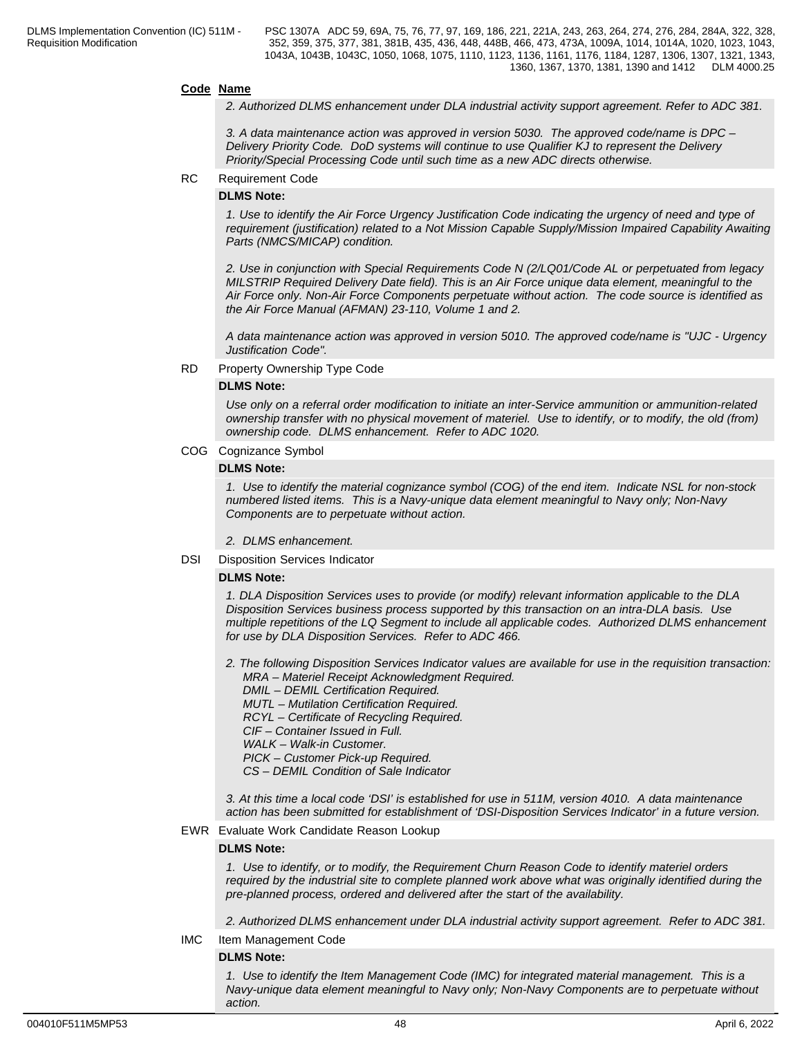#### **Code Name**

*2. Authorized DLMS enhancement under DLA industrial activity support agreement. Refer to ADC 381.*

*3. A data maintenance action was approved in version 5030. The approved code/name is DPC – Delivery Priority Code. DoD systems will continue to use Qualifier KJ to represent the Delivery Priority/Special Processing Code until such time as a new ADC directs otherwise.*

#### RC Requirement Code

#### **DLMS Note:**

*1. Use to identify the Air Force Urgency Justification Code indicating the urgency of need and type of requirement (justification) related to a Not Mission Capable Supply/Mission Impaired Capability Awaiting Parts (NMCS/MICAP) condition.*

*2. Use in conjunction with Special Requirements Code N (2/LQ01/Code AL or perpetuated from legacy MILSTRIP Required Delivery Date field). This is an Air Force unique data element, meaningful to the Air Force only. Non-Air Force Components perpetuate without action. The code source is identified as the Air Force Manual (AFMAN) 23-110, Volume 1 and 2.*

*A data maintenance action was approved in version 5010. The approved code/name is "UJC - Urgency Justification Code".*

#### RD Property Ownership Type Code

#### **DLMS Note:**

*Use only on a referral order modification to initiate an inter-Service ammunition or ammunition-related ownership transfer with no physical movement of materiel. Use to identify, or to modify, the old (from) ownership code. DLMS enhancement. Refer to ADC 1020.*

#### COG Cognizance Symbol

#### **DLMS Note:**

*1. Use to identify the material cognizance symbol (COG) of the end item. Indicate NSL for non-stock numbered listed items. This is a Navy-unique data element meaningful to Navy only; Non-Navy Components are to perpetuate without action.*

*2. DLMS enhancement.*

DSI Disposition Services Indicator

#### **DLMS Note:**

*1. DLA Disposition Services uses to provide (or modify) relevant information applicable to the DLA Disposition Services business process supported by this transaction on an intra-DLA basis. Use multiple repetitions of the LQ Segment to include all applicable codes. Authorized DLMS enhancement for use by DLA Disposition Services. Refer to ADC 466.*

*2. The following Disposition Services Indicator values are available for use in the requisition transaction: MRA – Materiel Receipt Acknowledgment Required. DMIL – DEMIL Certification Required. MUTL – Mutilation Certification Required. RCYL – Certificate of Recycling Required. CIF – Container Issued in Full. WALK – Walk-in Customer. PICK – Customer Pick-up Required. CS – DEMIL Condition of Sale Indicator*

*3. At this time a local code 'DSI' is established for use in 511M, version 4010. A data maintenance action has been submitted for establishment of 'DSI-Disposition Services Indicator' in a future version.*

#### EWR Evaluate Work Candidate Reason Lookup

#### **DLMS Note:**

*1. Use to identify, or to modify, the Requirement Churn Reason Code to identify materiel orders required by the industrial site to complete planned work above what was originally identified during the pre-planned process, ordered and delivered after the start of the availability.*

*2. Authorized DLMS enhancement under DLA industrial activity support agreement. Refer to ADC 381.*

IMC Item Management Code

#### **DLMS Note:**

*1. Use to identify the Item Management Code (IMC) for integrated material management. This is a Navy-unique data element meaningful to Navy only; Non-Navy Components are to perpetuate without action.*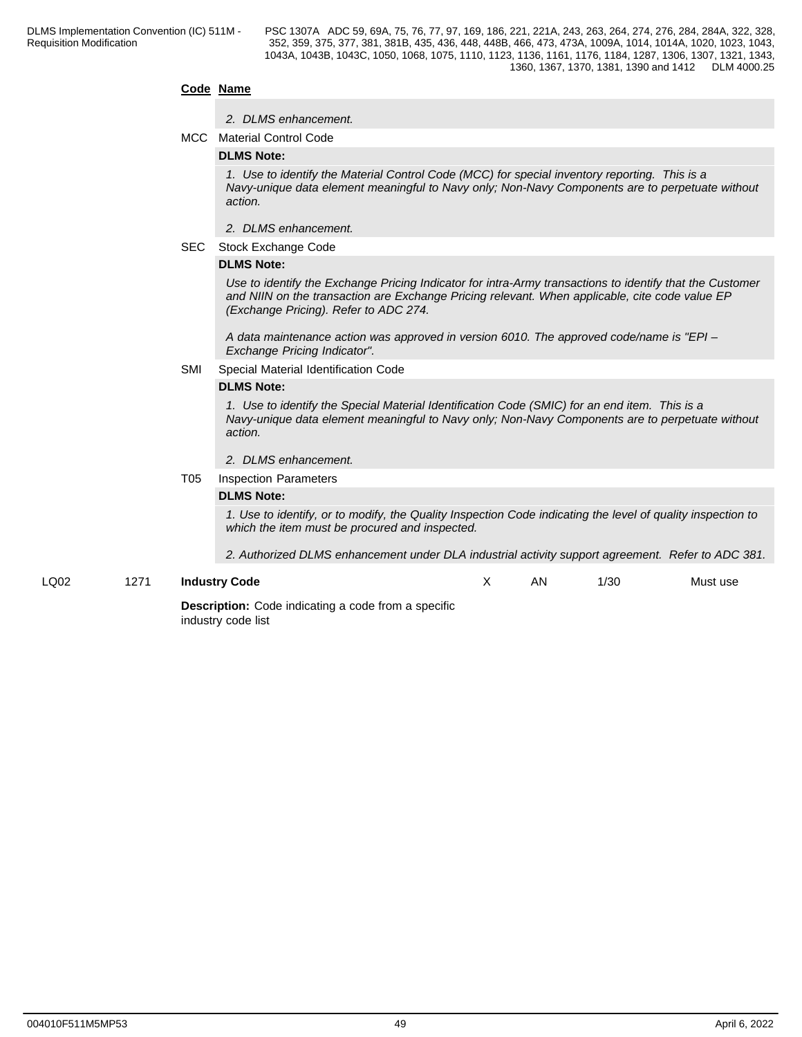#### **Code Name**

#### *2. DLMS enhancement.*

MCC Material Control Code

#### **DLMS Note:**

*1. Use to identify the Material Control Code (MCC) for special inventory reporting. This is a Navy-unique data element meaningful to Navy only; Non-Navy Components are to perpetuate without action.*

- *2. DLMS enhancement.*
- SEC Stock Exchange Code

#### **DLMS Note:**

*Use to identify the Exchange Pricing Indicator for intra-Army transactions to identify that the Customer and NIIN on the transaction are Exchange Pricing relevant. When applicable, cite code value EP (Exchange Pricing). Refer to ADC 274.*

*A data maintenance action was approved in version 6010. The approved code/name is "EPI – Exchange Pricing Indicator".*

#### SMI Special Material Identification Code

#### **DLMS Note:**

*1. Use to identify the Special Material Identification Code (SMIC) for an end item. This is a Navy-unique data element meaningful to Navy only; Non-Navy Components are to perpetuate without action.*

#### *2. DLMS enhancement.*

#### T05 Inspection Parameters

#### **DLMS Note:**

*1. Use to identify, or to modify, the Quality Inspection Code indicating the level of quality inspection to which the item must be procured and inspected.* 

*2. Authorized DLMS enhancement under DLA industrial activity support agreement. Refer to ADC 381.*

LQ02 1271 **Industry Code**

AN 1/30 Must use

**Description:** Code indicating a code from a specific industry code list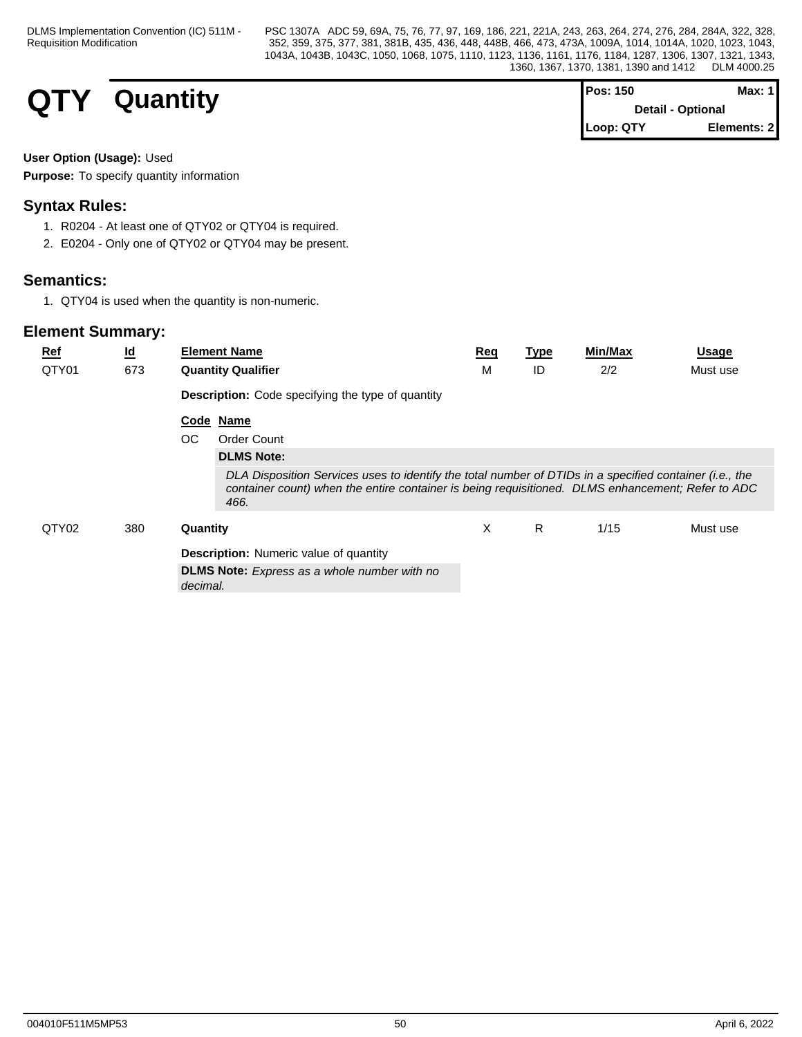# **QTY** Quantity

| IPos: 150                | Max: 1       |
|--------------------------|--------------|
| <b>Detail - Optional</b> |              |
| Loop: QTY                | Elements: 21 |

### **User Option (Usage):** Used

**Purpose:** To specify quantity information

## **Syntax Rules:**

- 1. R0204 At least one of QTY02 or QTY04 is required.
- 2. E0204 Only one of QTY02 or QTY04 may be present.

## **Semantics:**

1. QTY04 is used when the quantity is non-numeric.

| <b>Ref</b> | $\underline{\mathsf{Id}}$ | <b>Element Name</b>                                                                                                                                                                                                  | Req | <b>Type</b> | <b>Min/Max</b> | <b>Usage</b> |
|------------|---------------------------|----------------------------------------------------------------------------------------------------------------------------------------------------------------------------------------------------------------------|-----|-------------|----------------|--------------|
| QTY01      | 673                       | <b>Quantity Qualifier</b>                                                                                                                                                                                            | M   | ID          | 2/2            | Must use     |
|            |                           | <b>Description:</b> Code specifying the type of quantity                                                                                                                                                             |     |             |                |              |
|            |                           | Code Name                                                                                                                                                                                                            |     |             |                |              |
|            |                           | OC<br>Order Count                                                                                                                                                                                                    |     |             |                |              |
|            |                           | <b>DLMS Note:</b>                                                                                                                                                                                                    |     |             |                |              |
|            |                           | DLA Disposition Services uses to identify the total number of DTIDs in a specified container (i.e., the<br>container count) when the entire container is being requisitioned. DLMS enhancement; Refer to ADC<br>466. |     |             |                |              |
| QTY02      | 380                       | Quantity                                                                                                                                                                                                             | X   | R.          | 1/15           | Must use     |
|            |                           | <b>Description:</b> Numeric value of quantity                                                                                                                                                                        |     |             |                |              |
|            |                           | <b>DLMS Note:</b> Express as a whole number with no<br>decimal.                                                                                                                                                      |     |             |                |              |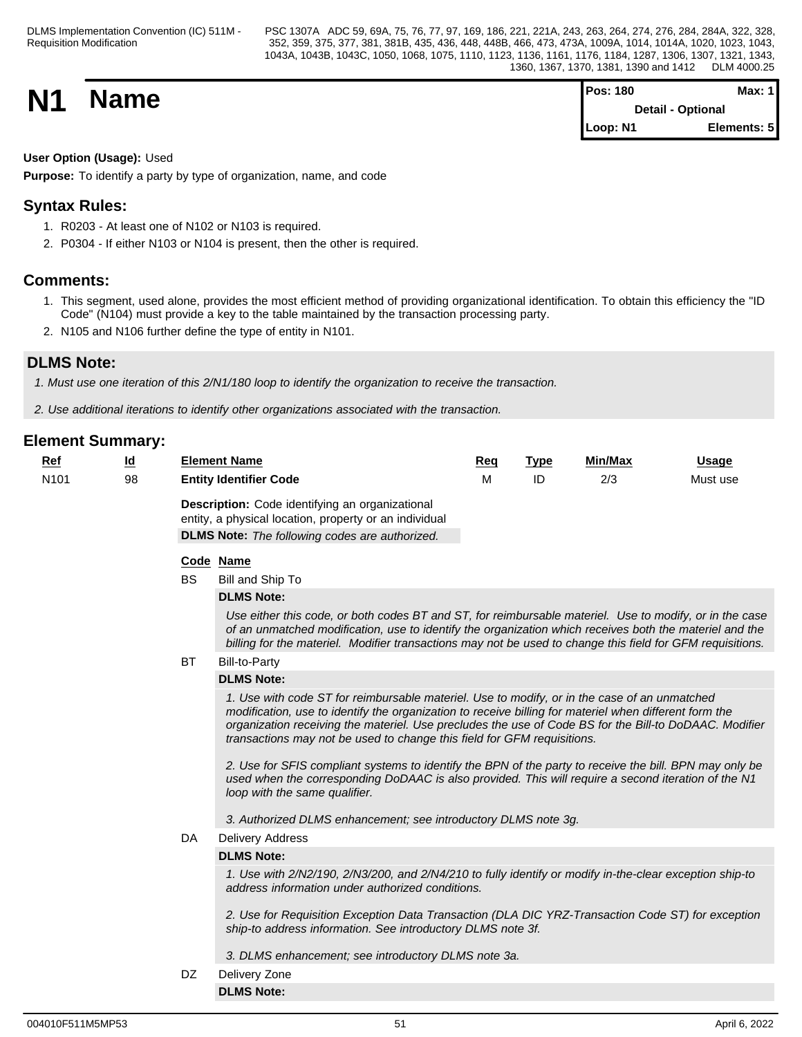| <b>N1</b> | <b>Name</b> | <b>Pos: 180</b>          | Max: $1$    |  |
|-----------|-------------|--------------------------|-------------|--|
|           |             | <b>Detail - Optional</b> |             |  |
|           |             | Loop: N1                 | Elements: 5 |  |

### **User Option (Usage):** Used

**Purpose:** To identify a party by type of organization, name, and code

## **Syntax Rules:**

- 1. R0203 At least one of N102 or N103 is required.
- 2. P0304 If either N103 or N104 is present, then the other is required.

## **Comments:**

- 1. This segment, used alone, provides the most efficient method of providing organizational identification. To obtain this efficiency the "ID Code" (N104) must provide a key to the table maintained by the transaction processing party.
- 2. N105 and N106 further define the type of entity in N101.

## **DLMS Note:**

*1. Must use one iteration of this 2/N1/180 loop to identify the organization to receive the transaction.*

*2. Use additional iterations to identify other organizations associated with the transaction.*

| Ref              | $\underline{\mathsf{Id}}$ |           | <b>Element Name</b>                                                                                                                                                                                                                                                                                                                                                                                                                                                                                                                                                                                                                            | Req | <b>Type</b> | Min/Max | <b>Usage</b> |
|------------------|---------------------------|-----------|------------------------------------------------------------------------------------------------------------------------------------------------------------------------------------------------------------------------------------------------------------------------------------------------------------------------------------------------------------------------------------------------------------------------------------------------------------------------------------------------------------------------------------------------------------------------------------------------------------------------------------------------|-----|-------------|---------|--------------|
| N <sub>101</sub> | 98                        |           | <b>Entity Identifier Code</b>                                                                                                                                                                                                                                                                                                                                                                                                                                                                                                                                                                                                                  | M   | ID          | 2/3     | Must use     |
|                  |                           |           | Description: Code identifying an organizational<br>entity, a physical location, property or an individual<br><b>DLMS Note:</b> The following codes are authorized.                                                                                                                                                                                                                                                                                                                                                                                                                                                                             |     |             |         |              |
|                  |                           |           | Code Name                                                                                                                                                                                                                                                                                                                                                                                                                                                                                                                                                                                                                                      |     |             |         |              |
|                  |                           | <b>BS</b> | Bill and Ship To                                                                                                                                                                                                                                                                                                                                                                                                                                                                                                                                                                                                                               |     |             |         |              |
|                  |                           |           | <b>DLMS Note:</b>                                                                                                                                                                                                                                                                                                                                                                                                                                                                                                                                                                                                                              |     |             |         |              |
|                  |                           |           | Use either this code, or both codes BT and ST, for reimbursable materiel. Use to modify, or in the case<br>of an unmatched modification, use to identify the organization which receives both the materiel and the<br>billing for the materiel. Modifier transactions may not be used to change this field for GFM requisitions.                                                                                                                                                                                                                                                                                                               |     |             |         |              |
|                  |                           | <b>BT</b> | Bill-to-Party                                                                                                                                                                                                                                                                                                                                                                                                                                                                                                                                                                                                                                  |     |             |         |              |
|                  |                           |           | <b>DLMS Note:</b>                                                                                                                                                                                                                                                                                                                                                                                                                                                                                                                                                                                                                              |     |             |         |              |
|                  |                           |           | 1. Use with code ST for reimbursable materiel. Use to modify, or in the case of an unmatched<br>modification, use to identify the organization to receive billing for materiel when different form the<br>organization receiving the materiel. Use precludes the use of Code BS for the Bill-to DoDAAC. Modifier<br>transactions may not be used to change this field for GFM requisitions.<br>2. Use for SFIS compliant systems to identify the BPN of the party to receive the bill. BPN may only be<br>used when the corresponding DoDAAC is also provided. This will require a second iteration of the N1<br>loop with the same qualifier. |     |             |         |              |
|                  |                           |           | 3. Authorized DLMS enhancement; see introductory DLMS note 3g.                                                                                                                                                                                                                                                                                                                                                                                                                                                                                                                                                                                 |     |             |         |              |
|                  |                           | DA        | <b>Delivery Address</b>                                                                                                                                                                                                                                                                                                                                                                                                                                                                                                                                                                                                                        |     |             |         |              |
|                  |                           |           | <b>DLMS Note:</b>                                                                                                                                                                                                                                                                                                                                                                                                                                                                                                                                                                                                                              |     |             |         |              |
|                  |                           |           | 1. Use with 2/N2/190, 2/N3/200, and 2/N4/210 to fully identify or modify in-the-clear exception ship-to<br>address information under authorized conditions.                                                                                                                                                                                                                                                                                                                                                                                                                                                                                    |     |             |         |              |
|                  |                           |           | 2. Use for Requisition Exception Data Transaction (DLA DIC YRZ-Transaction Code ST) for exception<br>ship-to address information. See introductory DLMS note 3f.                                                                                                                                                                                                                                                                                                                                                                                                                                                                               |     |             |         |              |
|                  |                           |           | 3. DLMS enhancement; see introductory DLMS note 3a.                                                                                                                                                                                                                                                                                                                                                                                                                                                                                                                                                                                            |     |             |         |              |
|                  |                           | DZ        | Delivery Zone                                                                                                                                                                                                                                                                                                                                                                                                                                                                                                                                                                                                                                  |     |             |         |              |
|                  |                           |           | <b>DLMS Note:</b>                                                                                                                                                                                                                                                                                                                                                                                                                                                                                                                                                                                                                              |     |             |         |              |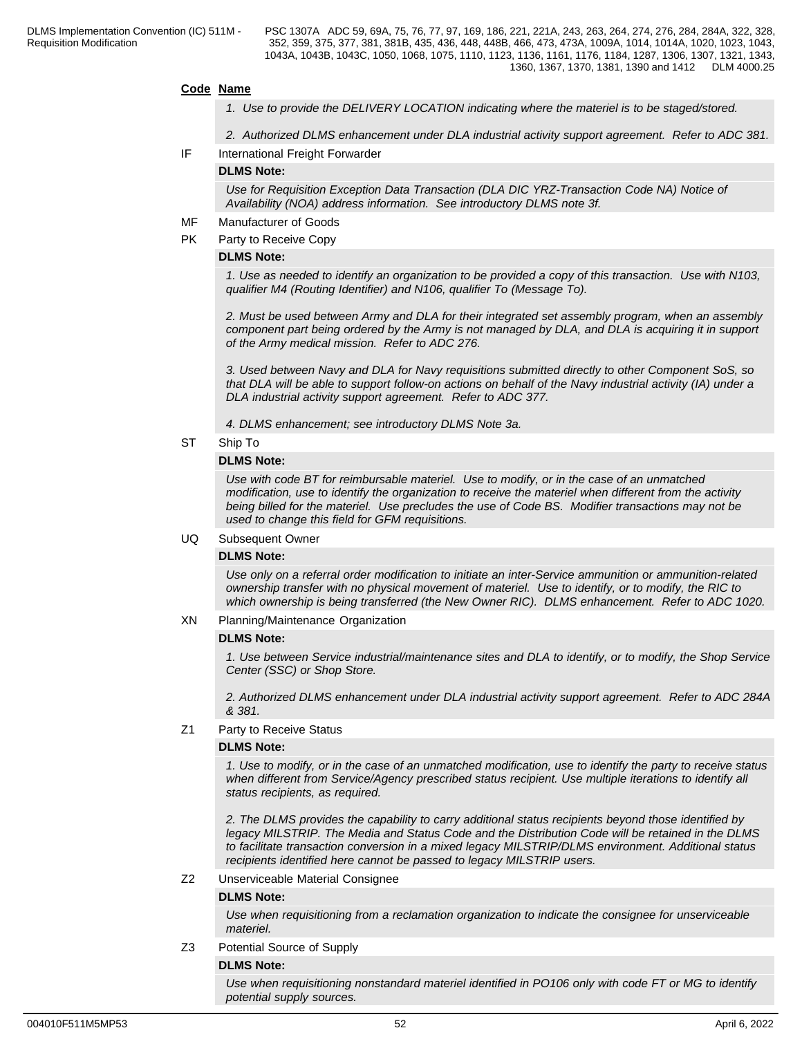#### **Code Name**

- *1. Use to provide the DELIVERY LOCATION indicating where the materiel is to be staged/stored.*
- *2. Authorized DLMS enhancement under DLA industrial activity support agreement. Refer to ADC 381.*
- IF International Freight Forwarder

#### **DLMS Note:**

*Use for Requisition Exception Data Transaction (DLA DIC YRZ-Transaction Code NA) Notice of Availability (NOA) address information. See introductory DLMS note 3f.*

- MF Manufacturer of Goods
- PK Party to Receive Copy

#### **DLMS Note:**

*1. Use as needed to identify an organization to be provided a copy of this transaction. Use with N103, qualifier M4 (Routing Identifier) and N106, qualifier To (Message To).*

*2. Must be used between Army and DLA for their integrated set assembly program, when an assembly component part being ordered by the Army is not managed by DLA, and DLA is acquiring it in support of the Army medical mission. Refer to ADC 276.*

*3. Used between Navy and DLA for Navy requisitions submitted directly to other Component SoS, so that DLA will be able to support follow-on actions on behalf of the Navy industrial activity (IA) under a DLA industrial activity support agreement. Refer to ADC 377.*

*4. DLMS enhancement; see introductory DLMS Note 3a.*

ST Ship To

#### **DLMS Note:**

*Use with code BT for reimbursable materiel. Use to modify, or in the case of an unmatched modification, use to identify the organization to receive the materiel when different from the activity being billed for the materiel. Use precludes the use of Code BS. Modifier transactions may not be used to change this field for GFM requisitions.*

#### UQ Subsequent Owner

#### **DLMS Note:**

*Use only on a referral order modification to initiate an inter-Service ammunition or ammunition-related ownership transfer with no physical movement of materiel. Use to identify, or to modify, the RIC to which ownership is being transferred (the New Owner RIC). DLMS enhancement. Refer to ADC 1020.*

XN Planning/Maintenance Organization

#### **DLMS Note:**

*1. Use between Service industrial/maintenance sites and DLA to identify, or to modify, the Shop Service Center (SSC) or Shop Store.*

*2. Authorized DLMS enhancement under DLA industrial activity support agreement. Refer to ADC 284A & 381.*

Z1 Party to Receive Status

#### **DLMS Note:**

*1. Use to modify, or in the case of an unmatched modification, use to identify the party to receive status when different from Service/Agency prescribed status recipient. Use multiple iterations to identify all status recipients, as required.*

*2. The DLMS provides the capability to carry additional status recipients beyond those identified by legacy MILSTRIP. The Media and Status Code and the Distribution Code will be retained in the DLMS to facilitate transaction conversion in a mixed legacy MILSTRIP/DLMS environment. Additional status recipients identified here cannot be passed to legacy MILSTRIP users.*

#### Z2 Unserviceable Material Consignee

#### **DLMS Note:**

*Use when requisitioning from a reclamation organization to indicate the consignee for unserviceable materiel.*

#### Z3 Potential Source of Supply

#### **DLMS Note:**

*Use when requisitioning nonstandard materiel identified in PO106 only with code FT or MG to identify potential supply sources.*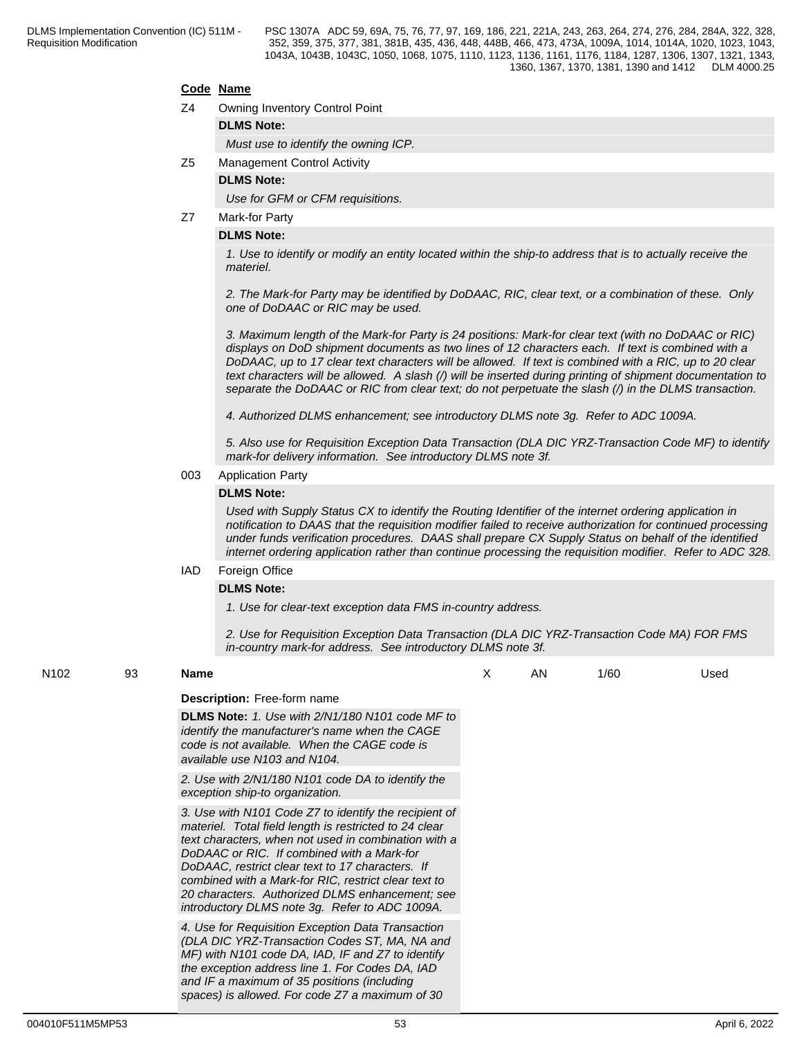#### **Code Name**

- Z4 Owning Inventory Control Point
	- **DLMS Note:**

*Must use to identify the owning ICP.*

Z5 Management Control Activity

#### **DLMS Note:**

*Use for GFM or CFM requisitions.*

Z7 Mark-for Party

#### **DLMS Note:**

*1. Use to identify or modify an entity located within the ship-to address that is to actually receive the materiel.*

*2. The Mark-for Party may be identified by DoDAAC, RIC, clear text, or a combination of these. Only one of DoDAAC or RIC may be used.* 

*3. Maximum length of the Mark-for Party is 24 positions: Mark-for clear text (with no DoDAAC or RIC) displays on DoD shipment documents as two lines of 12 characters each. If text is combined with a DoDAAC, up to 17 clear text characters will be allowed. If text is combined with a RIC, up to 20 clear text characters will be allowed. A slash (/) will be inserted during printing of shipment documentation to separate the DoDAAC or RIC from clear text; do not perpetuate the slash (/) in the DLMS transaction.*

*4. Authorized DLMS enhancement; see introductory DLMS note 3g. Refer to ADC 1009A.*

*5. Also use for Requisition Exception Data Transaction (DLA DIC YRZ-Transaction Code MF) to identify mark-for delivery information. See introductory DLMS note 3f.*

#### 003 Application Party

#### **DLMS Note:**

*Used with Supply Status CX to identify the Routing Identifier of the internet ordering application in notification to DAAS that the requisition modifier failed to receive authorization for continued processing under funds verification procedures. DAAS shall prepare CX Supply Status on behalf of the identified internet ordering application rather than continue processing the requisition modifier. Refer to ADC 328.*

#### IAD Foreign Office

### **DLMS Note:**

*1. Use for clear-text exception data FMS in-country address.*

*2. Use for Requisition Exception Data Transaction (DLA DIC YRZ-Transaction Code MA) FOR FMS in-country mark-for address. See introductory DLMS note 3f.*

### N102 93 **Name Description:** Free-form name **DLMS Note:** *1. Use with 2/N1/180 N101 code MF to identify the manufacturer's name when the CAGE code is not available. When the CAGE code is available use N103 and N104. 2. Use with 2/N1/180 N101 code DA to identify the exception ship-to organization. 3. Use with N101 Code Z7 to identify the recipient of materiel. Total field length is restricted to 24 clear text characters, when not used in combination with a DoDAAC or RIC. If combined with a Mark-for DoDAAC, restrict clear text to 17 characters. If combined with a Mark-for RIC, restrict clear text to 20 characters. Authorized DLMS enhancement; see introductory DLMS note 3g. Refer to ADC 1009A. 4. Use for Requisition Exception Data Transaction (DLA DIC YRZ-Transaction Codes ST, MA, NA and MF) with N101 code DA, IAD, IF and Z7 to identify the exception address line 1. For Codes DA, IAD and IF a maximum of 35 positions (including spaces) is allowed. For code Z7 a maximum of 30*  X AN 1/60 Used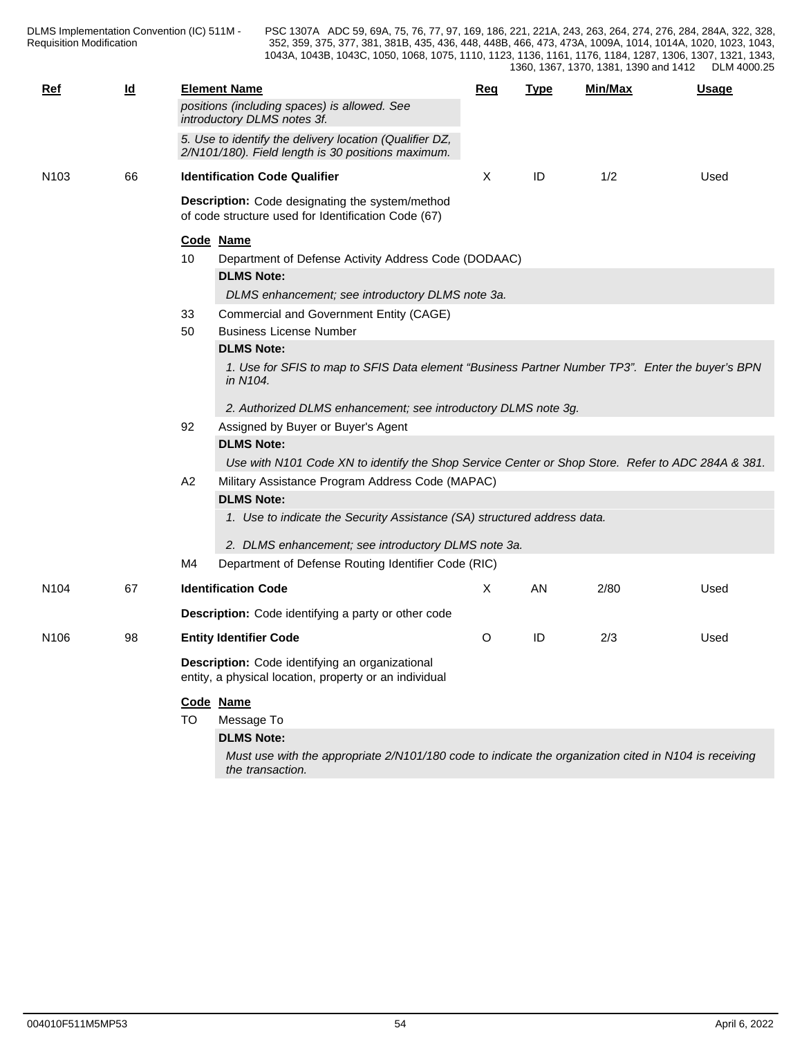| $Ref$            | $\underline{\mathsf{Id}}$ |           | <b>Element Name</b>                                                                                                       | <b>Req</b> | <b>Type</b> | Min/Max | <b>Usage</b> |
|------------------|---------------------------|-----------|---------------------------------------------------------------------------------------------------------------------------|------------|-------------|---------|--------------|
|                  |                           |           | positions (including spaces) is allowed. See<br>introductory DLMS notes 3f.                                               |            |             |         |              |
|                  |                           |           | 5. Use to identify the delivery location (Qualifier DZ,<br>2/N101/180). Field length is 30 positions maximum.             |            |             |         |              |
| N <sub>103</sub> | 66                        |           | <b>Identification Code Qualifier</b>                                                                                      | Χ          | ID          | 1/2     | Used         |
|                  |                           |           | Description: Code designating the system/method<br>of code structure used for Identification Code (67)                    |            |             |         |              |
|                  |                           | Code Name |                                                                                                                           |            |             |         |              |
|                  |                           | 10        | Department of Defense Activity Address Code (DODAAC)                                                                      |            |             |         |              |
|                  |                           |           | <b>DLMS Note:</b>                                                                                                         |            |             |         |              |
|                  |                           |           | DLMS enhancement; see introductory DLMS note 3a.                                                                          |            |             |         |              |
|                  |                           | 33        | Commercial and Government Entity (CAGE)                                                                                   |            |             |         |              |
|                  |                           | 50        | <b>Business License Number</b>                                                                                            |            |             |         |              |
|                  |                           |           | <b>DLMS Note:</b>                                                                                                         |            |             |         |              |
|                  |                           |           | 1. Use for SFIS to map to SFIS Data element "Business Partner Number TP3". Enter the buyer's BPN<br>in N104.              |            |             |         |              |
|                  |                           |           | 2. Authorized DLMS enhancement; see introductory DLMS note 3g.                                                            |            |             |         |              |
|                  |                           | 92        | Assigned by Buyer or Buyer's Agent                                                                                        |            |             |         |              |
|                  |                           |           | <b>DLMS Note:</b>                                                                                                         |            |             |         |              |
|                  |                           |           | Use with N101 Code XN to identify the Shop Service Center or Shop Store. Refer to ADC 284A & 381.                         |            |             |         |              |
|                  |                           | A2        | Military Assistance Program Address Code (MAPAC)                                                                          |            |             |         |              |
|                  |                           |           | <b>DLMS Note:</b>                                                                                                         |            |             |         |              |
|                  |                           |           | 1. Use to indicate the Security Assistance (SA) structured address data.                                                  |            |             |         |              |
|                  |                           |           | 2. DLMS enhancement; see introductory DLMS note 3a.                                                                       |            |             |         |              |
|                  |                           | M4        | Department of Defense Routing Identifier Code (RIC)                                                                       |            |             |         |              |
| N <sub>104</sub> | 67                        |           | <b>Identification Code</b>                                                                                                | Χ          | AN          | 2/80    | Used         |
|                  |                           |           | <b>Description:</b> Code identifying a party or other code                                                                |            |             |         |              |
| N <sub>106</sub> | 98                        |           | <b>Entity Identifier Code</b>                                                                                             | O          | ID          | 2/3     | Used         |
|                  |                           |           | Description: Code identifying an organizational<br>entity, a physical location, property or an individual                 |            |             |         |              |
|                  |                           | Code Name |                                                                                                                           |            |             |         |              |
|                  |                           | TO.       | Message To                                                                                                                |            |             |         |              |
|                  |                           |           | <b>DLMS Note:</b>                                                                                                         |            |             |         |              |
|                  |                           |           | Must use with the appropriate 2/N101/180 code to indicate the organization cited in N104 is receiving<br>the transaction. |            |             |         |              |
|                  |                           |           |                                                                                                                           |            |             |         |              |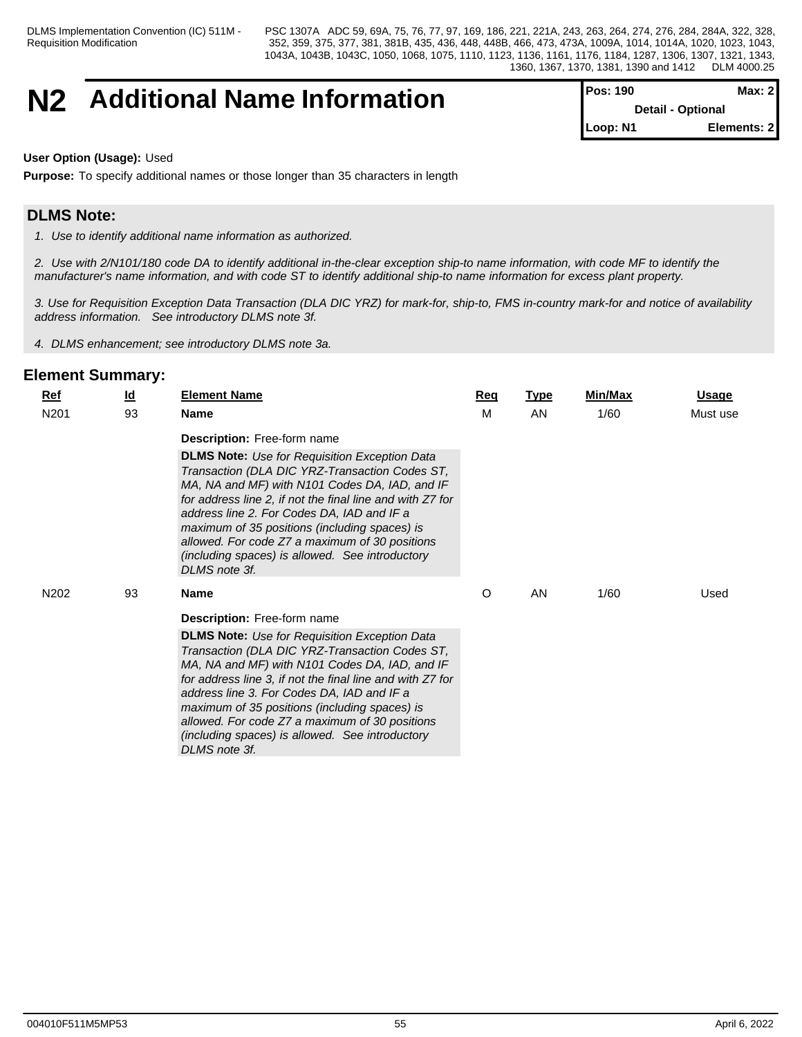## **N2** Additional Name Information

| <b>Pos: 190</b>          | Max: $2$    |  |
|--------------------------|-------------|--|
| <b>Detail - Optional</b> |             |  |
| Loop: N1                 | Elements: 2 |  |

#### **User Option (Usage):** Used

**Purpose:** To specify additional names or those longer than 35 characters in length

## **DLMS Note:**

*1. Use to identify additional name information as authorized.*

*2. Use with 2/N101/180 code DA to identify additional in-the-clear exception ship-to name information, with code MF to identify the manufacturer's name information, and with code ST to identify additional ship-to name information for excess plant property.*

*3. Use for Requisition Exception Data Transaction (DLA DIC YRZ) for mark-for, ship-to, FMS in-country mark-for and notice of availability address information. See introductory DLMS note 3f.*

*4. DLMS enhancement; see introductory DLMS note 3a.*

| $Ref$            | $\underline{\mathsf{Id}}$ | <b>Element Name</b>                                                                                                                                                                                                                                                                                                                                                                                                                        | <b>Req</b> | <b>Type</b> | Min/Max | <b>Usage</b> |
|------------------|---------------------------|--------------------------------------------------------------------------------------------------------------------------------------------------------------------------------------------------------------------------------------------------------------------------------------------------------------------------------------------------------------------------------------------------------------------------------------------|------------|-------------|---------|--------------|
| N <sub>201</sub> | 93                        | <b>Name</b>                                                                                                                                                                                                                                                                                                                                                                                                                                | M          | AN          | 1/60    | Must use     |
|                  |                           | Description: Free-form name                                                                                                                                                                                                                                                                                                                                                                                                                |            |             |         |              |
|                  |                           | <b>DLMS Note:</b> Use for Requisition Exception Data<br>Transaction (DLA DIC YRZ-Transaction Codes ST,<br>MA, NA and MF) with N101 Codes DA, IAD, and IF<br>for address line 2, if not the final line and with Z7 for<br>address line 2. For Codes DA, IAD and IF a<br>maximum of 35 positions (including spaces) is<br>allowed. For code Z7 a maximum of 30 positions<br>(including spaces) is allowed. See introductory<br>DLMS note 3f. |            |             |         |              |
| N <sub>202</sub> | 93                        | <b>Name</b>                                                                                                                                                                                                                                                                                                                                                                                                                                | O          | AN          | 1/60    | Used         |
|                  |                           | <b>Description:</b> Free-form name                                                                                                                                                                                                                                                                                                                                                                                                         |            |             |         |              |
|                  |                           | <b>DLMS Note:</b> Use for Requisition Exception Data<br>Transaction (DLA DIC YRZ-Transaction Codes ST,<br>MA, NA and MF) with N101 Codes DA, IAD, and IF<br>for address line 3, if not the final line and with Z7 for<br>address line 3. For Codes DA, IAD and IF a<br>maximum of 35 positions (including spaces) is<br>allowed. For code Z7 a maximum of 30 positions<br>(including spaces) is allowed. See introductory<br>DLMS note 3f. |            |             |         |              |
|                  |                           |                                                                                                                                                                                                                                                                                                                                                                                                                                            |            |             |         |              |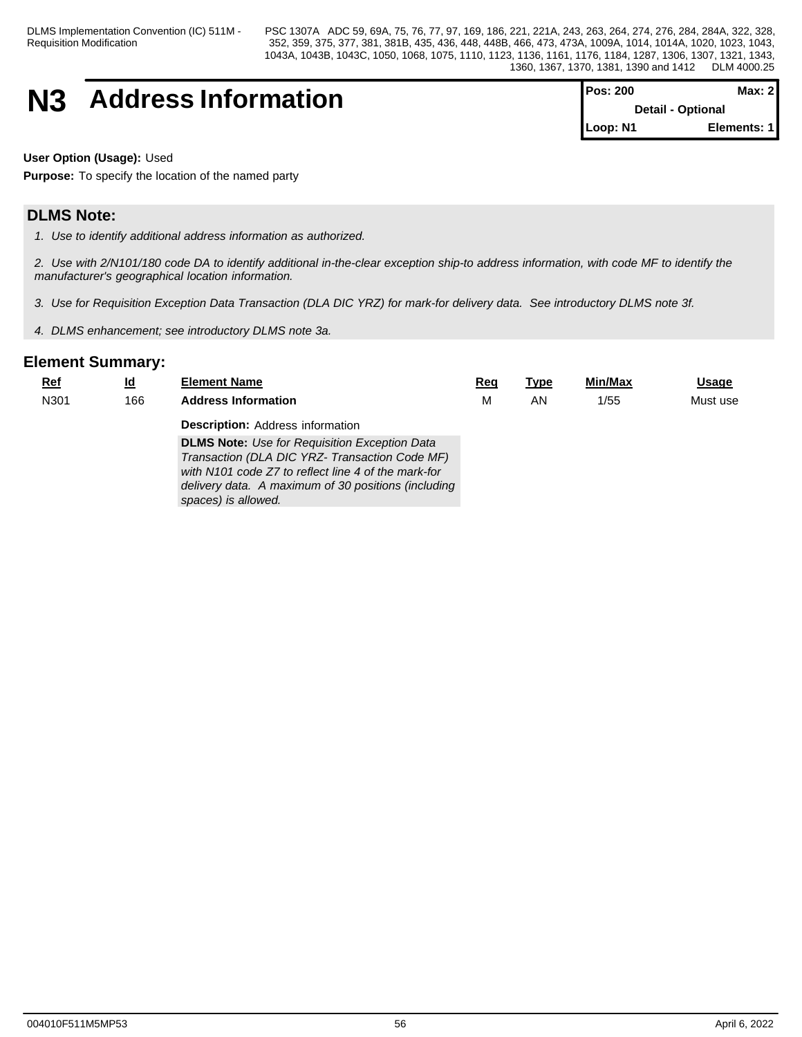DLMS Implementation Convention (IC) 511M - Requisition Modification

PSC 1307A ADC 59, 69A, 75, 76, 77, 97, 169, 186, 221, 221A, 243, 263, 264, 274, 276, 284, 284A, 322, 328, 352, 359, 375, 377, 381, 381B, 435, 436, 448, 448B, 466, 473, 473A, 1009A, 1014, 1014A, 1020, 1023, 1043, 1043A, 1043B, 1043C, 1050, 1068, 1075, 1110, 1123, 1136, 1161, 1176, 1184, 1287, 1306, 1307, 1321, 1343, 1360, 1367, 1370, 1381, 1390 and 1412 DLM 4000.25

# **N3** Address Information

| <b>IPos: 200</b>         | Max: 2I     |
|--------------------------|-------------|
| <b>Detail - Optional</b> |             |
| Loop: N1                 | Elements: 1 |

**User Option (Usage):** Used

**Purpose:** To specify the location of the named party

## **DLMS Note:**

*1. Use to identify additional address information as authorized.*

*2. Use with 2/N101/180 code DA to identify additional in-the-clear exception ship-to address information, with code MF to identify the manufacturer's geographical location information.*

*3. Use for Requisition Exception Data Transaction (DLA DIC YRZ) for mark-for delivery data. See introductory DLMS note 3f.*

*4. DLMS enhancement; see introductory DLMS note 3a.*

| $Ref$ | <u>ld</u> | <b>Element Name</b>                                                                                                                                                                                                                                             | Reg | <u>Type</u> | <b>Min/Max</b> | <b>Usage</b> |
|-------|-----------|-----------------------------------------------------------------------------------------------------------------------------------------------------------------------------------------------------------------------------------------------------------------|-----|-------------|----------------|--------------|
| N301  | 166       | <b>Address Information</b>                                                                                                                                                                                                                                      | М   | AN          | 1/55           | Must use     |
|       |           | <b>Description:</b> Address information<br><b>DLMS Note:</b> Use for Requisition Exception Data<br>Transaction (DLA DIC YRZ- Transaction Code MF)<br>with N101 code Z7 to reflect line 4 of the mark-for<br>delivery data. A maximum of 30 positions (including |     |             |                |              |
|       |           | spaces) is allowed.                                                                                                                                                                                                                                             |     |             |                |              |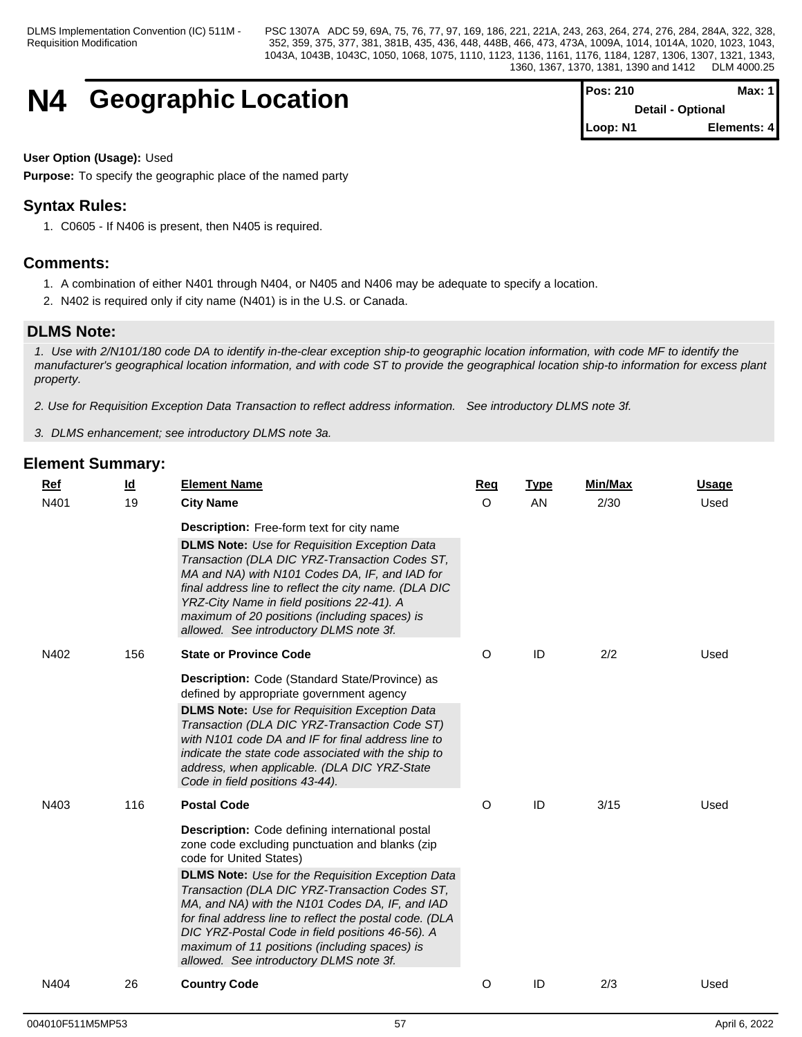## **N4 Geographic Location**

| <b>Pos: 210</b> | Max: $1$                 |
|-----------------|--------------------------|
|                 | <b>Detail - Optional</b> |
| Loop: N1        | Elements: 4              |

### **User Option (Usage):** Used

**Purpose:** To specify the geographic place of the named party

## **Syntax Rules:**

1. C0605 - If N406 is present, then N405 is required.

### **Comments:**

- 1. A combination of either N401 through N404, or N405 and N406 may be adequate to specify a location.
- 2. N402 is required only if city name (N401) is in the U.S. or Canada.

## **DLMS Note:**

*1. Use with 2/N101/180 code DA to identify in-the-clear exception ship-to geographic location information, with code MF to identify the manufacturer's geographical location information, and with code ST to provide the geographical location ship-to information for excess plant property.*

*2. Use for Requisition Exception Data Transaction to reflect address information. See introductory DLMS note 3f.*

*3. DLMS enhancement; see introductory DLMS note 3a.*

| Ref  | $\underline{\mathsf{Id}}$ | <b>Element Name</b>                                                                                                                                                                                                                                                                                                                                         | Req      | <b>Type</b> | Min/Max | <b>Usage</b> |
|------|---------------------------|-------------------------------------------------------------------------------------------------------------------------------------------------------------------------------------------------------------------------------------------------------------------------------------------------------------------------------------------------------------|----------|-------------|---------|--------------|
| N401 | 19                        | <b>City Name</b>                                                                                                                                                                                                                                                                                                                                            | $\Omega$ | AN          | 2/30    | Used         |
|      |                           | <b>Description:</b> Free-form text for city name                                                                                                                                                                                                                                                                                                            |          |             |         |              |
|      |                           | <b>DLMS Note:</b> Use for Requisition Exception Data<br>Transaction (DLA DIC YRZ-Transaction Codes ST,<br>MA and NA) with N101 Codes DA, IF, and IAD for<br>final address line to reflect the city name. (DLA DIC<br>YRZ-City Name in field positions 22-41). A<br>maximum of 20 positions (including spaces) is<br>allowed. See introductory DLMS note 3f. |          |             |         |              |
| N402 | 156                       | <b>State or Province Code</b>                                                                                                                                                                                                                                                                                                                               | O        | ID          | 2/2     | Used         |
|      |                           | Description: Code (Standard State/Province) as<br>defined by appropriate government agency<br><b>DLMS Note:</b> Use for Requisition Exception Data<br>Transaction (DLA DIC YRZ-Transaction Code ST)                                                                                                                                                         |          |             |         |              |
|      |                           | with N101 code DA and IF for final address line to<br>indicate the state code associated with the ship to<br>address, when applicable. (DLA DIC YRZ-State<br>Code in field positions 43-44).                                                                                                                                                                |          |             |         |              |
| N403 | 116                       | <b>Postal Code</b>                                                                                                                                                                                                                                                                                                                                          | O        | ID          | 3/15    | Used         |
|      |                           | <b>Description:</b> Code defining international postal<br>zone code excluding punctuation and blanks (zip<br>code for United States)<br><b>DLMS Note:</b> Use for the Requisition Exception Data<br>Transaction (DLA DIC YRZ-Transaction Codes ST,<br>MA, and NA) with the N101 Codes DA, IF, and IAD                                                       |          |             |         |              |
|      |                           | for final address line to reflect the postal code. (DLA<br>DIC YRZ-Postal Code in field positions 46-56). A<br>maximum of 11 positions (including spaces) is<br>allowed. See introductory DLMS note 3f.                                                                                                                                                     |          |             |         |              |
| N404 | 26                        | <b>Country Code</b>                                                                                                                                                                                                                                                                                                                                         | O        | ID          | 2/3     | Used         |
|      |                           |                                                                                                                                                                                                                                                                                                                                                             |          |             |         |              |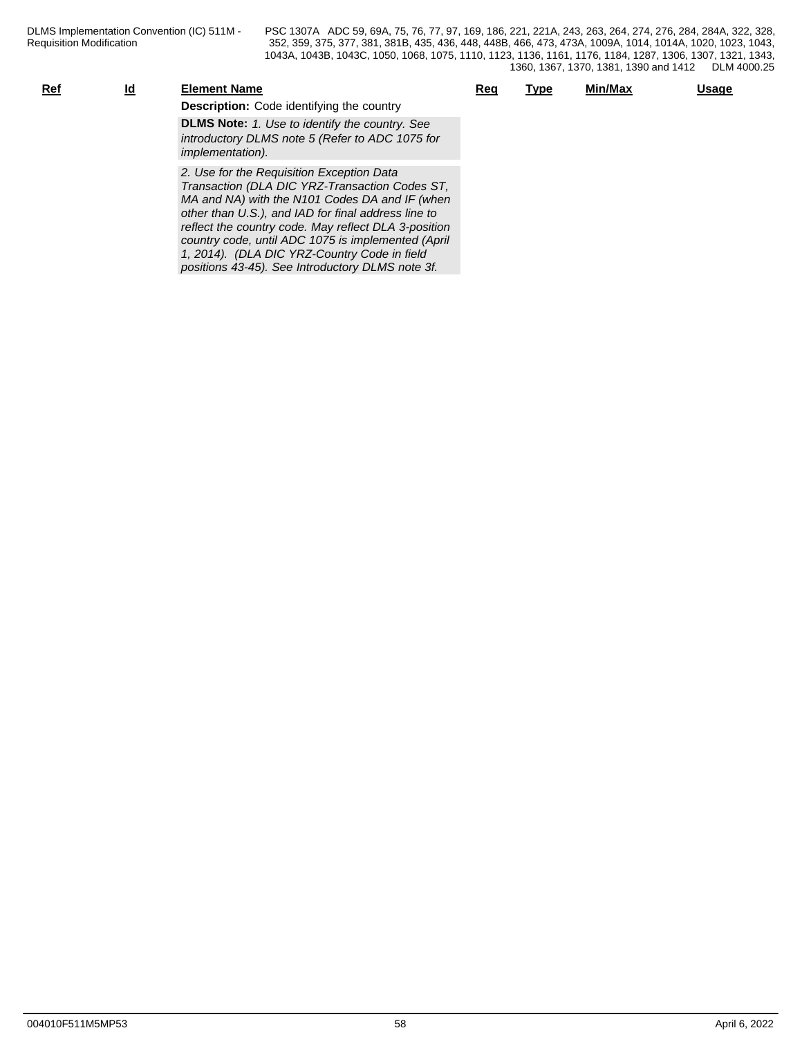| Ref | Id | <b>Element Name</b>                                                                                                                                                                                                                                          | Req | Type | Min/Max | Usage |
|-----|----|--------------------------------------------------------------------------------------------------------------------------------------------------------------------------------------------------------------------------------------------------------------|-----|------|---------|-------|
|     |    | <b>Description:</b> Code identifying the country                                                                                                                                                                                                             |     |      |         |       |
|     |    | <b>DLMS Note:</b> 1. Use to identify the country. See<br>introductory DLMS note 5 (Refer to ADC 1075 for<br><i>implementation</i> ).                                                                                                                         |     |      |         |       |
|     |    | 2. Use for the Requisition Exception Data<br>Transaction (DLA DIC YRZ-Transaction Codes ST,<br>MA and NA) with the N101 Codes DA and IF (when<br>other than U.S.), and IAD for final address line to<br>reflect the country code. May reflect DLA 3-position |     |      |         |       |

*1, 2014). (DLA DIC YRZ-Country Code in field positions 43-45). See Introductory DLMS note 3f.*

*country code, until ADC 1075 is implemented (April*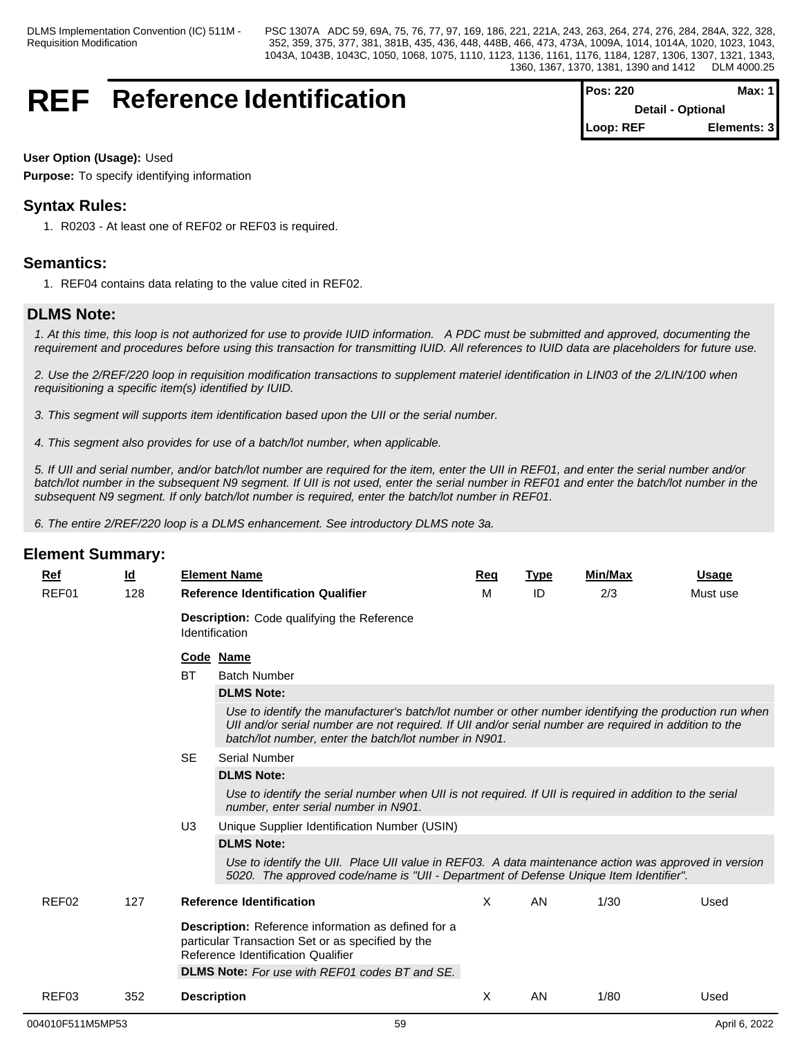## **REF** Reference Identification

| <b>Pos: 220</b>          | Max: 1      |
|--------------------------|-------------|
| <b>Detail - Optional</b> |             |
| Loop: REF                | Elements: 3 |

#### **User Option (Usage):** Used

**Purpose:** To specify identifying information

## **Syntax Rules:**

1. R0203 - At least one of REF02 or REF03 is required.

## **Semantics:**

1. REF04 contains data relating to the value cited in REF02.

## **DLMS Note:**

*1. At this time, this loop is not authorized for use to provide IUID information. A PDC must be submitted and approved, documenting the requirement and procedures before using this transaction for transmitting IUID. All references to IUID data are placeholders for future use.*

*2. Use the 2/REF/220 loop in requisition modification transactions to supplement materiel identification in LIN03 of the 2/LIN/100 when requisitioning a specific item(s) identified by IUID.*

*3. This segment will supports item identification based upon the UII or the serial number.*

*4. This segment also provides for use of a batch/lot number, when applicable.*

*5. If UII and serial number, and/or batch/lot number are required for the item, enter the UII in REF01, and enter the serial number and/or batch/lot number in the subsequent N9 segment. If UII is not used, enter the serial number in REF01 and enter the batch/lot number in the subsequent N9 segment. If only batch/lot number is required, enter the batch/lot number in REF01.*

*6. The entire 2/REF/220 loop is a DLMS enhancement. See introductory DLMS note 3a.*

| Ref   | <u>ld</u> |                                                                                                                                                | <b>Element Name</b>                                                                                                                                                                                                                                                        | Req | <b>Type</b> | Min/Max | <b>Usage</b> |  |  |  |  |
|-------|-----------|------------------------------------------------------------------------------------------------------------------------------------------------|----------------------------------------------------------------------------------------------------------------------------------------------------------------------------------------------------------------------------------------------------------------------------|-----|-------------|---------|--------------|--|--|--|--|
| REF01 | 128       |                                                                                                                                                | <b>Reference Identification Qualifier</b>                                                                                                                                                                                                                                  | м   | ID          | 2/3     | Must use     |  |  |  |  |
|       |           |                                                                                                                                                | Description: Code qualifying the Reference<br>Identification                                                                                                                                                                                                               |     |             |         |              |  |  |  |  |
|       |           |                                                                                                                                                | Code Name                                                                                                                                                                                                                                                                  |     |             |         |              |  |  |  |  |
|       |           | <b>BT</b>                                                                                                                                      | <b>Batch Number</b>                                                                                                                                                                                                                                                        |     |             |         |              |  |  |  |  |
|       |           |                                                                                                                                                | <b>DLMS Note:</b>                                                                                                                                                                                                                                                          |     |             |         |              |  |  |  |  |
|       |           |                                                                                                                                                | Use to identify the manufacturer's batch/lot number or other number identifying the production run when<br>UII and/or serial number are not required. If UII and/or serial number are required in addition to the<br>batch/lot number, enter the batch/lot number in N901. |     |             |         |              |  |  |  |  |
|       |           | <b>SE</b>                                                                                                                                      | Serial Number                                                                                                                                                                                                                                                              |     |             |         |              |  |  |  |  |
|       |           |                                                                                                                                                | <b>DLMS Note:</b>                                                                                                                                                                                                                                                          |     |             |         |              |  |  |  |  |
|       |           |                                                                                                                                                | Use to identify the serial number when UII is not required. If UII is required in addition to the serial<br>number, enter serial number in N901.                                                                                                                           |     |             |         |              |  |  |  |  |
|       |           | U <sub>3</sub>                                                                                                                                 | Unique Supplier Identification Number (USIN)                                                                                                                                                                                                                               |     |             |         |              |  |  |  |  |
|       |           |                                                                                                                                                | <b>DLMS Note:</b>                                                                                                                                                                                                                                                          |     |             |         |              |  |  |  |  |
|       |           |                                                                                                                                                | Use to identify the UII. Place UII value in REF03. A data maintenance action was approved in version<br>5020. The approved code/name is "UII - Department of Defense Unique Item Identifier".                                                                              |     |             |         |              |  |  |  |  |
| REF02 | 127       |                                                                                                                                                | <b>Reference Identification</b>                                                                                                                                                                                                                                            | X   | <b>AN</b>   | 1/30    | Used         |  |  |  |  |
|       |           | Description: Reference information as defined for a<br>particular Transaction Set or as specified by the<br>Reference Identification Qualifier |                                                                                                                                                                                                                                                                            |     |             |         |              |  |  |  |  |
|       |           |                                                                                                                                                | <b>DLMS Note:</b> For use with REF01 codes BT and SE.                                                                                                                                                                                                                      |     |             |         |              |  |  |  |  |
| REF03 | 352       | <b>Description</b>                                                                                                                             |                                                                                                                                                                                                                                                                            | X   | AN.         | 1/80    | Used         |  |  |  |  |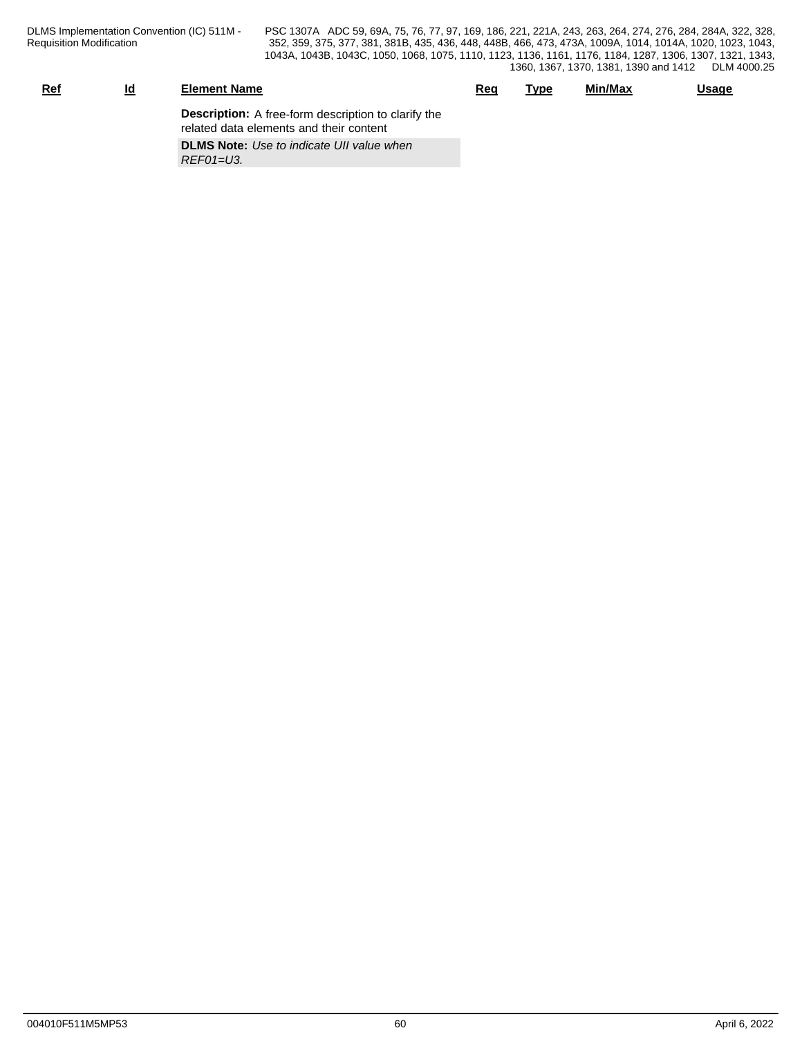| <u>Ref</u><br><u>Ιd</u> | <b>Element Name</b>                                                                                   | Reg | Type | Min/Max | <b>Usage</b> |
|-------------------------|-------------------------------------------------------------------------------------------------------|-----|------|---------|--------------|
|                         | <b>Description:</b> A free-form description to clarify the<br>related data elements and their content |     |      |         |              |
|                         | <b>DLMS Note:</b> Use to indicate UII value when<br>$REFO1=U3$ .                                      |     |      |         |              |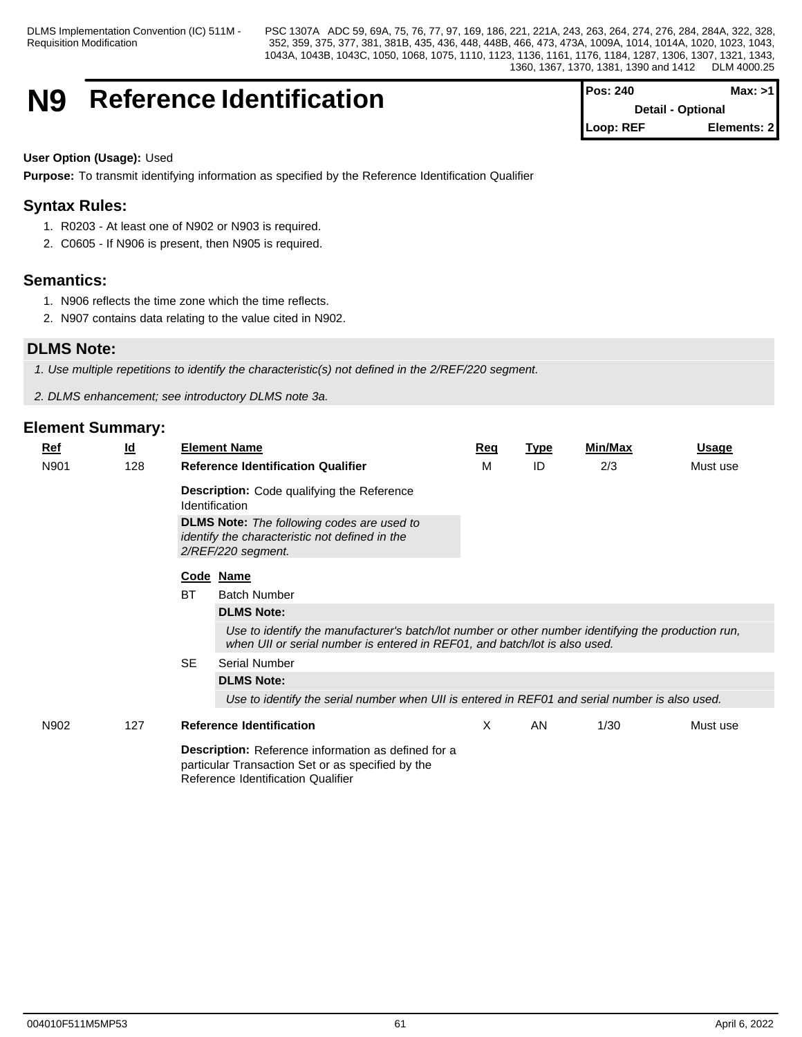DLMS Implementation Convention (IC) 511M - Requisition Modification

PSC 1307A ADC 59, 69A, 75, 76, 77, 97, 169, 186, 221, 221A, 243, 263, 264, 274, 276, 284, 284A, 322, 328, 352, 359, 375, 377, 381, 381B, 435, 436, 448, 448B, 466, 473, 473A, 1009A, 1014, 1014A, 1020, 1023, 1043, 1043A, 1043B, 1043C, 1050, 1068, 1075, 1110, 1123, 1136, 1161, 1176, 1184, 1287, 1306, 1307, 1321, 1343, 1360, 1367, 1370, 1381, 1390 and 1412 DLM 4000.25

## **N9** Reference Identification

| <b>Pos: 240</b> | Max: >1                  |
|-----------------|--------------------------|
|                 | <b>Detail - Optional</b> |
| Loop: REF       | Elements: 2              |

### **User Option (Usage):** Used

**Purpose:** To transmit identifying information as specified by the Reference Identification Qualifier

## **Syntax Rules:**

- 1. R0203 At least one of N902 or N903 is required.
- 2. C0605 If N906 is present, then N905 is required.

## **Semantics:**

- 1. N906 reflects the time zone which the time reflects.
- 2. N907 contains data relating to the value cited in N902.

## **DLMS Note:**

*1. Use multiple repetitions to identify the characteristic(s) not defined in the 2/REF/220 segment.*

*2. DLMS enhancement; see introductory DLMS note 3a.*

| $Ref$ | <u>ld</u> |                                                                                                                                                       | <b>Element Name</b>                                                                                                                                                               | Req | <u>Type</u> | Min/Max | <b>Usage</b> |  |  |
|-------|-----------|-------------------------------------------------------------------------------------------------------------------------------------------------------|-----------------------------------------------------------------------------------------------------------------------------------------------------------------------------------|-----|-------------|---------|--------------|--|--|
| N901  | 128       |                                                                                                                                                       | <b>Reference Identification Qualifier</b>                                                                                                                                         | м   | ID          | 2/3     | Must use     |  |  |
|       |           |                                                                                                                                                       | <b>Description:</b> Code qualifying the Reference<br><b>Identification</b>                                                                                                        |     |             |         |              |  |  |
|       |           |                                                                                                                                                       | <b>DLMS Note:</b> The following codes are used to<br>identify the characteristic not defined in the<br>2/REF/220 segment.                                                         |     |             |         |              |  |  |
|       |           |                                                                                                                                                       | Code Name                                                                                                                                                                         |     |             |         |              |  |  |
|       |           | <b>BT</b>                                                                                                                                             | <b>Batch Number</b>                                                                                                                                                               |     |             |         |              |  |  |
|       |           |                                                                                                                                                       | <b>DLMS Note:</b>                                                                                                                                                                 |     |             |         |              |  |  |
|       |           |                                                                                                                                                       | Use to identify the manufacturer's batch/lot number or other number identifying the production run,<br>when UII or serial number is entered in REF01, and batch/lot is also used. |     |             |         |              |  |  |
|       |           | <b>SE</b>                                                                                                                                             | <b>Serial Number</b>                                                                                                                                                              |     |             |         |              |  |  |
|       |           |                                                                                                                                                       | <b>DLMS Note:</b>                                                                                                                                                                 |     |             |         |              |  |  |
|       |           |                                                                                                                                                       | Use to identify the serial number when UII is entered in REF01 and serial number is also used.                                                                                    |     |             |         |              |  |  |
| N902  | 127       |                                                                                                                                                       | <b>Reference Identification</b>                                                                                                                                                   | X   | AN          | 1/30    | Must use     |  |  |
|       |           | <b>Description:</b> Reference information as defined for a<br>particular Transaction Set or as specified by the<br>Reference Identification Qualifier |                                                                                                                                                                                   |     |             |         |              |  |  |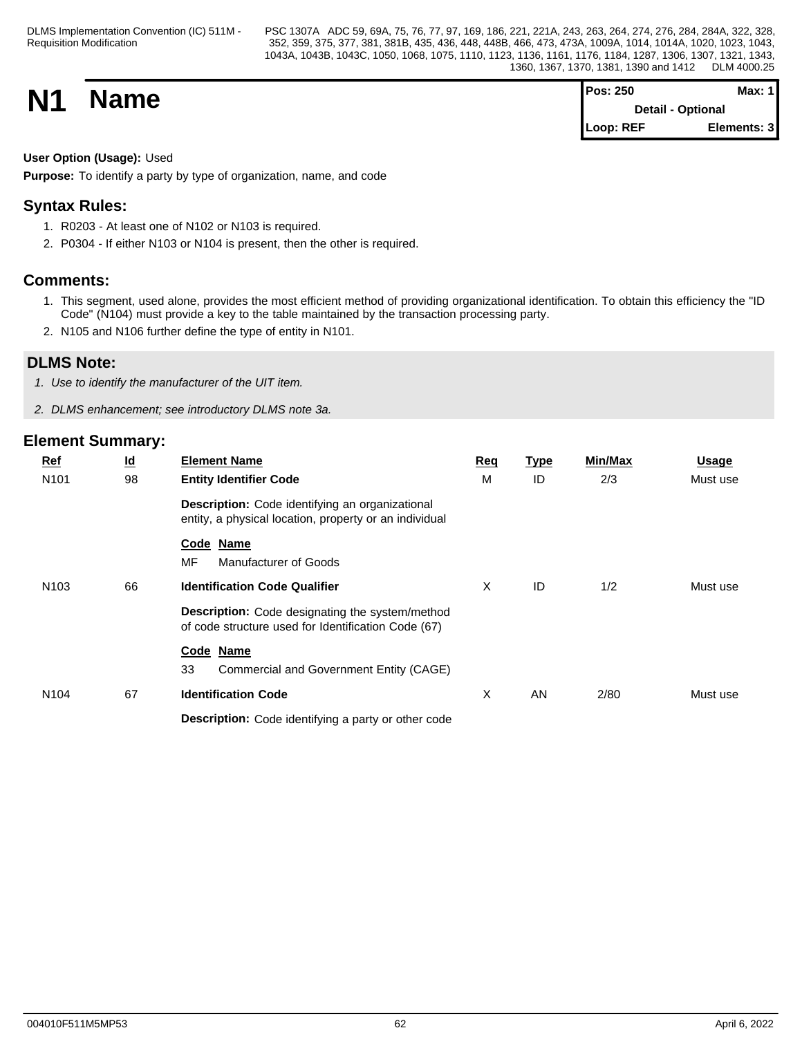**N1 Name Magnetic Max:** 1 **Detail - Optional Loop: REF Elements: 3**

## **User Option (Usage):** Used

**Purpose:** To identify a party by type of organization, name, and code

## **Syntax Rules:**

- 1. R0203 At least one of N102 or N103 is required.
- 2. P0304 If either N103 or N104 is present, then the other is required.

## **Comments:**

- 1. This segment, used alone, provides the most efficient method of providing organizational identification. To obtain this efficiency the "ID Code" (N104) must provide a key to the table maintained by the transaction processing party.
- 2. N105 and N106 further define the type of entity in N101.

## **DLMS Note:**

*1. Use to identify the manufacturer of the UIT item.*

*2. DLMS enhancement; see introductory DLMS note 3a.*

| $Ref$ |                  | $\underline{\mathsf{Id}}$ | <b>Element Name</b>                                                                                           | <b>Req</b> | <u>Type</u> | Min/Max | <b>Usage</b> |
|-------|------------------|---------------------------|---------------------------------------------------------------------------------------------------------------|------------|-------------|---------|--------------|
|       | N <sub>101</sub> | 98                        | <b>Entity Identifier Code</b>                                                                                 | M          | ID          | 2/3     | Must use     |
|       |                  |                           | Description: Code identifying an organizational<br>entity, a physical location, property or an individual     |            |             |         |              |
|       |                  |                           | Code Name<br>MF<br>Manufacturer of Goods                                                                      |            |             |         |              |
|       | N <sub>103</sub> | 66                        | <b>Identification Code Qualifier</b>                                                                          | X          | ID          | 1/2     | Must use     |
|       |                  |                           | <b>Description:</b> Code designating the system/method<br>of code structure used for Identification Code (67) |            |             |         |              |
|       |                  |                           | Code Name<br>33<br>Commercial and Government Entity (CAGE)                                                    |            |             |         |              |
|       | N <sub>104</sub> | 67                        | <b>Identification Code</b>                                                                                    | X          | AN          | 2/80    | Must use     |
|       |                  |                           | Description: Code identifying a party or other code                                                           |            |             |         |              |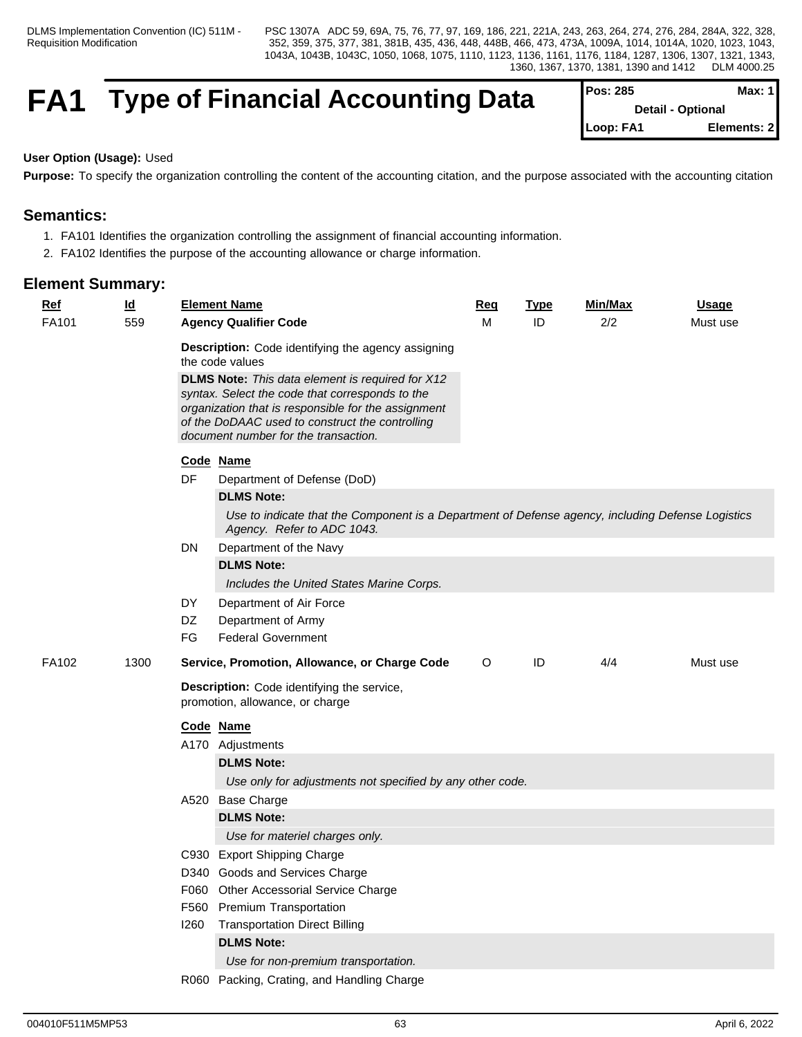## **FA1** Type of Financial Accounting Data

| $Pos: 285$               | Max: 1       |  |
|--------------------------|--------------|--|
| <b>Detail - Optional</b> |              |  |
| Loop: FA1                | Elements: 21 |  |

#### **User Option (Usage):** Used

**Purpose:** To specify the organization controlling the content of the accounting citation, and the purpose associated with the accounting citation

## **Semantics:**

- 1. FA101 Identifies the organization controlling the assignment of financial accounting information.
- 2. FA102 Identifies the purpose of the accounting allowance or charge information.

| <b>Ref</b><br>$\underline{\mathsf{Id}}$ |      | <b>Element Name</b>                                                                                                                                                                                                                                                                                                                   | <u>Req</u> | <b>Type</b> | Min/Max | <b>Usage</b> |
|-----------------------------------------|------|---------------------------------------------------------------------------------------------------------------------------------------------------------------------------------------------------------------------------------------------------------------------------------------------------------------------------------------|------------|-------------|---------|--------------|
| FA101<br>559                            |      | <b>Agency Qualifier Code</b>                                                                                                                                                                                                                                                                                                          |            | ID          | 2/2     | Must use     |
|                                         |      | Description: Code identifying the agency assigning<br>the code values<br><b>DLMS Note:</b> This data element is required for X12<br>syntax. Select the code that corresponds to the<br>organization that is responsible for the assignment<br>of the DoDAAC used to construct the controlling<br>document number for the transaction. |            |             |         |              |
|                                         |      |                                                                                                                                                                                                                                                                                                                                       |            |             |         |              |
|                                         |      | Code Name                                                                                                                                                                                                                                                                                                                             |            |             |         |              |
|                                         | DF   | Department of Defense (DoD)                                                                                                                                                                                                                                                                                                           |            |             |         |              |
|                                         |      | <b>DLMS Note:</b>                                                                                                                                                                                                                                                                                                                     |            |             |         |              |
|                                         |      | Use to indicate that the Component is a Department of Defense agency, including Defense Logistics<br>Agency. Refer to ADC 1043.                                                                                                                                                                                                       |            |             |         |              |
|                                         | DN   | Department of the Navy                                                                                                                                                                                                                                                                                                                |            |             |         |              |
|                                         |      | <b>DLMS Note:</b>                                                                                                                                                                                                                                                                                                                     |            |             |         |              |
|                                         |      | Includes the United States Marine Corps.                                                                                                                                                                                                                                                                                              |            |             |         |              |
|                                         | DY   | Department of Air Force                                                                                                                                                                                                                                                                                                               |            |             |         |              |
|                                         | DZ   | Department of Army                                                                                                                                                                                                                                                                                                                    |            |             |         |              |
|                                         | FG   | <b>Federal Government</b>                                                                                                                                                                                                                                                                                                             |            |             |         |              |
| FA102<br>1300                           |      | Service, Promotion, Allowance, or Charge Code                                                                                                                                                                                                                                                                                         | $\circ$    | ID          | 4/4     | Must use     |
|                                         |      | Description: Code identifying the service,<br>promotion, allowance, or charge                                                                                                                                                                                                                                                         |            |             |         |              |
|                                         |      | Code Name                                                                                                                                                                                                                                                                                                                             |            |             |         |              |
|                                         |      | A170 Adjustments                                                                                                                                                                                                                                                                                                                      |            |             |         |              |
|                                         |      | <b>DLMS Note:</b>                                                                                                                                                                                                                                                                                                                     |            |             |         |              |
|                                         |      | Use only for adjustments not specified by any other code.                                                                                                                                                                                                                                                                             |            |             |         |              |
|                                         |      | A520 Base Charge                                                                                                                                                                                                                                                                                                                      |            |             |         |              |
|                                         |      | <b>DLMS Note:</b>                                                                                                                                                                                                                                                                                                                     |            |             |         |              |
|                                         |      | Use for materiel charges only.                                                                                                                                                                                                                                                                                                        |            |             |         |              |
|                                         |      | C930 Export Shipping Charge                                                                                                                                                                                                                                                                                                           |            |             |         |              |
|                                         |      | D340 Goods and Services Charge                                                                                                                                                                                                                                                                                                        |            |             |         |              |
|                                         |      | F060 Other Accessorial Service Charge                                                                                                                                                                                                                                                                                                 |            |             |         |              |
|                                         | F560 | <b>Premium Transportation</b>                                                                                                                                                                                                                                                                                                         |            |             |         |              |
|                                         | 1260 | <b>Transportation Direct Billing</b>                                                                                                                                                                                                                                                                                                  |            |             |         |              |
|                                         |      | <b>DLMS Note:</b>                                                                                                                                                                                                                                                                                                                     |            |             |         |              |
|                                         |      | Use for non-premium transportation.                                                                                                                                                                                                                                                                                                   |            |             |         |              |
|                                         |      | R060 Packing, Crating, and Handling Charge                                                                                                                                                                                                                                                                                            |            |             |         |              |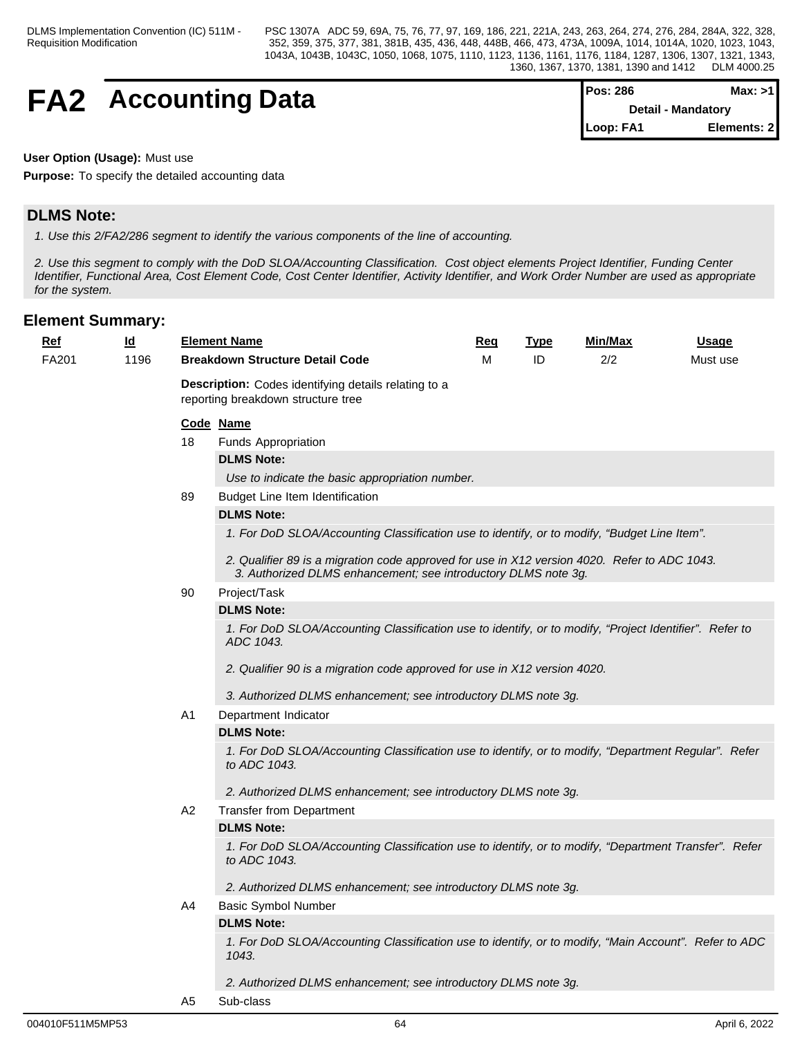# **FA2** Accounting Data

| IPos: 286                 | Max: >11     |  |
|---------------------------|--------------|--|
| <b>Detail - Mandatory</b> |              |  |
| Loop: FA1                 | Elements: 21 |  |

#### **User Option (Usage):** Must use

**Purpose:** To specify the detailed accounting data

## **DLMS Note:**

*1. Use this 2/FA2/286 segment to identify the various components of the line of accounting.*

*2. Use this segment to comply with the DoD SLOA/Accounting Classification. Cost object elements Project Identifier, Funding Center Identifier, Functional Area, Cost Element Code, Cost Center Identifier, Activity Identifier, and Work Order Number are used as appropriate for the system.*

| Ref   | $\underline{\mathsf{Id}}$ |                                                                                            | <b>Element Name</b>                                                                                                                                            | <b>Req</b> | <b>Type</b> | Min/Max  | <u>Usage</u> |  |  |  |  |
|-------|---------------------------|--------------------------------------------------------------------------------------------|----------------------------------------------------------------------------------------------------------------------------------------------------------------|------------|-------------|----------|--------------|--|--|--|--|
| FA201 | 1196                      | <b>Breakdown Structure Detail Code</b>                                                     |                                                                                                                                                                | м          | ID          | Must use |              |  |  |  |  |
|       |                           | Description: Codes identifying details relating to a<br>reporting breakdown structure tree |                                                                                                                                                                |            |             |          |              |  |  |  |  |
|       |                           |                                                                                            | Code Name                                                                                                                                                      |            |             |          |              |  |  |  |  |
|       |                           | 18                                                                                         | Funds Appropriation                                                                                                                                            |            |             |          |              |  |  |  |  |
|       |                           |                                                                                            | <b>DLMS Note:</b>                                                                                                                                              |            |             |          |              |  |  |  |  |
|       |                           |                                                                                            | Use to indicate the basic appropriation number.                                                                                                                |            |             |          |              |  |  |  |  |
|       |                           | 89                                                                                         | Budget Line Item Identification                                                                                                                                |            |             |          |              |  |  |  |  |
|       |                           |                                                                                            | <b>DLMS Note:</b>                                                                                                                                              |            |             |          |              |  |  |  |  |
|       |                           |                                                                                            | 1. For DoD SLOA/Accounting Classification use to identify, or to modify, "Budget Line Item".                                                                   |            |             |          |              |  |  |  |  |
|       |                           |                                                                                            | 2. Qualifier 89 is a migration code approved for use in X12 version 4020. Refer to ADC 1043.<br>3. Authorized DLMS enhancement; see introductory DLMS note 3g. |            |             |          |              |  |  |  |  |
|       |                           | 90                                                                                         | Project/Task                                                                                                                                                   |            |             |          |              |  |  |  |  |
|       |                           |                                                                                            | <b>DLMS Note:</b>                                                                                                                                              |            |             |          |              |  |  |  |  |
|       |                           |                                                                                            | 1. For DoD SLOA/Accounting Classification use to identify, or to modify, "Project Identifier". Refer to<br>ADC 1043.                                           |            |             |          |              |  |  |  |  |
|       |                           |                                                                                            | 2. Qualifier 90 is a migration code approved for use in X12 version 4020.                                                                                      |            |             |          |              |  |  |  |  |
|       |                           |                                                                                            | 3. Authorized DLMS enhancement; see introductory DLMS note 3g.                                                                                                 |            |             |          |              |  |  |  |  |
|       |                           | A1                                                                                         | Department Indicator                                                                                                                                           |            |             |          |              |  |  |  |  |
|       |                           |                                                                                            | <b>DLMS Note:</b>                                                                                                                                              |            |             |          |              |  |  |  |  |
|       |                           |                                                                                            | 1. For DoD SLOA/Accounting Classification use to identify, or to modify, "Department Regular". Refer<br>to ADC 1043.                                           |            |             |          |              |  |  |  |  |
|       |                           |                                                                                            | 2. Authorized DLMS enhancement; see introductory DLMS note 3g.                                                                                                 |            |             |          |              |  |  |  |  |
|       |                           | A2                                                                                         | <b>Transfer from Department</b>                                                                                                                                |            |             |          |              |  |  |  |  |
|       |                           |                                                                                            | <b>DLMS Note:</b>                                                                                                                                              |            |             |          |              |  |  |  |  |
|       |                           |                                                                                            | 1. For DoD SLOA/Accounting Classification use to identify, or to modify, "Department Transfer". Refer<br>to ADC 1043.                                          |            |             |          |              |  |  |  |  |
|       |                           |                                                                                            | 2. Authorized DLMS enhancement; see introductory DLMS note 3g.                                                                                                 |            |             |          |              |  |  |  |  |
|       |                           | A4                                                                                         | <b>Basic Symbol Number</b>                                                                                                                                     |            |             |          |              |  |  |  |  |
|       |                           |                                                                                            | <b>DLMS Note:</b>                                                                                                                                              |            |             |          |              |  |  |  |  |
|       |                           |                                                                                            | 1. For DoD SLOA/Accounting Classification use to identify, or to modify, "Main Account". Refer to ADC<br>1043.                                                 |            |             |          |              |  |  |  |  |
|       |                           |                                                                                            | 2. Authorized DLMS enhancement; see introductory DLMS note 3g.                                                                                                 |            |             |          |              |  |  |  |  |
|       |                           | A <sub>5</sub>                                                                             | Sub-class                                                                                                                                                      |            |             |          |              |  |  |  |  |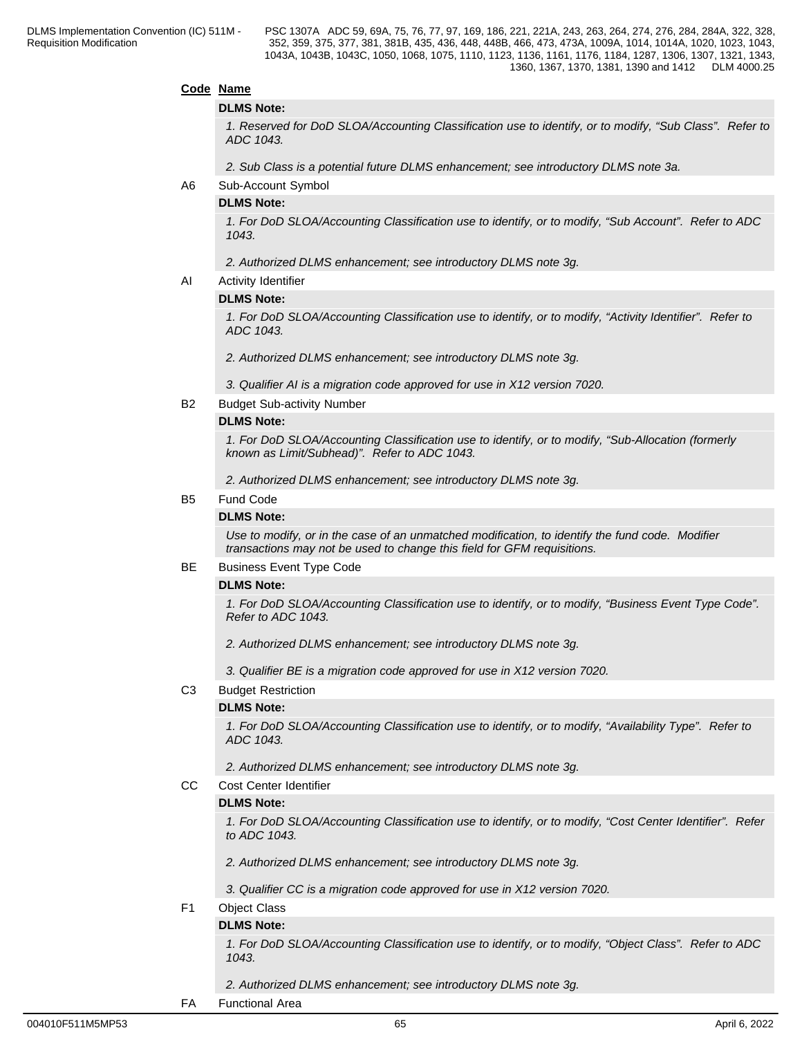#### **Code Name**

#### **DLMS Note:**

*1. Reserved for DoD SLOA/Accounting Classification use to identify, or to modify, "Sub Class". Refer to ADC 1043.*

*2. Sub Class is a potential future DLMS enhancement; see introductory DLMS note 3a.*

A6 Sub-Account Symbol

#### **DLMS Note:**

*1. For DoD SLOA/Accounting Classification use to identify, or to modify, "Sub Account". Refer to ADC 1043.*

#### *2. Authorized DLMS enhancement; see introductory DLMS note 3g.*

AI Activity Identifier

#### **DLMS Note:**

*1. For DoD SLOA/Accounting Classification use to identify, or to modify, "Activity Identifier". Refer to ADC 1043.*

*2. Authorized DLMS enhancement; see introductory DLMS note 3g.*

- *3. Qualifier AI is a migration code approved for use in X12 version 7020.*
- B2 Budget Sub-activity Number

#### **DLMS Note:**

*1. For DoD SLOA/Accounting Classification use to identify, or to modify, "Sub-Allocation (formerly known as Limit/Subhead)". Refer to ADC 1043.*

*2. Authorized DLMS enhancement; see introductory DLMS note 3g.*

#### B5 Fund Code

#### **DLMS Note:**

*Use to modify, or in the case of an unmatched modification, to identify the fund code. Modifier transactions may not be used to change this field for GFM requisitions.*

#### BE Business Event Type Code

#### **DLMS Note:**

*1. For DoD SLOA/Accounting Classification use to identify, or to modify, "Business Event Type Code". Refer to ADC 1043.*

 *2. Authorized DLMS enhancement; see introductory DLMS note 3g.*

*3. Qualifier BE is a migration code approved for use in X12 version 7020.*

C3 Budget Restriction

#### **DLMS Note:**

*1. For DoD SLOA/Accounting Classification use to identify, or to modify, "Availability Type". Refer to ADC 1043.*

*2. Authorized DLMS enhancement; see introductory DLMS note 3g.*

CC Cost Center Identifier

#### **DLMS Note:**

*1. For DoD SLOA/Accounting Classification use to identify, or to modify, "Cost Center Identifier". Refer to ADC 1043.*

- *2. Authorized DLMS enhancement; see introductory DLMS note 3g.*
- *3. Qualifier CC is a migration code approved for use in X12 version 7020.*
- F1 Object Class

#### **DLMS Note:**

*1. For DoD SLOA/Accounting Classification use to identify, or to modify, "Object Class". Refer to ADC 1043.*

*2. Authorized DLMS enhancement; see introductory DLMS note 3g.*

FA Functional Area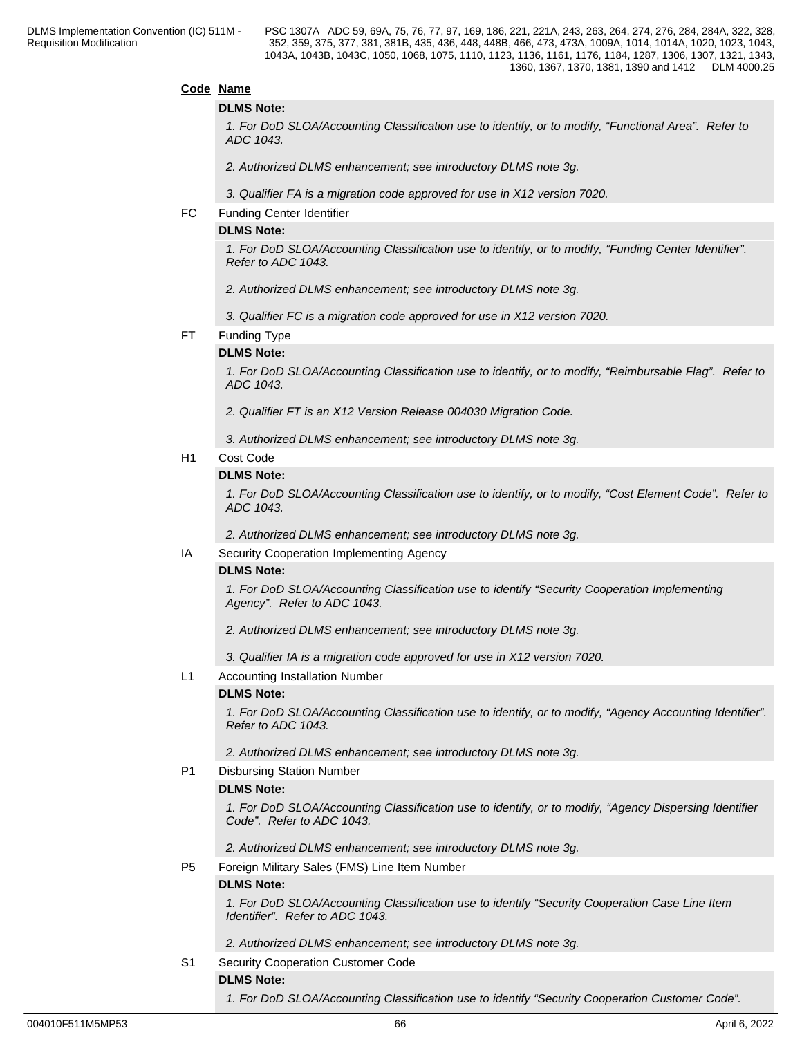#### **Code Name**

#### **DLMS Note:**

*1. For DoD SLOA/Accounting Classification use to identify, or to modify, "Functional Area". Refer to ADC 1043.*

*2. Authorized DLMS enhancement; see introductory DLMS note 3g.*

*3. Qualifier FA is a migration code approved for use in X12 version 7020.*

#### FC Funding Center Identifier

#### **DLMS Note:**

*1. For DoD SLOA/Accounting Classification use to identify, or to modify, "Funding Center Identifier". Refer to ADC 1043.*

*2. Authorized DLMS enhancement; see introductory DLMS note 3g.*

*3. Qualifier FC is a migration code approved for use in X12 version 7020.*

#### FT Funding Type

#### **DLMS Note:**

*1. For DoD SLOA/Accounting Classification use to identify, or to modify, "Reimbursable Flag". Refer to ADC 1043.* 

*2. Qualifier FT is an X12 Version Release 004030 Migration Code.* 

*3. Authorized DLMS enhancement; see introductory DLMS note 3g.*

#### H1 Cost Code

#### **DLMS Note:**

*1. For DoD SLOA/Accounting Classification use to identify, or to modify, "Cost Element Code". Refer to ADC 1043.*

*2. Authorized DLMS enhancement; see introductory DLMS note 3g.*

#### IA Security Cooperation Implementing Agency

#### **DLMS Note:**

*1. For DoD SLOA/Accounting Classification use to identify "Security Cooperation Implementing Agency". Refer to ADC 1043.*

*2. Authorized DLMS enhancement; see introductory DLMS note 3g.*

*3. Qualifier IA is a migration code approved for use in X12 version 7020.*

#### L1 Accounting Installation Number

#### **DLMS Note:**

*1. For DoD SLOA/Accounting Classification use to identify, or to modify, "Agency Accounting Identifier". Refer to ADC 1043.* 

*2. Authorized DLMS enhancement; see introductory DLMS note 3g.*

#### P1 Disbursing Station Number

#### **DLMS Note:**

*1. For DoD SLOA/Accounting Classification use to identify, or to modify, "Agency Dispersing Identifier Code". Refer to ADC 1043.*

*2. Authorized DLMS enhancement; see introductory DLMS note 3g.*

P5 Foreign Military Sales (FMS) Line Item Number

#### **DLMS Note:**

*1. For DoD SLOA/Accounting Classification use to identify "Security Cooperation Case Line Item Identifier". Refer to ADC 1043.*

*2. Authorized DLMS enhancement; see introductory DLMS note 3g.*

#### S1 Security Cooperation Customer Code

#### **DLMS Note:**

*1. For DoD SLOA/Accounting Classification use to identify "Security Cooperation Customer Code".*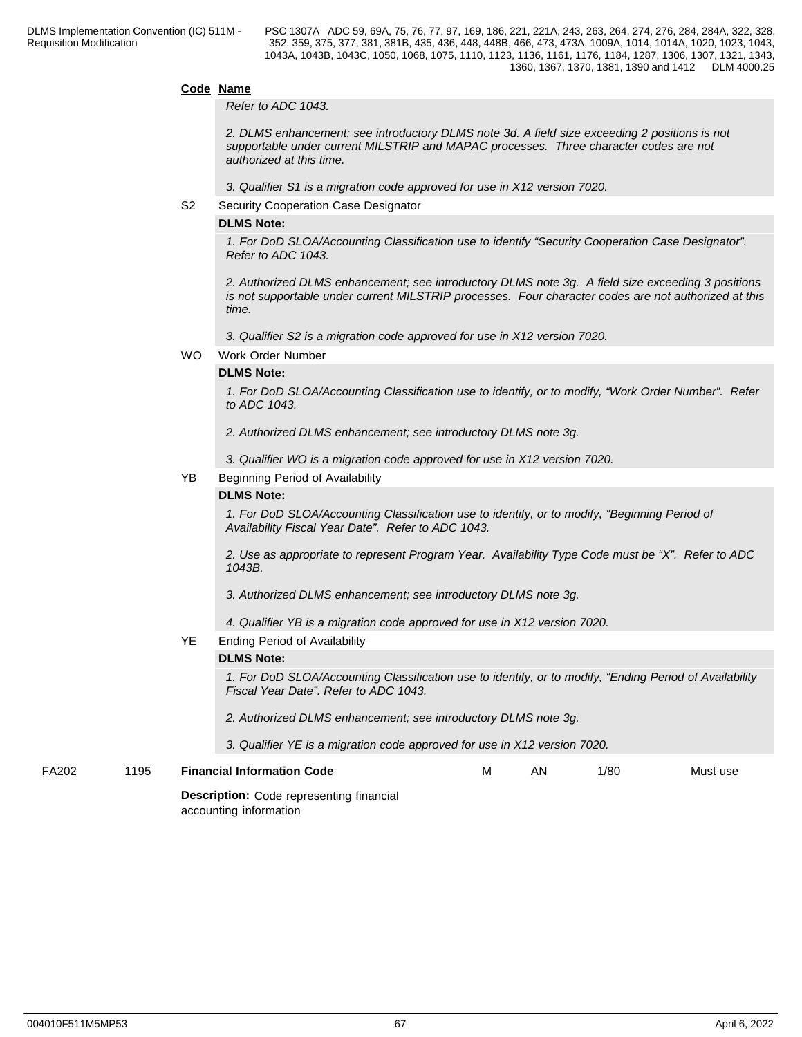#### **Code Name**

*Refer to ADC 1043.*

*2. DLMS enhancement; see introductory DLMS note 3d. A field size exceeding 2 positions is not supportable under current MILSTRIP and MAPAC processes. Three character codes are not authorized at this time.*

*3. Qualifier S1 is a migration code approved for use in X12 version 7020.*

S2 Security Cooperation Case Designator

#### **DLMS Note:**

*1. For DoD SLOA/Accounting Classification use to identify "Security Cooperation Case Designator". Refer to ADC 1043.*

*2. Authorized DLMS enhancement; see introductory DLMS note 3g. A field size exceeding 3 positions is not supportable under current MILSTRIP processes. Four character codes are not authorized at this time.*

*3. Qualifier S2 is a migration code approved for use in X12 version 7020.*

WO Work Order Number

#### **DLMS Note:**

*1. For DoD SLOA/Accounting Classification use to identify, or to modify, "Work Order Number". Refer to ADC 1043.*

- *2. Authorized DLMS enhancement; see introductory DLMS note 3g.*
- *3. Qualifier WO is a migration code approved for use in X12 version 7020.*

#### YB Beginning Period of Availability

### **DLMS Note:**

*1. For DoD SLOA/Accounting Classification use to identify, or to modify, "Beginning Period of Availability Fiscal Year Date". Refer to ADC 1043.*

*2. Use as appropriate to represent Program Year. Availability Type Code must be "X". Refer to ADC 1043B.*

*3. Authorized DLMS enhancement; see introductory DLMS note 3g.*

*4. Qualifier YB is a migration code approved for use in X12 version 7020.*

#### YE Ending Period of Availability

#### **DLMS Note:**

*1. For DoD SLOA/Accounting Classification use to identify, or to modify, "Ending Period of Availability Fiscal Year Date". Refer to ADC 1043.* 

- *2. Authorized DLMS enhancement; see introductory DLMS note 3g.*
- *3. Qualifier YE is a migration code approved for use in X12 version 7020.*

FA202 1195 **Financial Information Code**

**Description:** Code representing financial

accounting information

1/80 Must use